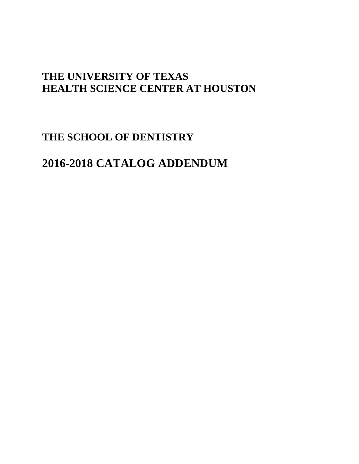# **THE UNIVERSITY OF TEXAS HEALTH SCIENCE CENTER AT HOUSTON**

# **THE SCHOOL OF DENTISTRY**

# **2016-2018 CATALOG ADDENDUM**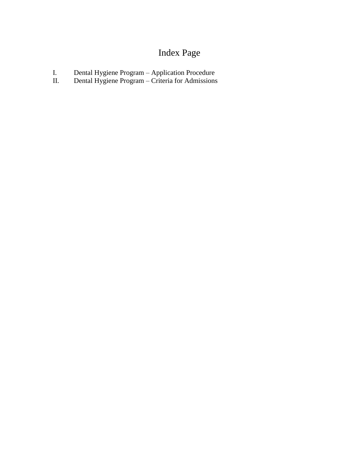# Index Page

- I. Dental Hygiene Program Application Procedure
- II. Dental Hygiene Program Criteria for Admissions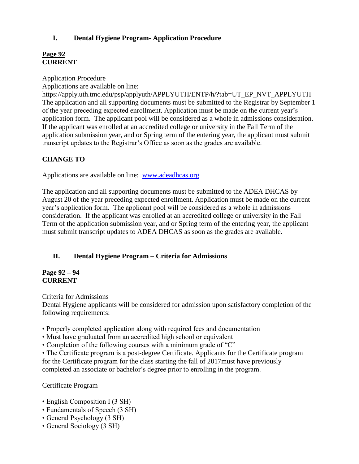## **I. Dental Hygiene Program- Application Procedure**

## **Page 92 CURRENT**

Application Procedure

Applications are available on line:

https://apply.uth.tmc.edu/psp/applyuth/APPLYUTH/ENTP/h/?tab=UT\_EP\_NVT\_APPLYUTH The application and all supporting documents must be submitted to the Registrar by September 1 of the year preceding expected enrollment. Application must be made on the current year's application form. The applicant pool will be considered as a whole in admissions consideration. If the applicant was enrolled at an accredited college or university in the Fall Term of the application submission year, and or Spring term of the entering year, the applicant must submit transcript updates to the Registrar's Office as soon as the grades are available.

## **CHANGE TO**

Applications are available on line: [www.adeadhcas.org](http://www.adeadhcas.org/)

The application and all supporting documents must be submitted to the ADEA DHCAS by August 20 of the year preceding expected enrollment. Application must be made on the current year's application form. The applicant pool will be considered as a whole in admissions consideration. If the applicant was enrolled at an accredited college or university in the Fall Term of the application submission year, and or Spring term of the entering year, the applicant must submit transcript updates to ADEA DHCAS as soon as the grades are available.

## **II. Dental Hygiene Program – Criteria for Admissions**

### **Page 92 – 94 CURRENT**

Criteria for Admissions

Dental Hygiene applicants will be considered for admission upon satisfactory completion of the following requirements:

- Properly completed application along with required fees and documentation
- Must have graduated from an accredited high school or equivalent
- Completion of the following courses with a minimum grade of "C"

• The Certificate program is a post-degree Certificate. Applicants for the Certificate program for the Certificate program for the class starting the fall of 2017must have previously completed an associate or bachelor's degree prior to enrolling in the program.

## Certificate Program

- English Composition I (3 SH)
- Fundamentals of Speech (3 SH)
- General Psychology (3 SH)
- General Sociology (3 SH)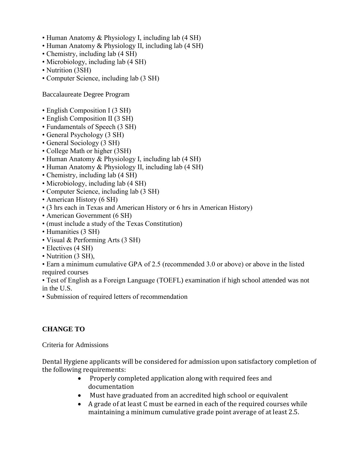- Human Anatomy & Physiology I, including lab (4 SH)
- Human Anatomy & Physiology II, including lab (4 SH)
- Chemistry, including lab (4 SH)
- Microbiology, including lab (4 SH)
- Nutrition (3SH)
- Computer Science, including lab (3 SH)

Baccalaureate Degree Program

- English Composition I (3 SH)
- English Composition II (3 SH)
- Fundamentals of Speech (3 SH)
- General Psychology (3 SH)
- General Sociology (3 SH)
- College Math or higher (3SH)
- Human Anatomy & Physiology I, including lab (4 SH)
- Human Anatomy & Physiology II, including lab (4 SH)
- Chemistry, including lab (4 SH)
- Microbiology, including lab (4 SH)
- Computer Science, including lab (3 SH)
- American History (6 SH)
- (3 hrs each in Texas and American History or 6 hrs in American History)
- American Government (6 SH)
- (must include a study of the Texas Constitution)
- Humanities (3 SH)
- Visual & Performing Arts (3 SH)
- Electives (4 SH)
- Nutrition (3 SH),
- Earn a minimum cumulative GPA of 2.5 (recommended 3.0 or above) or above in the listed required courses
- Test of English as a Foreign Language (TOEFL) examination if high school attended was not in the U.S.
- Submission of required letters of recommendation

## **CHANGE TO**

Criteria for Admissions

Dental Hygiene applicants will be considered for admission upon satisfactory completion of the following requirements:

- Properly completed application along with required fees and documentation
- Must have graduated from an accredited high school or equivalent
- A grade of at least C must be earned in each of the required courses while maintaining a minimum cumulative grade point average of at least 2.5.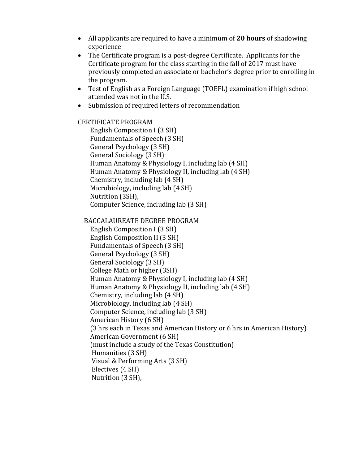- All applicants are required to have a minimum of **20 hours** of shadowing experience
- The Certificate program is a post-degree Certificate. Applicants for the Certificate program for the class starting in the fall of 2017 must have previously completed an associate or bachelor's degree prior to enrolling in the program.
- Test of English as a Foreign Language (TOEFL) examination if high school attended was not in the U.S.
- Submission of required letters of recommendation

### CERTIFICATE PROGRAM

English Composition I (3 SH) Fundamentals of Speech (3 SH) General Psychology (3 SH) General Sociology (3 SH) Human Anatomy & Physiology I, including lab (4 SH) Human Anatomy & Physiology II, including lab (4 SH) Chemistry, including lab (4 SH) Microbiology, including lab (4 SH) Nutrition (3SH), Computer Science, including lab (3 SH)

### BACCALAUREATE DEGREE PROGRAM

English Composition I (3 SH) English Composition II (3 SH) Fundamentals of Speech (3 SH) General Psychology (3 SH) General Sociology (3 SH) College Math or higher (3SH) Human Anatomy & Physiology I, including lab (4 SH) Human Anatomy & Physiology II, including lab (4 SH) Chemistry, including lab (4 SH) Microbiology, including lab (4 SH) Computer Science, including lab (3 SH) American History (6 SH) (3 hrs each in Texas and American History or 6 hrs in American History) American Government (6 SH) (must include a study of the Texas Constitution) Humanities (3 SH) Visual & Performing Arts (3 SH) Electives (4 SH) Nutrition (3 SH),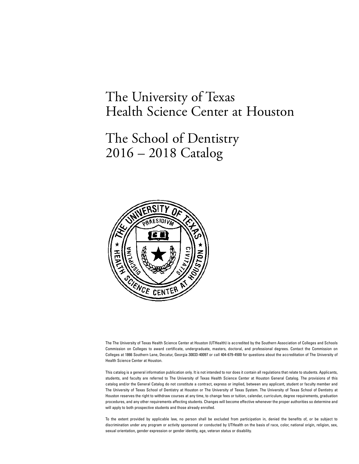# The University of Texas Health Science Center at Houston

The School of Dentistry 2016 – 2018 Catalog



The The University of Texas Health Science Center at Houston (UTHealth) is accredited by the Southern Association of Colleges and Schools Commission on Colleges to award certificate, undergraduate, masters, doctoral, and professional degrees. Contact the Commission on Colleges at 1866 Southern Lane, Decatur, Georgia 30033-40097 or call 404-679-4500 for questions about the accreditation of The University of Health Science Center at Houston.

This catalog is a general information publication only. It is not intended to nor does it contain all regulations that relate to students. Applicants, students, and faculty are referred to The University of Texas Health Science Center at Houston General Catalog. The provisions of this catalog and/or the General Catalog do not constitute a contract, express or implied, between any applicant, student or faculty member and The University of Texas School of Dentistry at Houston or The University of Texas System. The University of Texas School of Dentistry at Houston reserves the right to withdraw courses at any time, to change fees or tuition, calendar, curriculum, degree requirements, graduation procedures, and any other requirements affecting students. Changes will become effective whenever the proper authorities so determine and will apply to both prospective students and those already enrolled.

To the extent provided by applicable law, no person shall be excluded from participation in, denied the benefits of, or be subject to discrimination under any program or activity sponsored or conducted by UTHealth on the basis of race, color, national origin, religion, sex, sexual orientation, gender expression or gender identity, age, veteran status or disability.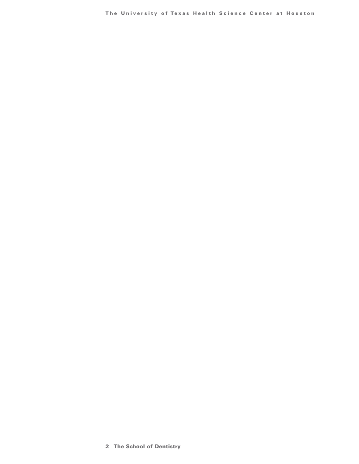### **2 The School of Dentistry**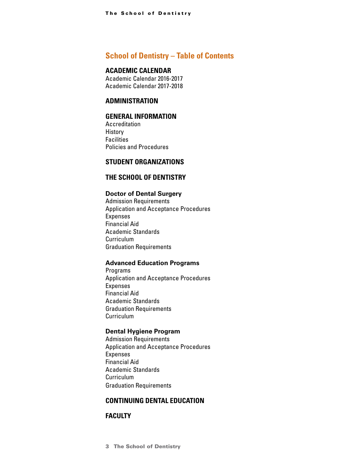### **School of Dentistry – Table of Contents**

### **ACADEMIC CALENDAR**

Academic Calendar 2016-2017 Academic Calendar 2017-2018

### **ADMINISTRATION**

### **GENERAL INFORMATION**

**Accreditation** History **Facilities** Policies and Procedures

### **STUDENT ORGANIZATIONS**

### **THE SCHOOL OF DENTISTRY**

### **Doctor of Dental Surgery**

Admission Requirements Application and Acceptance Procedures Expenses Financial Aid Academic Standards **Curriculum** Graduation Requirements

### **Advanced Education Programs**

Programs Application and Acceptance Procedures Expenses Financial Aid Academic Standards Graduation Requirements Curriculum

### **Dental Hygiene Program**

Admission Requirements Application and Acceptance Procedures Expenses Financial Aid Academic Standards **Curriculum** Graduation Requirements

### **CONTINUING DENTAL EDUCATION**

### **FACULTY**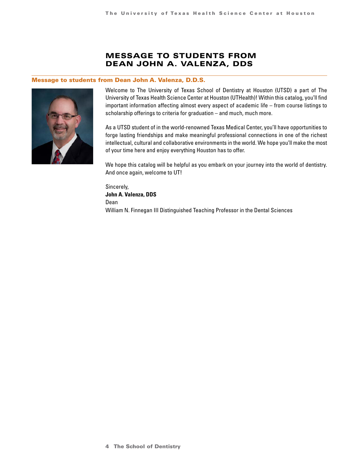### MESSAGE TO STUDENTS FROM DEAN JOHN A. VALENZA, DDS

#### Message to students from Dean John A. Valenza, D.D.S.



Welcome to The University of Texas School of Dentistry at Houston (UTSD) a part of The University of Texas Health Science Center at Houston (UTHealth)! Within this catalog, you'll find important information affecting almost every aspect of academic life – from course listings to scholarship offerings to criteria for graduation – and much, much more.

As a UTSD student of in the world-renowned Texas Medical Center, you'll have opportunities to forge lasting friendships and make meaningful professional connections in one of the richest intellectual, cultural and collaborative environments in the world. We hope you'll make the most of your time here and enjoy everything Houston has to offer.

We hope this catalog will be helpful as you embark on your journey into the world of dentistry. And once again, welcome to UT!

Sincerely, **John A. Valenza, DDS** Dean William N. Finnegan III Distinguished Teaching Professor in the Dental Sciences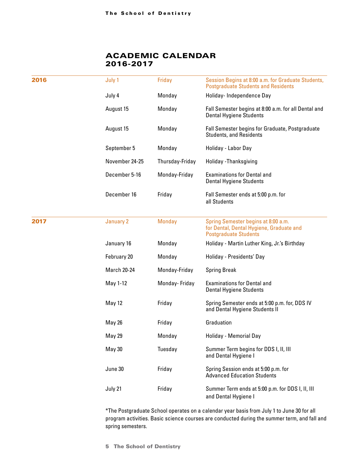### ACADEMIC CALENDAR 2016-2017

| 2016 | July 1             | Friday          | Session Begins at 8:00 a.m. for Graduate Students,<br><b>Postgraduate Students and Residents</b>                |
|------|--------------------|-----------------|-----------------------------------------------------------------------------------------------------------------|
|      | July 4             | Monday          | Holiday-Independence Day                                                                                        |
|      | August 15          | Monday          | Fall Semester begins at 8:00 a.m. for all Dental and<br><b>Dental Hygiene Students</b>                          |
|      | August 15          | Monday          | Fall Semester begins for Graduate, Postgraduate<br><b>Students, and Residents</b>                               |
|      | September 5        | Monday          | Holiday - Labor Day                                                                                             |
|      | November 24-25     | Thursday-Friday | Holiday - Thanksgiving                                                                                          |
|      | December 5-16      | Monday-Friday   | <b>Examinations for Dental and</b><br><b>Dental Hygiene Students</b>                                            |
|      | December 16        | Friday          | Fall Semester ends at 5:00 p.m. for<br>all Students                                                             |
| 2017 | January 2          | <b>Monday</b>   | Spring Semester begins at 8:00 a.m.<br>for Dental, Dental Hygiene, Graduate and<br><b>Postgraduate Students</b> |
|      | January 16         | Monday          | Holiday - Martin Luther King, Jr.'s Birthday                                                                    |
|      | February 20        | Monday          | Holiday - Presidents' Day                                                                                       |
|      | <b>March 20-24</b> | Monday-Friday   | <b>Spring Break</b>                                                                                             |
|      | May 1-12           | Monday-Friday   | <b>Examinations for Dental and</b><br><b>Dental Hygiene Students</b>                                            |
|      | May 12             | Friday          | Spring Semester ends at 5:00 p.m. for, DDS IV<br>and Dental Hygiene Students II                                 |
|      | May 26             | Friday          | Graduation                                                                                                      |
|      | May 29             | Monday          | Holiday - Memorial Day                                                                                          |
|      | May 30             | Tuesday         | Summer Term begins for DDS I, II, III<br>and Dental Hygiene I                                                   |
|      | June 30            | Friday          | Spring Session ends at 5:00 p.m. for<br><b>Advanced Education Students</b>                                      |
|      | July 21            | Friday          | Summer Term ends at 5:00 p.m. for DDS I, II, III<br>and Dental Hygiene I                                        |

\*The Postgraduate School operates on a calendar year basis from July 1 to June 30 for all program activities. Basic science courses are conducted during the summer term, and fall and spring semesters.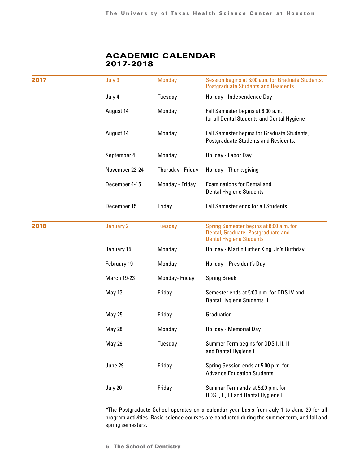### ACADEMIC CALENDAR 2017-2018

| 2017 | July 3             | <b>Monday</b>     | Session begins at 8:00 a.m. for Graduate Students,<br><b>Postgraduate Students and Residents</b>                |
|------|--------------------|-------------------|-----------------------------------------------------------------------------------------------------------------|
|      | July 4             | Tuesday           | Holiday - Independence Day                                                                                      |
|      | August 14          | Monday            | Fall Semester begins at 8:00 a.m.<br>for all Dental Students and Dental Hygiene                                 |
|      | August 14          | Monday            | Fall Semester begins for Graduate Students,<br>Postgraduate Students and Residents.                             |
|      | September 4        | Monday            | Holiday - Labor Day                                                                                             |
|      | November 23-24     | Thursday - Friday | Holiday - Thanksgiving                                                                                          |
|      | December 4-15      | Monday - Friday   | <b>Examinations for Dental and</b><br><b>Dental Hygiene Students</b>                                            |
|      | December 15        | Friday            | <b>Fall Semester ends for all Students</b>                                                                      |
| 2018 | January 2          | <b>Tuesday</b>    | Spring Semester begins at 8:00 a.m. for<br>Dental, Graduate, Postgraduate and<br><b>Dental Hygiene Students</b> |
|      | January 15         | Monday            | Holiday - Martin Luther King, Jr.'s Birthday                                                                    |
|      | February 19        | Monday            | Holiday - President's Day                                                                                       |
|      | <b>March 19-23</b> | Monday-Friday     | <b>Spring Break</b>                                                                                             |
|      | May 13             | Friday            | Semester ends at 5:00 p.m. for DDS IV and<br>Dental Hygiene Students II                                         |
|      | May 25             | Friday            | Graduation                                                                                                      |
|      | May 28             | Monday            | Holiday - Memorial Day                                                                                          |
|      | May 29             | Tuesday           | Summer Term begins for DDS I, II, III<br>and Dental Hygiene I                                                   |
|      | June 29            | Friday            | Spring Session ends at 5:00 p.m. for<br><b>Advance Education Students</b>                                       |
|      | July 20            | Friday            | Summer Term ends at 5:00 p.m. for<br>DDS I, II, III and Dental Hygiene I                                        |

\*The Postgraduate School operates on a calendar year basis from July 1 to June 30 for all program activities. Basic science courses are conducted during the summer term, and fall and spring semesters.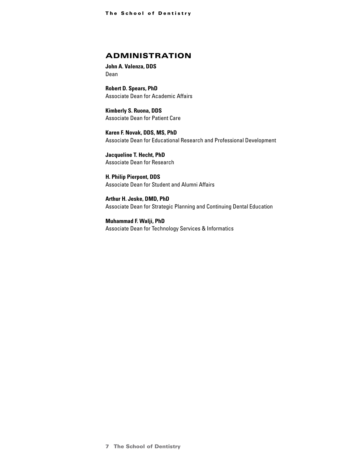### ADMINISTRATION

**John A. Valenza, DDS** Dean

**Robert D. Spears, PhD** Associate Dean for Academic Affairs

**Kimberly S. Ruona, DDS** Associate Dean for Patient Care

**Karen F. Novak, DDS, MS, PhD** Associate Dean for Educational Research and Professional Development

**Jacqueline T. Hecht, PhD** Associate Dean for Research

**H. Philip Pierpont, DDS** Associate Dean for Student and Alumni Affairs

**Arthur H. Jeske, DMD, PhD** Associate Dean for Strategic Planning and Continuing Dental Education

**Muhammad F. Walji, PhD** Associate Dean for Technology Services & Informatics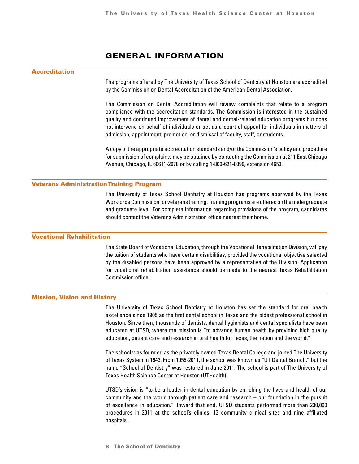## GENERAL INFORMATION

#### Accreditation

The programs offered by The University of Texas School of Dentistry at Houston are accredited by the Commission on Dental Accreditation of the American Dental Association.

The Commission on Dental Accreditation will review complaints that relate to a program compliance with the accreditation standards. The Commission is interested in the sustained quality and continued improvement of dental and dental-related education programs but does not intervene on behalf of individuals or act as a court of appeal for individuals in matters of admission, appointment, promotion, or dismissal of faculty, staff, or students.

A copy of the appropriate accreditation standards and/or the Commission's policy and procedure for submission of complaints may be obtained by contacting the Commission at 211 East Chicago Avenue, Chicago, IL 60611-2678 or by calling 1-800-621-8099, extension 4653.

#### Veterans Administration Training Program

The University of Texas School Dentistry at Houston has programs approved by the Texas Workforce Commission for veterans training. Training programs are offered on the undergraduate and graduate level. For complete information regarding provisions of the program, candidates should contact the Veterans Administration office nearest their home.

#### Vocational Rehabilitation

The State Board of Vocational Education, through the Vocational Rehabilitation Division, will pay the tuition of students who have certain disabilities, provided the vocational objective selected by the disabled persons have been approved by a representative of the Division. Application for vocational rehabilitation assistance should be made to the nearest Texas Rehabilitation Commission office.

#### Mission, Vision and History

The University of Texas School Dentistry at Houston has set the standard for oral health excellence since 1905 as the first dental school in Texas and the oldest professional school in Houston. Since then, thousands of dentists, dental hygienists and dental specialists have been educated at UTSD, where the mission is "to advance human health by providing high quality education, patient care and research in oral health for Texas, the nation and the world."

The school was founded as the privately owned Texas Dental College and joined The University of Texas System in 1943. From 1955-2011, the school was known as "UT Dental Branch," but the name "School of Dentistry" was restored in June 2011. The school is part of The University of Texas Health Science Center at Houston (UTHealth).

UTSD's vision is "to be a leader in dental education by enriching the lives and health of our community and the world through patient care and research – our foundation in the pursuit of excellence in education." Toward that end, UTSD students performed more than 230,000 procedures in 2011 at the school's clinics, 13 community clinical sites and nine affiliated hospitals.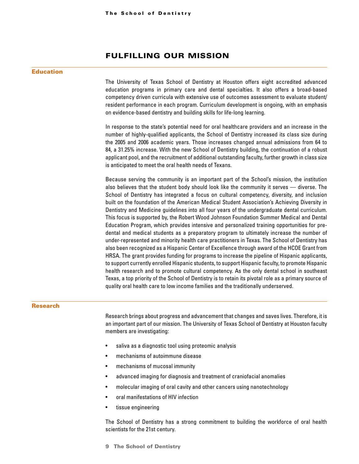## FULFILLING OUR MISSION

### Education

The University of Texas School of Dentistry at Houston offers eight accredited advanced education programs in primary care and dental specialties. It also offers a broad-based competency driven curricula with extensive use of outcomes assessment to evaluate student/ resident performance in each program. Curriculum development is ongoing, with an emphasis on evidence-based dentistry and building skills for life-long learning.

In response to the state's potential need for oral healthcare providers and an increase in the number of highly-qualified applicants, the School of Dentistry increased its class size during the 2005 and 2006 academic years. Those increases changed annual admissions from 64 to 84, a 31.25% increase. With the new School of Dentistry building, the continuation of a robust applicant pool, and the recruitment of additional outstanding faculty, further growth in class size is anticipated to meet the oral health needs of Texans.

Because serving the community is an important part of the School's mission, the institution also believes that the student body should look like the community it serves — diverse. The School of Dentistry has integrated a focus on cultural competency, diversity, and inclusion built on the foundation of the American Medical Student Association's Achieving Diversity in Dentistry and Medicine guidelines into all four years of the undergraduate dental curriculum. This focus is supported by, the Robert Wood Johnson Foundation Summer Medical and Dental Education Program, which provides intensive and personalized training opportunities for predental and medical students as a preparatory program to ultimately increase the number of under-represented and minority health care practitioners in Texas. The School of Dentistry has also been recognized as a Hispanic Center of Excellence through award of the HCOE Grant from HRSA. The grant provides funding for programs to increase the pipeline of Hispanic applicants, to support currently enrolled Hispanic students, to support Hispanic faculty, to promote Hispanic health research and to promote cultural competency. As the only dental school in southeast Texas, a top priority of the School of Dentistry is to retain its pivotal role as a primary source of quality oral health care to low income families and the traditionally underserved.

#### Research

Research brings about progress and advancement that changes and saves lives. Therefore, it is an important part of our mission. The University of Texas School of Dentistry at Houston faculty members are investigating:

- saliva as a diagnostic tool using proteomic analysis
- mechanisms of autoimmune disease
- mechanisms of mucosal immunity
- advanced imaging for diagnosis and treatment of craniofacial anomalies
- molecular imaging of oral cavity and other cancers using nanotechnology
- oral manifestations of HIV infection
- tissue engineering

The School of Dentistry has a strong commitment to building the workforce of oral health scientists for the 21st century.

**9 The School of Dentistry**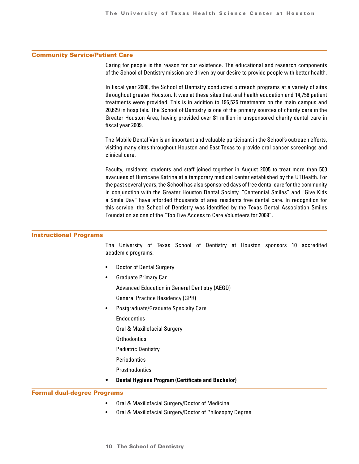#### Community Service/Patient Care

Caring for people is the reason for our existence. The educational and research components of the School of Dentistry mission are driven by our desire to provide people with better health.

In fiscal year 2008, the School of Dentistry conducted outreach programs at a variety of sites throughout greater Houston. It was at these sites that oral health education and 14,756 patient treatments were provided. This is in addition to 196,525 treatments on the main campus and 20,629 in hospitals. The School of Dentistry is one of the primary sources of charity care in the Greater Houston Area, having provided over \$1 million in unsponsored charity dental care in fiscal year 2009.

The Mobile Dental Van is an important and valuable participant in the School's outreach efforts, visiting many sites throughout Houston and East Texas to provide oral cancer screenings and clinical care.

Faculty, residents, students and staff joined together in August 2005 to treat more than 500 evacuees of Hurricane Katrina at a temporary medical center established by the UTHealth. For the past several years, the School has also sponsored days of free dental care for the community in conjunction with the Greater Houston Dental Society. "Centennial Smiles" and "Give Kids a Smile Day" have afforded thousands of area residents free dental care. In recognition for this service, the School of Dentistry was identified by the Texas Dental Association Smiles Foundation as one of the "Top Five Access to Care Volunteers for 2009".

#### Instructional Programs

The University of Texas School of Dentistry at Houston sponsors 10 accredited academic programs.

- Doctor of Dental Surgery
- Graduate Primary Car

Advanced Education in General Dentistry (AEGD)

- General Practice Residency (GPR)
- Postgraduate/Graduate Specialty Care
	- Endodontics
	- Oral & Maxillofacial Surgery
	- **Orthodontics**
	- Pediatric Dentistry
	- **Periodontics**
	- **Prosthodontics**
- **• Dental Hygiene Program (Certificate and Bachelor)**

#### Formal dual-degree Programs

- Oral & Maxillofacial Surgery/Doctor of Medicine
- Oral & Maxillofacial Surgery/Doctor of Philosophy Degree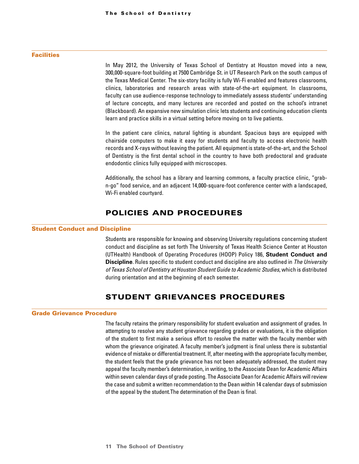#### **Facilities**

In May 2012, the University of Texas School of Dentistry at Houston moved into a new, 300,000-square-foot building at 7500 Cambridge St. in UT Research Park on the south campus of the Texas Medical Center. The six-story facility is fully Wi-Fi enabled and features classrooms, clinics, laboratories and research areas with state-of-the-art equipment. In classrooms, faculty can use audience-response technology to immediately assess students' understanding of lecture concepts, and many lectures are recorded and posted on the school's intranet (Blackboard). An expansive new simulation clinic lets students and continuing education clients learn and practice skills in a virtual setting before moving on to live patients.

In the patient care clinics, natural lighting is abundant. Spacious bays are equipped with chairside computers to make it easy for students and faculty to access electronic health records and X-rays without leaving the patient. All equipment is state-of-the-art, and the School of Dentistry is the first dental school in the country to have both predoctoral and graduate endodontic clinics fully equipped with microscopes.

Additionally, the school has a library and learning commons, a faculty practice clinic, "grabn-go" food service, and an adjacent 14,000-square-foot conference center with a landscaped, Wi-Fi enabled courtyard.

## POLICIES AND PROCEDURES

#### Student Conduct and Discipline

Students are responsible for knowing and observing University regulations concerning student conduct and discipline as set forth The University of Texas Health Science Center at Houston (UTHealth) Handbook of Operating Procedures (HOOP) Policy 186, **Student Conduct and Discipline**. Rules specific to student conduct and discipline are also outlined in *The University of Texas School of Dentistry at Houston Student Guide to Academic Studies*, which is distributed during orientation and at the beginning of each semester.

### STUDENT GRIEVANCES PROCEDURES

#### Grade Grievance Procedure

The faculty retains the primary responsibility for student evaluation and assignment of grades. In attempting to resolve any student grievance regarding grades or evaluations, it is the obligation of the student to first make a serious effort to resolve the matter with the faculty member with whom the grievance originated. A faculty member's judgment is final unless there is substantial evidence of mistake or differential treatment. If, after meeting with the appropriate faculty member, the student feels that the grade grievance has not been adequately addressed, the student may appeal the faculty member's determination, in writing, to the Associate Dean for Academic Affairs within seven calendar days of grade posting. The Associate Dean for Academic Affairs will review the case and submit a written recommendation to the Dean within 14 calendar days of submission of the appeal by the student.The determination of the Dean is final.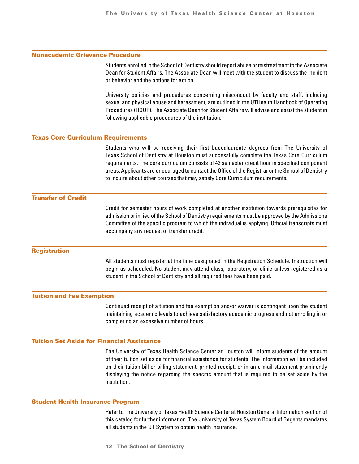#### Nonacademic Grievance Procedure

Students enrolled in the School of Dentistry should report abuse or mistreatment to the Associate Dean for Student Affairs. The Associate Dean will meet with the student to discuss the incident or behavior and the options for action.

University policies and procedures concerning misconduct by faculty and staff, including sexual and physical abuse and harassment, are outlined in the UTHealth Handbook of Operating Procedures (HOOP). The Associate Dean for Student Affairs will advise and assist the student in following applicable procedures of the institution.

#### Texas Core Curriculum Requirements

Students who will be receiving their first baccalaureate degrees from The University of Texas School of Dentistry at Houston must successfully complete the Texas Core Curriculum requirements. The core curriculum consists of 42 semester credit hour in specified component areas. Applicants are encouraged to contact the Office of the Registrar or the School of Dentistry to inquire about other courses that may satisfy Core Curriculum requirements.

### Transfer of Credit

Credit for semester hours of work completed at another institution towards prerequisites for admission or in lieu of the School of Dentistry requirements must be approved by the Admissions Committee of the specific program to which the individual is applying. Official transcripts must accompany any request of transfer credit.

#### Registration

All students must register at the time designated in the Registration Schedule. Instruction will begin as scheduled. No student may attend class, laboratory, or clinic unless registered as a student in the School of Dentistry and all required fees have been paid.

#### Tuition and Fee Exemption

Continued receipt of a tuition and fee exemption and/or waiver is contingent upon the student maintaining academic levels to achieve satisfactory academic progress and not enrolling in or completing an excessive number of hours.

#### Tuition Set Aside for Financial Assistance

The University of Texas Health Science Center at Houston will inform students of the amount of their tuition set aside for financial assistance for students. The information will be included on their tuition bill or billing statement, printed receipt, or in an e-mail statement prominently displaying the notice regarding the specific amount that is required to be set aside by the institution.

#### Student Health Insurance Program

Refer to The University of Texas Health Science Center at Houston General Information section of this catalog for further information. The University of Texas System Board of Regents mandates all students in the UT System to obtain health insurance.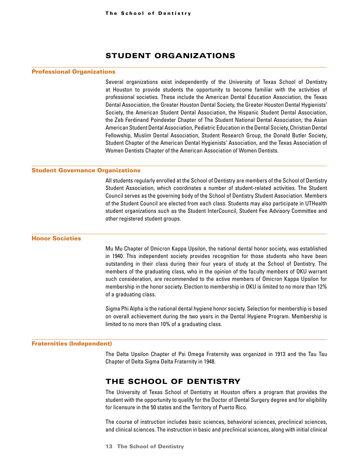## STUDENT ORGANIZATIONS

#### Professional Organizations

Several organizations exist independently of the University of Texas School of Dentistry at Houston to provide students the opportunity to become familiar with the activities of professional societies. These include the American Dental Education Association, the Texas Dental Association, the Greater Houston Dental Society, the Greater Houston Dental Hygienists' Society, the American Student Dental Association, the Hispanic Student Dental Association, the Zeb Ferdinand Poindexter Chapter of The Student National Dental Association, the Asian American Student Dental Association, Pediatric Education in the Dental Society, Christian Dental Fellowship, Muslim Dental Association, Student Research Group, the Donald Butler Society, Student Chapter of the American Dental Hygienists' Association, and the Texas Association of Women Dentists Chapter of the American Association of Women Dentists.

#### Student Governance Organizations

All students regularly enrolled at the School of Dentistry are members of the School of Dentistry Student Association, which coordinates a number of student-related activities. The Student Council serves as the governing body of the School of Dentistry Student Association. Members of the Student Council are elected from each class. Students may also participate in UTHealth student organizations such as the Student InterCouncil, Student Fee Advisory Committee and other registered student groups.

### Honor Societies

Mu Mu Chapter of Omicron Kappa Upsilon, the national dental honor society, was established in 1940. This independent society provides recognition for those students who have been outstanding in their class during their four years of study at the School of Dentistry. The members of the graduating class, who in the opinion of the faculty members of OKU warrant such consideration, are recommended to the active members of Omicron Kappa Upsilon for membership in the honor society. Election to membership in OKU is limited to no more than 12% of a graduating class.

Sigma Phi Alpha is the national dental hygiene honor society. Selection for membership is based on overall achievement during the two years in the Dental Hygiene Program. Membership is limited to no more than 10% of a graduating class.

#### Fraternities (Independent)

The Delta Upsilon Chapter of Psi Omega Fraternity was organized in 1913 and the Tau Tau Chapter of Delta Sigma Delta Fraternity in 1948.

### THE SCHOOL OF DENTISTRY

The University of Texas School of Dentistry at Houston offers a program that provides the student with the opportunity to qualify for the Doctor of Dental Surgery degree and for eligibility for licensure in the 50 states and the Territory of Puerto Rico.

The course of instruction includes basic sciences, behavioral sciences, preclinical sciences, and clinical sciences. The instruction in basic and preclinical sciences, along with initial clinical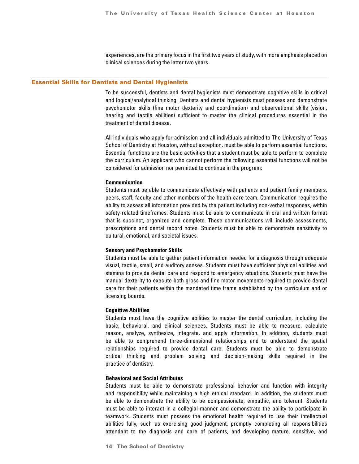experiences, are the primary focus in the first two years of study, with more emphasis placed on clinical sciences during the latter two years.

#### Essential Skills for Dentists and Dental Hygienists

To be successful, dentists and dental hygienists must demonstrate cognitive skills in critical and logical/analytical thinking. Dentists and dental hygienists must possess and demonstrate psychomotor skills (fine motor dexterity and coordination) and observational skills (vision, hearing and tactile abilities) sufficient to master the clinical procedures essential in the treatment of dental disease.

All individuals who apply for admission and all individuals admitted to The University of Texas School of Dentistry at Houston, without exception, must be able to perform essential functions. Essential functions are the basic activities that a student must be able to perform to complete the curriculum. An applicant who cannot perform the following essential functions will not be considered for admission nor permitted to continue in the program:

#### **Communication**

Students must be able to communicate effectively with patients and patient family members, peers, staff, faculty and other members of the health care team. Communication requires the ability to assess all information provided by the patient including non-verbal responses, within safety-related timeframes. Students must be able to communicate in oral and written format that is succinct, organized and complete. These communications will include assessments, prescriptions and dental record notes. Students must be able to demonstrate sensitivity to cultural, emotional, and societal issues.

#### **Sensory and Psychomotor Skills**

Students must be able to gather patient information needed for a diagnosis through adequate visual, tactile, smell, and auditory senses. Students must have sufficient physical abilities and stamina to provide dental care and respond to emergency situations. Students must have the manual dexterity to execute both gross and fine motor movements required to provide dental care for their patients within the mandated time frame established by the curriculum and or licensing boards.

#### **Cognitive Abilities**

Students must have the cognitive abilities to master the dental curriculum, including the basic, behavioral, and clinical sciences. Students must be able to measure, calculate reason, analyze, synthesize, integrate, and apply information. In addition, students must be able to comprehend three-dimensional relationships and to understand the spatial relationships required to provide dental care. Students must be able to demonstrate critical thinking and problem solving and decision-making skills required in the practice of dentistry.

#### **Behavioral and Social Attributes**

Students must be able to demonstrate professional behavior and function with integrity and responsibility while maintaining a high ethical standard. In addition, the students must be able to demonstrate the ability to be compassionate, empathic, and tolerant. Students must be able to interact in a collegial manner and demonstrate the ability to participate in teamwork. Students must possess the emotional health required to use their intellectual abilities fully, such as exercising good judgment, promptly completing all responsibilities attendant to the diagnosis and care of patients, and developing mature, sensitive, and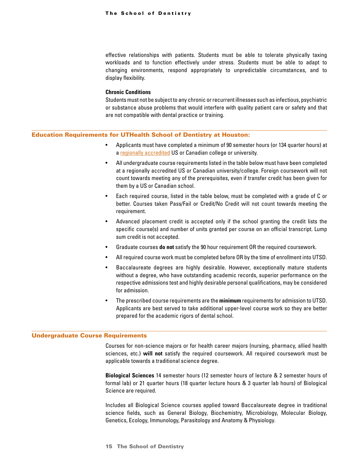effective relationships with patients. Students must be able to tolerate physically taxing workloads and to function effectively under stress. Students must be able to adapt to changing environments, respond appropriately to unpredictable circumstances, and to display flexibility.

#### **Chronic Conditions**

Students must not be subject to any chronic or recurrent illnesses such as infectious, psychiatric or substance abuse problems that would interfere with quality patient care or safety and that are not compatible with dental practice or training.

#### Education Requirements for UTHealth School of Dentistry at Houston:

- Applicants must have completed a minimum of 90 semester hours (or 134 quarter hours) at a [regionally accredited](http://www.chea.org/Directories/regional.asp) US or Canadian college or university.
- All undergraduate course requirements listed in the table below must have been completed at a regionally accredited US or Canadian university/college. Foreign coursework will not count towards meeting any of the prerequisites, even if transfer credit has been given for them by a US or Canadian school.
- Each required course, listed in the table below, must be completed with a grade of C or better. Courses taken Pass/Fail or Credit/No Credit will not count towards meeting the requirement.
- Advanced placement credit is accepted only if the school granting the credit lists the specific course(s) and number of units granted per course on an official transcript. Lump sum credit is not accepted.
- Graduate courses **do not** satisfy the 90 hour requirement OR the required coursework.
- All required course work must be completed before OR by the time of enrollment into UTSD.
- Baccalaureate degrees are highly desirable. However, exceptionally mature students without a degree, who have outstanding academic records, superior performance on the respective admissions test and highly desirable personal qualifications, may be considered for admission.
- The prescribed course requirements are the **minimum** requirements for admission to UTSD. Applicants are best served to take additional upper-level course work so they are better prepared for the academic rigors of dental school.

#### Undergraduate Course Requirements

Courses for non-science majors or for health career majors (nursing, pharmacy, allied health sciences, etc.) **will not** satisfy the required coursework. All required coursework must be applicable towards a traditional science degree.

**Biological Sciences** 14 semester hours (12 semester hours of lecture & 2 semester hours of formal lab) or 21 quarter hours (18 quarter lecture hours & 3 quarter lab hours) of Biological Science are required.

Includes all Biological Science courses applied toward Baccalaureate degree in traditional science fields, such as General Biology, Biochemistry, Microbiology, Molecular Biology, Genetics, Ecology, Immunology, Parasitology and Anatomy & Physiology.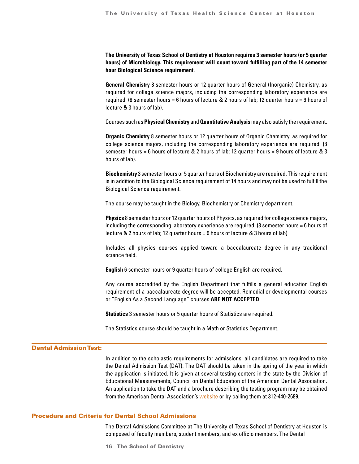**The University of Texas School of Dentistry at Houston requires 3 semester hours (or 5 quarter hours) of Microbiology. This requirement will count toward fulfilling part of the 14 semester hour Biological Science requirement.**

**General Chemistry** 8 semester hours or 12 quarter hours of General (Inorganic) Chemistry, as required for college science majors, including the corresponding laboratory experience are required. (8 semester hours = 6 hours of lecture & 2 hours of lab; 12 quarter hours = 9 hours of lecture & 3 hours of lab).

Courses such as **Physical Chemistry** and **Quantitative Analysis** may also satisfy the requirement.

**Organic Chemistry** 8 semester hours or 12 quarter hours of Organic Chemistry, as required for college science majors, including the corresponding laboratory experience are required. (8 semester hours = 6 hours of lecture & 2 hours of lab; 12 quarter hours = 9 hours of lecture & 3 hours of lab).

**Biochemistry** 3 semester hours or 5 quarter hours of Biochemistry are required. This requirement is in addition to the Biological Science requirement of 14 hours and may not be used to fulfill the Biological Science requirement.

The course may be taught in the Biology, Biochemistry or Chemistry department.

**Physics** 8 semester hours or 12 quarter hours of Physics, as required for college science majors, including the corresponding laboratory experience are required. (8 semester hours = 6 hours of lecture & 2 hours of lab; 12 quarter hours = 9 hours of lecture & 3 hours of lab)

Includes all physics courses applied toward a baccalaureate degree in any traditional science field.

**English** 6 semester hours or 9 quarter hours of college English are required.

Any course accredited by the English Department that fulfills a general education English requirement of a baccalaureate degree will be accepted. Remedial or developmental courses or "English As a Second Language" courses **ARE NOT ACCEPTED**.

**Statistics** 3 semester hours or 5 quarter hours of Statistics are required.

The Statistics course should be taught in a Math or Statistics Department.

#### Dental Admission Test:

In addition to the scholastic requirements for admissions, all candidates are required to take the Dental Admission Test (DAT). The DAT should be taken in the spring of the year in which the application is initiated. It is given at several testing centers in the state by the Division of Educational Measurements, Council on Dental Education of the American Dental Association. An application to take the DAT and a brochure describing the testing program may be obtained from the American Dental Association's [website](http://www.ada.org/en/education-careers/dental-admission-test/) or by calling them at 312-440-2689.

#### Procedure and Criteria for Dental School Admissions

The Dental Admissions Committee at The University of Texas School of Dentistry at Houston is composed of faculty members, student members, and ex officio members. The Dental

**16 The School of Dentistry**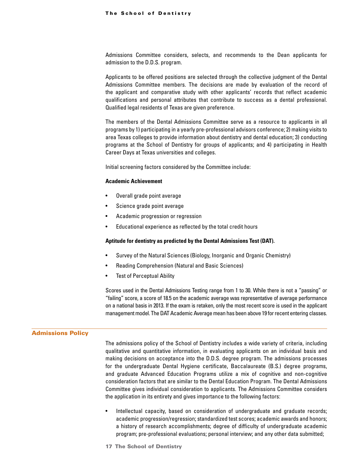#### The School of Dentistry

Admissions Committee considers, selects, and recommends to the Dean applicants for admission to the D.D.S. program.

Applicants to be offered positions are selected through the collective judgment of the Dental Admissions Committee members. The decisions are made by evaluation of the record of the applicant and comparative study with other applicants' records that reflect academic qualifications and personal attributes that contribute to success as a dental professional. Qualified legal residents of Texas are given preference.

The members of the Dental Admissions Committee serve as a resource to applicants in all programs by 1) participating in a yearly pre-professional advisors conference; 2) making visits to area Texas colleges to provide information about dentistry and dental education; 3) conducting programs at the School of Dentistry for groups of applicants; and 4) participating in Health Career Days at Texas universities and colleges.

Initial screening factors considered by the Committee include:

#### **Academic Achievement**

- Overall grade point average
- Science grade point average
- Academic progression or regression
- Educational experience as reflected by the total credit hours

#### **Aptitude for dentistry as predicted by the Dental Admissions Test (DAT).**

- Survey of the Natural Sciences (Biology, Inorganic and Organic Chemistry)
- Reading Comprehension (Natural and Basic Sciences)
- **Test of Perceptual Ability**

Scores used in the Dental Admissions Testing range from 1 to 30. While there is not a "passing" or "failing" score, a score of 18.5 on the academic average was representative of average performance on a national basis in 2013. If the exam is retaken, only the most recent score is used in the applicant management model. The DAT Academic Average mean has been above 19 for recent entering classes.

#### Admissions Policy

The admissions policy of the School of Dentistry includes a wide variety of criteria, including qualitative and quantitative information, in evaluating applicants on an individual basis and making decisions on acceptance into the D.D.S. degree program. The admissions processes for the undergraduate Dental Hygiene certificate, Baccalaureate (B.S.) degree programs, and graduate Advanced Education Programs utilize a mix of cognitive and non-cognitive consideration factors that are similar to the Dental Education Program. The Dental Admissions Committee gives individual consideration to applicants. The Admissions Committee considers the application in its entirety and gives importance to the following factors:

- Intellectual capacity, based on consideration of undergraduate and graduate records; academic progression/regression; standardized test scores; academic awards and honors; a history of research accomplishments; degree of difficulty of undergraduate academic program; pre-professional evaluations; personal interview; and any other data submitted;
- 17 The School of Dentistry **Return to Table of Contents** The School of Dentistry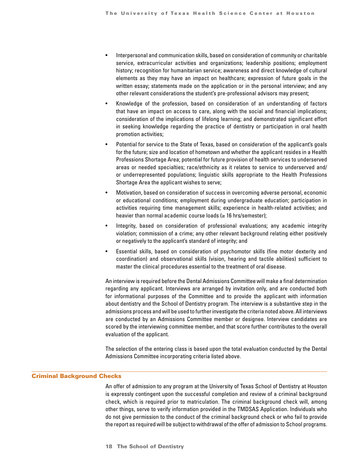- Interpersonal and communication skills, based on consideration of community or charitable service, extracurricular activities and organizations; leadership positions; employment history; recognition for humanitarian service; awareness and direct knowledge of cultural elements as they may have an impact on healthcare; expression of future goals in the written essay; statements made on the application or in the personal interview; and any other relevant considerations the student's pre-professional advisors may present;
- Knowledge of the profession, based on consideration of an understanding of factors that have an impact on access to care, along with the social and financial implications; consideration of the implications of lifelong learning; and demonstrated significant effort in seeking knowledge regarding the practice of dentistry or participation in oral health promotion activities;
- Potential for service to the State of Texas, based on consideration of the applicant's goals for the future; size and location of hometown and whether the applicant resides in a Health Professions Shortage Area; potential for future provision of health services to underserved areas or needed specialties; race/ethnicity as it relates to service to underserved and/ or underrepresented populations; linguistic skills appropriate to the Health Professions Shortage Area the applicant wishes to serve;
- Motivation, based on consideration of success in overcoming adverse personal, economic or educational conditions; employment during undergraduate education; participation in activities requiring time management skills; experience in health-related activities; and heavier than normal academic course loads ( $\geq 16$  hrs/semester);
- Integrity, based on consideration of professional evaluations; any academic integrity violation; commission of a crime; any other relevant background relating either positively or negatively to the applicant's standard of integrity; and
- Essential skills, based on consideration of psychomotor skills (fine motor dexterity and coordination) and observational skills (vision, hearing and tactile abilities) sufficient to master the clinical procedures essential to the treatment of oral disease.

An interview is required before the Dental Admissions Committee will make a final determination regarding any applicant. Interviews are arranged by invitation only, and are conducted both for informational purposes of the Committee and to provide the applicant with information about dentistry and the School of Dentistry program. The interview is a substantive step in the admissions process and will be used to further investigate the criteria noted above. All interviews are conducted by an Admissions Committee member or designee. Interview candidates are scored by the interviewing committee member, and that score further contributes to the overall evaluation of the applicant.

The selection of the entering class is based upon the total evaluation conducted by the Dental Admissions Committee incorporating criteria listed above.

#### Criminal Background Checks

An offer of admission to any program at the University of Texas School of Dentistry at Houston is expressly contingent upon the successful completion and review of a criminal background check, which is required prior to matriculation. The criminal background check will, among other things, serve to verify information provided in the TMDSAS Application. Individuals who do not give permission to the conduct of the criminal background check or who fail to provide the report as required will be subject to withdrawal of the offer of admission to School programs.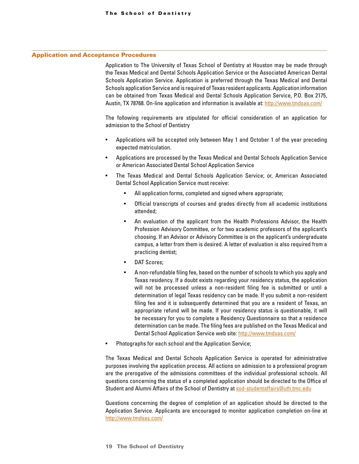#### Application and Acceptance Procedures

Application to The University of Texas School of Dentistry at Houston may be made through the Texas Medical and Dental Schools Application Service or the Associated American Dental Schools Application Service. Application is preferred through the Texas Medical and Dental Schools application Service and is required of Texas resident applicants. Application information can be obtained from Texas Medical and Dental Schools Application Service, P.O. Box 2175, Austin, TX 78768. On-line application and information is available at: <http://www.tmdsas.com/>

The following requirements are stipulated for official consideration of an application for admission to the School of Dentistry

- Applications will be accepted only between May 1 and October 1 of the year preceding expected matriculation.
- Applications are processed by the Texas Medical and Dental Schools Application Service or American Associated Dental School Application Service
- The Texas Medical and Dental Schools Application Service; or, American Associated Dental School Application Service must receive:
	- All application forms, completed and signed where appropriate;
	- Official transcripts of courses and grades directly from all academic institutions attended;
	- An evaluation of the applicant from the Health Professions Advisor, the Health Profession Advisory Committee, or for two academic professors of the applicant's choosing. If an Advisor or Advisory Committee is on the applicant's undergraduate campus, a letter from them is desired. A letter of evaluation is also required from a practicing dentist;
	- DAT Scores;
	- A non-refundable filing fee, based on the number of schools to which you apply and Texas residency. If a doubt exists regarding your residency status, the application will not be processed unless a non-resident filing fee is submitted or until a determination of legal Texas residency can be made. If you submit a non-resident filing fee and it is subsequently determined that you are a resident of Texas, an appropriate refund will be made. If your residency status is questionable, it will be necessary for you to complete a Residency Questionnaire so that a residence determination can be made. The filing fees are published on the Texas Medical and Dental School Application Service web site: <http://www.tmdsas.com/>
- Photographs for each school and the Application Service;

The Texas Medical and Dental Schools Application Service is operated for administrative purposes involving the application process. All actions on admission to a professional program are the prerogative of the admissions committees of the individual professional schools. All questions concerning the status of a completed application should be directed to the Office of Student and Alumni Affairs of the School of Dentistry at <sod-studentaffairs@uth.tmc.edu>

Questions concerning the degree of completion of an application should be directed to the Application Service. Applicants are encouraged to monitor application completion on-line at <http://www.tmdsas.com/>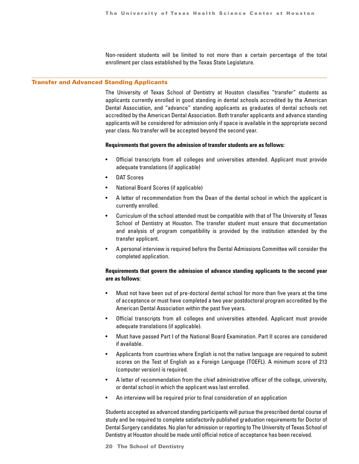Non-resident students will be limited to not more than a certain percentage of the total enrollment per class established by the Texas State Legislature.

#### Transfer and Advanced Standing Applicants

The University of Texas School of Dentistry at Houston classifies "transfer" students as applicants currently enrolled in good standing in dental schools accredited by the American Dental Association, and "advance" standing applicants as graduates of dental schools not accredited by the American Dental Association. Both transfer applicants and advance standing applicants will be considered for admission only if space is available in the appropriate second year class. No transfer will be accepted beyond the second year.

#### **Requirements that govern the admission of transfer students are as follows:**

- Official transcripts from all colleges and universities attended. Applicant must provide adequate translations (if applicable)
- DAT Scores
- National Board Scores (if applicable)
- A letter of recommendation from the Dean of the dental school in which the applicant is currently enrolled.
- Curriculum of the school attended must be compatible with that of The University of Texas School of Dentistry at Houston. The transfer student must ensure that documentation and analysis of program compatibility is provided by the institution attended by the transfer applicant.
- A personal interview is required before the Dental Admissions Committee will consider the completed application.

### **Requirements that govern the admission of advance standing applicants to the second year are as follows:**

- Must not have been out of pre-doctoral dental school for more than five years at the time of acceptance or must have completed a two year postdoctoral program accredited by the American Dental Association within the past five years.
- Official transcripts from all colleges and universities attended. Applicant must provide adequate translations (if applicable).
- Must have passed Part I of the National Board Examination. Part II scores are considered if available.
- Applicants from countries where English is not the native language are required to submit scores on the Test of English as a Foreign Language (TOEFL). A minimum score of 213 (computer version) is required.
- A letter of recommendation from the chief administrative officer of the college, university, or dental school in which the applicant was last enrolled.
- An interview will be required prior to final consideration of an application

Students accepted as advanced standing participants will pursue the prescribed dental course of study and be required to complete satisfactorily published graduation requirements for Doctor of Dental Surgery candidates. No plan for admission or reporting to The University of Texas School of Dentistry at Houston should be made until official notice of acceptance has been received.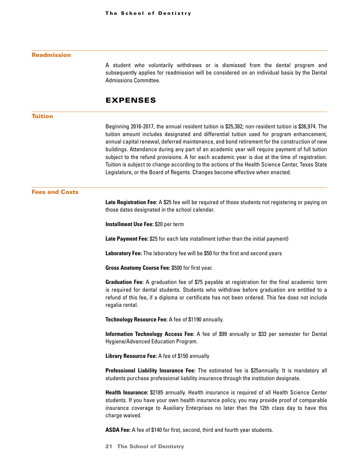### Readmission

A student who voluntarily withdraws or is dismissed from the dental program and subsequently applies for readmission will be considered on an individual basis by the Dental Admissions Committee.

### EXPENSES

#### Tuition

Beginning 2016-2017, the annual resident tuition is \$25,382; non-resident tuition is \$36,974. The tuition amount includes designated and differential tuition used for program enhancement, annual capital renewal, deferred maintenance, and bond retirement for the construction of new buildings. Attendance during any part of an academic year will require payment of full tuition subject to the refund provisions. A for each academic year is due at the time of registration. Tuition is subject to change according to the actions of the Health Science Center, Texas State Legislature, or the Board of Regents. Changes become effective when enacted.

#### Fees and Costs

**Late Registration Fee:** A \$25 fee will be required of those students not registering or paying on those dates designated in the school calendar.

**Installment Use Fee:** \$20 per term

**Late Payment Fee:** \$25 for each late installment (other than the initial payment)

**Laboratory Fee:** The laboratory fee will be \$50 for the first and second years

**Gross Anatomy Course Fee:** \$500 for first year.

**Graduation Fee:** A graduation fee of \$75 payable at registration for the final academic term is required for dental students. Students who withdraw before graduation are entitled to a refund of this fee, if a diploma or certificate has not been ordered. This fee does not include regalia rental.

**Technology Resource Fee:** A fee of \$1190 annually.

**Information Technology Access Fee:** A fee of \$99 annually or \$33 per semester for Dental Hygiene/Advanced Education Program.

**Library Resource Fee:** A fee of \$150 annually

**Professional Liability Insurance Fee:** The estimated fee is \$25annually. It is mandatory all students purchase professional liability insurance through the institution designate.

**Health Insurance:** \$2185 annually. Health insurance is required of all Health Science Center students. If you have your own health insurance policy, you may provide proof of comparable insurance coverage to Auxiliary Enterprises no later than the 12th class day to have this charge waived.

**ASDA Fee:** A fee of \$140 for first, second, third and fourth year students.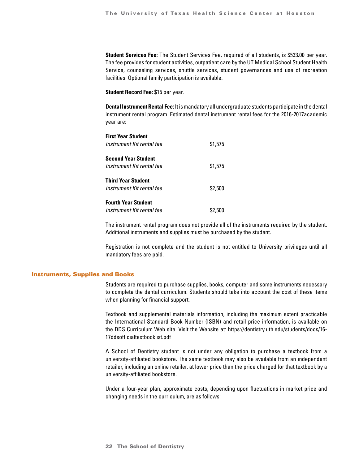**Student Services Fee:** The Student Services Fee, required of all students, is \$533.00 per year. The fee provides for student activities, outpatient care by the UT Medical School Student Health Service, counseling services, shuttle services, student governances and use of recreation facilities. Optional family participation is available.

**Student Record Fee:** \$15 per year.

**Dental Instrument Rental Fee:** It is mandatory all undergraduate students participate in the dental instrument rental program. Estimated dental instrument rental fees for the 2016-2017academic year are:

| <b>First Year Student</b>  |         |
|----------------------------|---------|
| Instrument Kit rental fee  | \$1,575 |
| <b>Second Year Student</b> |         |
| Instrument Kit rental fee  | \$1,575 |
| <b>Third Year Student</b>  |         |
| Instrument Kit rental fee  | \$2,500 |
| <b>Fourth Year Student</b> |         |
| Instrument Kit rental fee  | \$2,500 |

The instrument rental program does not provide all of the instruments required by the student. Additional instruments and supplies must be purchased by the student.

Registration is not complete and the student is not entitled to University privileges until all mandatory fees are paid.

#### Instruments, Supplies and Books

Students are required to purchase supplies, books, computer and some instruments necessary to complete the dental curriculum. Students should take into account the cost of these items when planning for financial support.

Textbook and supplemental materials information, including the maximum extent practicable the International Standard Book Number (ISBN) and retail price information, is available on the DDS Curriculum Web site. Visit the Website at: https://dentistry.uth.edu/students/docs/16- 17ddsofficialtextbooklist.pdf

A School of Dentistry student is not under any obligation to purchase a textbook from a university-affiliated bookstore. The same textbook may also be available from an independent retailer, including an online retailer, at lower price than the price charged for that textbook by a university-affiliated bookstore.

Under a four-year plan, approximate costs, depending upon fluctuations in market price and changing needs in the curriculum, are as follows: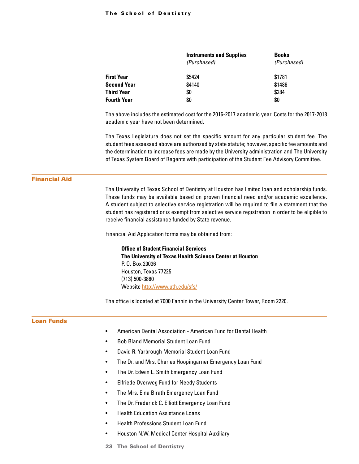#### The School of Dentistry

| <b>Instruments and Supplies</b> | <b>Books</b> |  |
|---------------------------------|--------------|--|
| (Purchased)                     | (Purchased)  |  |
| \$5424                          | \$1781       |  |
| \$4140                          | \$1486       |  |
| \$0                             | \$284        |  |
| \$0                             | \$0          |  |
|                                 |              |  |

The above includes the estimated cost for the 2016-2017 academic year. Costs for the 2017-2018 academic year have not been determined.

The Texas Legislature does not set the specific amount for any particular student fee. The student fees assessed above are authorized by state statute; however, specific fee amounts and the determination to increase fees are made by the University administration and The University of Texas System Board of Regents with participation of the Student Fee Advisory Committee.

#### Financial Aid

The University of Texas School of Dentistry at Houston has limited loan and scholarship funds. These funds may be available based on proven financial need and/or academic excellence. A student subject to selective service registration will be required to file a statement that the student has registered or is exempt from selective service registration in order to be eligible to receive financial assistance funded by State revenue.

Financial Aid Application forms may be obtained from:

**Office of Student Financial Services The University of Texas Health Science Center at Houston** P. O. Box 20036 Houston, Texas 77225 (713) 500-3860 Website [http://www.uth.edu/sfs/](https://www.uth.edu/sfs/)

The office is located at 7000 Fannin in the University Center Tower, Room 2220.

#### Loan Funds

- American Dental Association American Fund for Dental Health
- Bob Bland Memorial Student Loan Fund
- David R. Yarbrough Memorial Student Loan Fund
- The Dr. and Mrs. Charles Hoopingarner Emergency Loan Fund
- The Dr. Edwin L. Smith Emergency Loan Fund
- Elfriede Overweg Fund for Needy Students
- The Mrs. Elna Birath Emergency Loan Fund
- The Dr. Frederick C. Elliott Emergency Loan Fund
- Health Education Assistance Loans
- Health Professions Student Loan Fund
- Houston N.W. Medical Center Hospital Auxiliary
- **23 The School of Dentistry**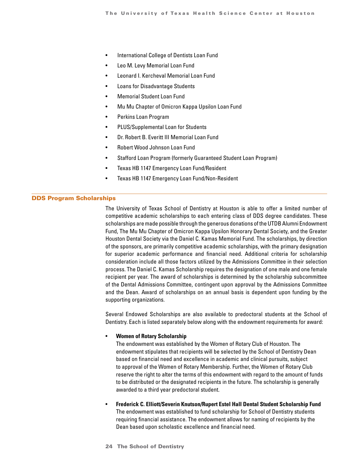- International College of Dentists Loan Fund
- Leo M. Levy Memorial Loan Fund
- Leonard I. Kercheval Memorial Loan Fund
- Loans for Disadvantage Students
- Memorial Student Loan Fund
- Mu Mu Chapter of Omicron Kappa Upsilon Loan Fund
- Perkins Loan Program
- PLUS/Supplemental Loan for Students
- Dr. Robert B. Everitt III Memorial Loan Fund
- Robert Wood Johnson Loan Fund
- Stafford Loan Program (formerly Guaranteed Student Loan Program)
- Texas HB 1147 Emergency Loan Fund/Resident
- Texas HB 1147 Emergency Loan Fund/Non-Resident

#### DDS Program Scholarships

The University of Texas School of Dentistry at Houston is able to offer a limited number of competitive academic scholarships to each entering class of DDS degree candidates. These scholarships are made possible through the generous donations of the UTDB Alumni Endowment Fund, The Mu Mu Chapter of Omicron Kappa Upsilon Honorary Dental Society, and the Greater Houston Dental Society via the Daniel C. Kamas Memorial Fund. The scholarships, by direction of the sponsors, are primarily competitive academic scholarships, with the primary designation for superior academic performance and financial need. Additional criteria for scholarship consideration include all those factors utilized by the Admissions Committee in their selection process. The Daniel C. Kamas Scholarship requires the designation of one male and one female recipient per year. The award of scholarships is determined by the scholarship subcommittee of the Dental Admissions Committee, contingent upon approval by the Admissions Committee and the Dean. Award of scholarships on an annual basis is dependent upon funding by the supporting organizations.

Several Endowed Scholarships are also available to predoctoral students at the School of Dentistry. Each is listed separately below along with the endowment requirements for award:

#### • **Women of Rotary Scholarship**

The endowment was established by the Women of Rotary Club of Houston. The endowment stipulates that recipients will be selected by the School of Dentistry Dean based on financial need and excellence in academic and clinical pursuits, subject to approval of the Women of Rotary Membership. Further, the Women of Rotary Club reserve the right to alter the terms of this endowment with regard to the amount of funds to be distributed or the designated recipients in the future. The scholarship is generally awarded to a third year predoctoral student.

• **Frederick C. Elliott/Severin Knutson/Rupert Estel Hall Dental Student Scholarship Fund** The endowment was established to fund scholarship for School of Dentistry students requiring financial assistance. The endowment allows for naming of recipients by the Dean based upon scholastic excellence and financial need.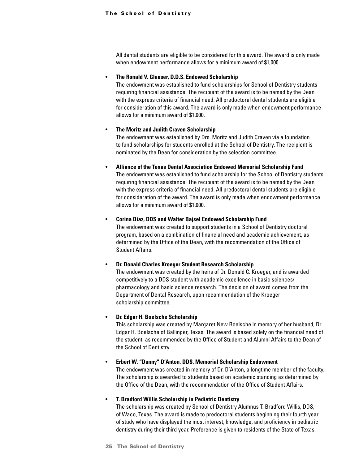All dental students are eligible to be considered for this award. The award is only made when endowment performance allows for a minimum award of \$1,000.

#### • **The Ronald V. Glauser, D.D.S. Endowed Scholarship**

The endowment was established to fund scholarships for School of Dentistry students requiring financial assistance. The recipient of the award is to be named by the Dean with the express criteria of financial need. All predoctoral dental students are eligible for consideration of this award. The award is only made when endowment performance allows for a minimum award of \$1,000.

#### • **The Moritz and Judith Craven Scholarship**

The endowment was established by Drs. Moritz and Judith Craven via a foundation to fund scholarships for students enrolled at the School of Dentistry. The recipient is nominated by the Dean for consideration by the selection committee.

#### • **Alliance of the Texas Dental Association Endowed Memorial Scholarship Fund**

The endowment was established to fund scholarship for the School of Dentistry students requiring financial assistance. The recipient of the award is to be named by the Dean with the express criteria of financial need. All predoctoral dental students are eligible for consideration of the award. The award is only made when endowment performance allows for a minimum award of \$1,000.

#### • **Corina Diaz, DDS and Walter Bajsel Endowed Scholarship Fund**

The endowment was created to support students in a School of Dentistry doctoral program, based on a combination of financial need and academic achievement, as determined by the Office of the Dean, with the recommendation of the Office of Student Affairs.

#### • **Dr. Donald Charles Kroeger Student Research Scholarship**

The endowment was created by the heirs of Dr. Donald C. Kroeger, and is awarded competitively to a DDS student with academic excellence in basic sciences/ pharmacology and basic science research. The decision of award comes from the Department of Dental Research, upon recommendation of the Kroeger scholarship committee.

#### • **Dr. Edgar H. Boelsche Scholarship**

This scholarship was created by Margaret New Boelsche in memory of her husband, Dr. Edgar H. Boelsche of Ballinger, Texas. The award is based solely on the financial need of the student, as recommended by the Office of Student and Alumni Affairs to the Dean of the School of Dentistry.

#### • **Erbert W. "Danny" D'Anton, DDS, Memorial Scholarship Endowment**

The endowment was created in memory of Dr. D'Anton, a longtime member of the faculty. The scholarship is awarded to students based on academic standing as determined by the Office of the Dean, with the recommendation of the Office of Student Affairs.

#### • **T. Bradford Willis Scholarship in Pediatric Dentistry**

The scholarship was created by School of Dentistry Alumnus T. Bradford Willis, DDS, of Waco, Texas. The award is made to predoctoral students beginning their fourth year of study who have displayed the most interest, knowledge, and proficiency in pediatric dentistry during their third year. Preference is given to residents of the State of Texas.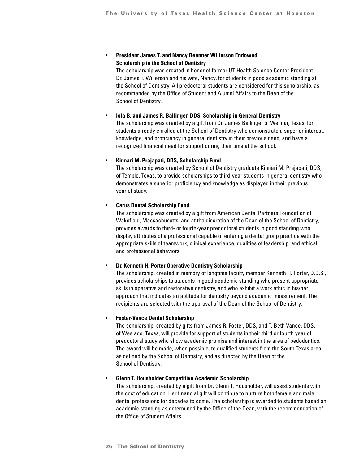### • **President James T. and Nancy Beamter Willerson Endowed Scholarship in the School of Dentistry**

The scholarship was created in honor of former UT Health Science Center President Dr. James T. Willerson and his wife, Nancy, for students in good academic standing at the School of Dentistry. All predoctoral students are considered for this scholarship, as recommended by the Office of Student and Alumni Affairs to the Dean of the School of Dentistry.

#### • **Iola B. and James R. Ballinger, DDS, Scholarship in General Dentistry**

The scholarship was created by a gift from Dr. James Ballinger of Weimar, Texas, for students already enrolled at the School of Dentistry who demonstrate a superior interest, knowledge, and proficiency in general dentistry in their previous need, and have a recognized financial need for support during their time at the school.

#### • **Kinnari M. Prajapati, DDS, Scholarship Fund**

The scholarship was created by School of Dentistry graduate Kinnari M. Prajapati, DDS, of Temple, Texas, to provide scholarships to third-year students in general dentistry who demonstrates a superior proficiency and knowledge as displayed in their previous year of study.

#### • **Carus Dental Scholarship Fund**

The scholarship was created by a gift from American Dental Partners Foundation of Wakefield, Massachusetts, and at the discretion of the Dean of the School of Dentistry, provides awards to third- or fourth-year predoctoral students in good standing who display attributes of a professional capable of entering a dental group practice with the appropriate skills of teamwork, clinical experience, qualities of leadership, and ethical and professional behaviors.

#### • **Dr. Kenneth H. Porter Operative Dentistry Scholarship**

The scholarship, created in memory of longtime faculty member Kenneth H. Porter, D.D.S., provides scholarships to students in good academic standing who present appropriate skills in operative and restorative dentistry, and who exhibit a work ethic in his/her approach that indicates an aptitude for dentistry beyond academic measurement. The recipients are selected with the approval of the Dean of the School of Dentistry.

#### • **Foster-Vance Dental Scholarship**

The scholarship, created by gifts from James R. Foster, DDS, and T. Beth Vance, DDS, of Weslaco, Texas, will provide for support of students in their third or fourth year of predoctoral study who show academic promise and interest in the area of pedodontics. The award will be made, when possible, to qualified students from the South Texas area, as defined by the School of Dentistry, and as directed by the Dean of the School of Dentistry.

#### • **Glenn T. Housholder Competitive Academic Scholarship**

The scholarship, created by a gift from Dr. Glenn T. Housholder, will assist students with the cost of education. Her financial gift will continue to nurture both female and male dental professions for decades to come. The scholarship is awarded to students based on academic standing as determined by the Office of the Dean, with the recommendation of the Office of Student Affairs.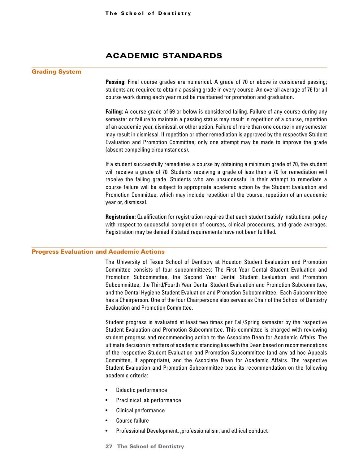## ACADEMIC STANDARDS

#### Grading System

**Passing:** Final course grades are numerical. A grade of 70 or above is considered passing; students are required to obtain a passing grade in every course. An overall average of 76 for all course work during each year must be maintained for promotion and graduation.

**Failing:** A course grade of 69 or below is considered failing. Failure of any course during any semester or failure to maintain a passing status may result in repetition of a course, repetition of an academic year, dismissal, or other action. Failure of more than one course in any semester may result in dismissal. If repetition or other remediation is approved by the respective Student Evaluation and Promotion Committee, only one attempt may be made to improve the grade (absent compelling circumstances).

If a student successfully remediates a course by obtaining a minimum grade of 70, the student will receive a grade of 70. Students receiving a grade of less than a 70 for remediation will receive the failing grade. Students who are unsuccessful in their attempt to remediate a course failure will be subject to appropriate academic action by the Student Evaluation and Promotion Committee, which may include repetition of the course, repetition of an academic year or, dismissal.

**Registration:** Qualification for registration requires that each student satisfy institutional policy with respect to successful completion of courses, clinical procedures, and grade averages. Registration may be denied if stated requirements have not been fulfilled.

#### Progress Evaluation and Academic Actions

The University of Texas School of Dentistry at Houston Student Evaluation and Promotion Committee consists of four subcommittees: The First Year Dental Student Evaluation and Promotion Subcommittee, the Second Year Dental Student Evaluation and Promotion Subcommittee, the Third/Fourth Year Dental Student Evaluation and Promotion Subcommittee, and the Dental Hygiene Student Evaluation and Promotion Subcommittee. Each Subcommittee has a Chairperson. One of the four Chairpersons also serves as Chair of the School of Dentistry Evaluation and Promotion Committee.

Student progress is evaluated at least two times per Fall/Spring semester by the respective Student Evaluation and Promotion Subcommittee. This committee is charged with reviewing student progress and recommending action to the Associate Dean for Academic Affairs. The ultimate decision in matters of academic standing lies with the Dean based on recommendations of the respective Student Evaluation and Promotion Subcommittee (and any ad hoc Appeals Committee, if appropriate), and the Associate Dean for Academic Affairs. The respective Student Evaluation and Promotion Subcommittee base its recommendation on the following academic criteria:

- Didactic performance
- Preclinical lab performance
- Clinical performance
- Course failure
- Professional Development, ,professionalism, and ethical conduct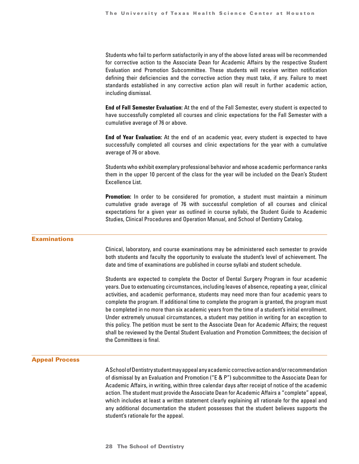Students who fail to perform satisfactorily in any of the above listed areas will be recommended for corrective action to the Associate Dean for Academic Affairs by the respective Student Evaluation and Promotion Subcommittee. These students will receive written notification defining their deficiencies and the corrective action they must take, if any. Failure to meet standards established in any corrective action plan will result in further academic action, including dismissal.

**End of Fall Semester Evaluation:** At the end of the Fall Semester, every student is expected to have successfully completed all courses and clinic expectations for the Fall Semester with a cumulative average of 76 or above.

**End of Year Evaluation:** At the end of an academic year, every student is expected to have successfully completed all courses and clinic expectations for the year with a cumulative average of 76 or above.

Students who exhibit exemplary professional behavior and whose academic performance ranks them in the upper 10 percent of the class for the year will be included on the Dean's Student Excellence List.

**Promotion:** In order to be considered for promotion, a student must maintain a minimum cumulative grade average of 76 with successful completion of all courses and clinical expectations for a given year as outlined in course syllabi, the Student Guide to Academic Studies, Clinical Procedures and Operation Manual, and School of Dentistry Catalog.

#### **Examinations**

Clinical, laboratory, and course examinations may be administered each semester to provide both students and faculty the opportunity to evaluate the student's level of achievement. The date and time of examinations are published in course syllabi and student schedule.

Students are expected to complete the Doctor of Dental Surgery Program in four academic years. Due to extenuating circumstances, including leaves of absence, repeating a year, clinical activities, and academic performance, students may need more than four academic years to complete the program. If additional time to complete the program is granted, the program must be completed in no more than six academic years from the time of a student's initial enrollment. Under extremely unusual circumstances, a student may petition in writing for an exception to this policy. The petition must be sent to the Associate Dean for Academic Affairs; the request shall be reviewed by the Dental Student Evaluation and Promotion Committees; the decision of the Committees is final.

#### Appeal Process

A School of Dentistry student may appeal any academic corrective action and/or recommendation of dismissal by an Evaluation and Promotion ("E & P") subcommittee to the Associate Dean for Academic Affairs, in writing, within three calendar days after receipt of notice of the academic action. The student must provide the Associate Dean for Academic Affairs a "complete" appeal, which includes at least a written statement clearly explaining all rationale for the appeal and any additional documentation the student possesses that the student believes supports the student's rationale for the appeal.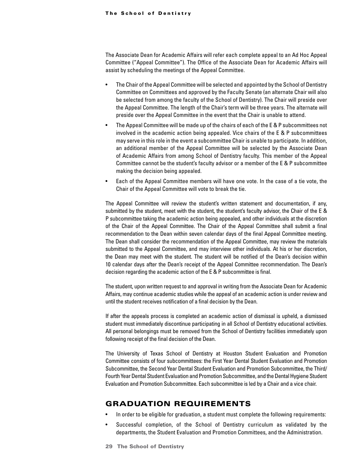The Associate Dean for Academic Affairs will refer each complete appeal to an Ad Hoc Appeal Committee ("Appeal Committee"). The Office of the Associate Dean for Academic Affairs will assist by scheduling the meetings of the Appeal Committee.

- The Chair of the Appeal Committee will be selected and appointed by the School of Dentistry Committee on Committees and approved by the Faculty Senate (an alternate Chair will also be selected from among the faculty of the School of Dentistry). The Chair will preside over the Appeal Committee. The length of the Chair's term will be three years. The alternate will preside over the Appeal Committee in the event that the Chair is unable to attend.
- The Appeal Committee will be made up of the chairs of each of the E & P subcommittees not involved in the academic action being appealed. Vice chairs of the E & P subcommittees may serve in this role in the event a subcommittee Chair is unable to participate. In addition, an additional member of the Appeal Committee will be selected by the Associate Dean of Academic Affairs from among School of Dentistry faculty. This member of the Appeal Committee cannot be the student's faculty advisor or a member of the E & P subcommittee making the decision being appealed.
- Each of the Appeal Committee members will have one vote. In the case of a tie vote, the Chair of the Appeal Committee will vote to break the tie.

The Appeal Committee will review the student's written statement and documentation, if any, submitted by the student, meet with the student, the student's faculty advisor, the Chair of the E & P subcommittee taking the academic action being appealed, and other individuals at the discretion of the Chair of the Appeal Committee. The Chair of the Appeal Committee shall submit a final recommendation to the Dean within seven calendar days of the final Appeal Committee meeting. The Dean shall consider the recommendation of the Appeal Committee, may review the materials submitted to the Appeal Committee, and may interview other individuals. At his or her discretion, the Dean may meet with the student. The student will be notified of the Dean's decision within 10 calendar days after the Dean's receipt of the Appeal Committee recommendation. The Dean's decision regarding the academic action of the E & P subcommittee is final.

The student, upon written request to and approval in writing from the Associate Dean for Academic Affairs, may continue academic studies while the appeal of an academic action is under review and until the student receives notification of a final decision by the Dean.

If after the appeals process is completed an academic action of dismissal is upheld, a dismissed student must immediately discontinue participating in all School of Dentistry educational activities. All personal belongings must be removed from the School of Dentistry facilities immediately upon following receipt of the final decision of the Dean.

The University of Texas School of Dentistry at Houston Student Evaluation and Promotion Committee consists of four subcommittees: the First Year Dental Student Evaluation and Promotion Subcommittee, the Second Year Dental Student Evaluation and Promotion Subcommittee, the Third/ Fourth Year Dental Student Evaluation and Promotion Subcommittee, and the Dental Hygiene Student Evaluation and Promotion Subcommittee. Each subcommittee is led by a Chair and a vice chair.

### GRADUATION REQUIREMENTS

- In order to be eligible for graduation, a student must complete the following requirements:
- Successful completion, of the School of Dentistry curriculum as validated by the departments, the Student Evaluation and Promotion Committees, and the Administration.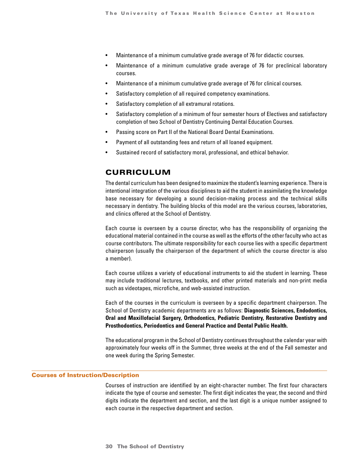- Maintenance of a minimum cumulative grade average of 76 for didactic courses.
- Maintenance of a minimum cumulative grade average of 76 for preclinical laboratory courses.
- Maintenance of a minimum cumulative grade average of 76 for clinical courses.
- Satisfactory completion of all required competency examinations.
- Satisfactory completion of all extramural rotations.
- Satisfactory completion of a minimum of four semester hours of Electives and satisfactory completion of two School of Dentistry Continuing Dental Education Courses.
- Passing score on Part II of the National Board Dental Examinations.
- Payment of all outstanding fees and return of all loaned equipment.
- Sustained record of satisfactory moral, professional, and ethical behavior.

### CURRICULUM

The dental curriculum has been designed to maximize the student's learning experience. There is intentional integration of the various disciplines to aid the student in assimilating the knowledge base necessary for developing a sound decision-making process and the technical skills necessary in dentistry. The building blocks of this model are the various courses, laboratories, and clinics offered at the School of Dentistry.

Each course is overseen by a course director, who has the responsibility of organizing the educational material contained in the course as well as the efforts of the other faculty who act as course contributors. The ultimate responsibility for each course lies with a specific department chairperson (usually the chairperson of the department of which the course director is also a member).

Each course utilizes a variety of educational instruments to aid the student in learning. These may include traditional lectures, textbooks, and other printed materials and non-print media such as videotapes, microfiche, and web-assisted instruction.

Each of the courses in the curriculum is overseen by a specific department chairperson. The School of Dentistry academic departments are as follows: **Diagnostic Sciences, Endodontics, Oral and Maxillofacial Surgery, Orthodontics, Pediatric Dentistry, Restorative Dentistry and Prosthodontics, Periodontics and General Practice and Dental Public Health.**

The educational program in the School of Dentistry continues throughout the calendar year with approximately four weeks off in the Summer, three weeks at the end of the Fall semester and one week during the Spring Semester.

#### Courses of Instruction/Description

Courses of instruction are identified by an eight-character number. The first four characters indicate the type of course and semester. The first digit indicates the year, the second and third digits indicate the department and section, and the last digit is a unique number assigned to each course in the respective department and section.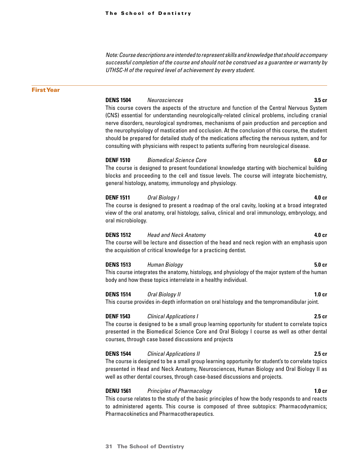*Note: Course descriptions are intended to represent skills and knowledge that should accompany successful completion of the course and should not be construed as a guarantee or warranty by UTHSC-H of the required level of achievement by every student.*

#### First Year

#### **DENS 1504** *Neurosciences* **3.5 cr**

This course covers the aspects of the structure and function of the Central Nervous System (CNS) essential for understanding neurologically-related clinical problems, including cranial nerve disorders, neurological syndromes, mechanisms of pain production and perception and the neurophysiology of mastication and occlusion. At the conclusion of this course, the student should be prepared for detailed study of the medications affecting the nervous system, and for consulting with physicians with respect to patients suffering from neurological disease.

#### **DENF 1510** *Biomedical Science Core* **6.0 cr**

The course is designed to present foundational knowledge starting with biochemical building blocks and proceeding to the cell and tissue levels. The course will integrate biochemistry, general histology, anatomy, immunology and physiology.

#### **DENF 1511** *Oral Biology I* **4.0 cr**

The course is designed to present a roadmap of the oral cavity, looking at a broad integrated view of the oral anatomy, oral histology, saliva, clinical and oral immunology, embryology, and oral microbiology.

#### **DENS 1512** *Head and Neck Anatomy* **4.0 cr**

The course will be lecture and dissection of the head and neck region with an emphasis upon the acquisition of critical knowledge for a practicing dentist.

#### **DENS 1513** *Human Biology* **5.0 cr**

This course integrates the anatomy, histology, and physiology of the major system of the human body and how these topics interrelate in a healthy individual.

**DENS 1514** *Oral Biology II* **1.0 cr** This course provides in-depth information on oral histology and the tempromandibular joint.

#### **DENF 1543** *Clinical Applications I* **2.5 cr**

The course is designed to be a small group learning opportunity for student to correlate topics presented in the Biomedical Science Core and Oral Biology I course as well as other dental courses, through case based discussions and projects

### **DENS 1544** *Clinical Applications II* **2.5 cr**

The course is designed to be a small group learning opportunity for student's to correlate topics presented in Head and Neck Anatomy, Neurosciences, Human Biology and Oral Biology II as well as other dental courses, through case-based discussions and projects.

#### **DENU 1561** *Principles of Pharmacology* **1.0 cr**

This course relates to the study of the basic principles of how the body responds to and reacts to administered agents. This course is composed of three subtopics: Pharmacodynamics; Pharmacokinetics and Pharmacotherapeutics.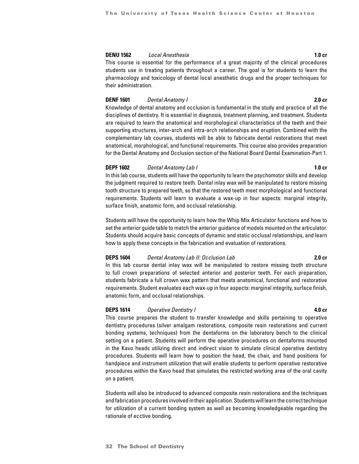### **DENU 1562** *Local Anesthesia* **1.0 cr**

This course is essential for the performance of a great majority of the clinical procedures students use in treating patients throughout a career. The goal is for students to learn the pharmacology and toxicology of dental local anesthetic drugs and the proper techniques for their administration.

### **DENF 1601** *Dental Anatomy I* **2.0 cr**

Knowledge of dental anatomy and occlusion is fundamental in the study and practice of all the disciplines of dentistry. It is essential in diagnosis, treatment planning, and treatment. Students are required to learn the anatomical and morphological characteristics of the teeth and their supporting structures, inter-arch and intra-arch relationships and eruption. Combined with the complementary lab courses, students will be able to fabricate dental restorations that meet anatomical, morphological, and functional requirements. This course also provides preparation for the Dental Anatomy and Occlusion section of the National Board Dental Examination-Part 1.

### **DEPF 1602** *Dental Anatomy Lab I* **1.0 cr**

In this lab course, students will have the opportunity to learn the psychomotor skills and develop the judgment required to restore teeth. Dental inlay wax will be manipulated to restore missing tooth structure to prepared teeth, so that the restored teeth meet morphological and functional requirements. Students will learn to evaluate a wax-up in four aspects: marginal integrity, surface finish, anatomic form, and occlusal relationship.

Students will have the opportunity to learn how the Whip Mix Articulator functions and how to set the anterior guide table to match the anterior guidance of models mounted on the articulator. Students should acquire basic concepts of dynamic and static occlusal relationships, and learn how to apply these concepts in the fabrication and evaluation of restorations.

### **DEPS 1604** *Dental Anatomy Lab II: Occlusion Lab* **2.0 cr**

In this lab course dental inlay wax will be manipulated to restore missing tooth structure to full crown preparations of selected anterior and posterior teeth. For each preparation, students fabricate a full crown wax pattern that meets anatomical, functional and restorative requirements. Student evaluates each wax-up in four aspects: marginal integrity, surface finish, anatomic form, and occlusal relationships.

### **DEPS 1614** *Operative Dentistry I* **4.0 cr**

This course prepares the student to transfer knowledge and skills pertaining to operative dentistry procedures (silver amalgam restorations, composite resin restorations and current bonding systems, techniques) from the dentaforms on the laboratory bench to the clinical setting on a patient. Students will perform the operative procedures on dentaforms mounted in the Kavo heads utilizing direct and indirect vision to simulate clinical operative dentistry procedures. Students will learn how to position the head, the chair, and hand positions for handpiece and instrument utilization that will enable students to perform operative restorative procedures within the Kavo head that simulates the restricted working area of the oral cavity on a patient.

Students will also be introduced to advanced composite resin restorations and the techniques and fabrication procedures involved in their application. Students will learn the correct technique for utilization of a current bonding system as well as becoming knowledgeable regarding the rationale of ecctive bonding.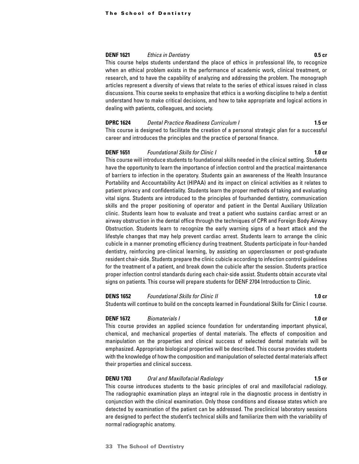### The School of Dentistry

### **DENF 1621** *Ethics in Dentistry* **0.5 cr**

This course helps students understand the place of ethics in professional life, to recognize when an ethical problem exists in the performance of academic work, clinical treatment, or research, and to have the capability of analyzing and addressing the problem. The monograph articles represent a diversity of views that relate to the series of ethical issues raised in class discussions. This course seeks to emphasize that ethics is a working discipline to help a dentist understand how to make critical decisions, and how to take appropriate and logical actions in dealing with patients, colleagues, and society.

# **DPRC 1624** *Dental Practice Readiness Curriculum I* **1.5 cr**

This course is designed to facilitate the creation of a personal strategic plan for a successful career and introduces the principles and the practice of personal finance.

### **DENF 1651** *Foundational Skills for Clinic I* **1.0 cr**

This course will introduce students to foundational skills needed in the clinical setting. Students have the opportunity to learn the importance of infection control and the practical maintenance of barriers to infection in the operatory. Students gain an awareness of the Health Insurance Portability and Accountability Act (HIPAA) and its impact on clinical activities as it relates to patient privacy and confidentiality. Students learn the proper methods of taking and evaluating vital signs. Students are introduced to the principles of fourhanded dentistry, communication skills and the proper positioning of operator and patient in the Dental Auxiliary Utilization clinic. Students learn how to evaluate and treat a patient who sustains cardiac arrest or an airway obstruction in the dental office through the techniques of CPR and Foreign Body Airway Obstruction. Students learn to recognize the early warning signs of a heart attack and the lifestyle changes that may help prevent cardiac arrest. Students learn to arrange the clinic cubicle in a manner promoting efficiency during treatment. Students participate in four-handed dentistry, reinforcing pre-clinical learning, by assisting an upperclassmen or post-graduate resident chair-side. Students prepare the clinic cubicle according to infection control guidelines for the treatment of a patient, and break down the cubicle after the session. Students practice proper infection control standards during each chair-side assist. Students obtain accurate vital signs on patients. This course will prepare students for DENF 2704 Introduction to Clinic.

### **DENS 1652** *Foundational Skills for Clinic II* **1.0 cr** Students will continue to build on the concepts learned in Foundational Skills for Clinic I course.

### **DENF 1672** *Biomaterials I* **1.0 cr**

This course provides an applied science foundation for understanding important physical, chemical, and mechanical properties of dental materials. The effects of composition and manipulation on the properties and clinical success of selected dental materials will be emphasized. Appropriate biological properties will be described. This course provides students with the knowledge of how the composition and manipulation of selected dental materials affect their properties and clinical success.

### **DENU 1703** *Oral and Maxillofacial Radiology* **1.5 cr**

This course introduces students to the basic principles of oral and maxillofacial radiology. The radiographic examination plays an integral role in the diagnostic process in dentistry in conjunction with the clinical examination. Only those conditions and disease states which are detected by examination of the patient can be addressed. The preclinical laboratory sessions are designed to perfect the student's technical skills and familiarize them with the variability of normal radiographic anatomy.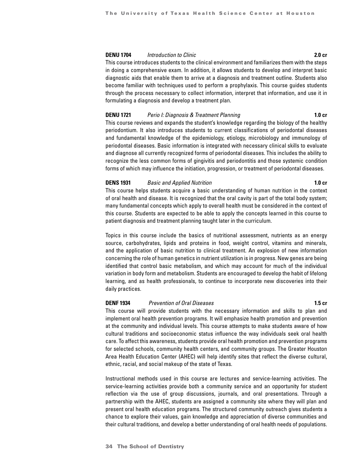### **DENU 1704** *Introduction to Clinic* **2.0 cr**

This course introduces students to the clinical environment and familiarizes them with the steps in doing a comprehensive exam. In addition, it allows students to develop and interpret basic diagnostic aids that enable them to arrive at a diagnosis and treatment outline. Students also become familiar with techniques used to perform a prophylaxis. This course guides students through the process necessary to collect information, interpret that information, and use it in formulating a diagnosis and develop a treatment plan.

# **DENU 1721** *Perio I: Diagnosis & Treatment Planning* **1.0 cr**

This course reviews and expands the student's knowledge regarding the biology of the healthy periodontium. It also introduces students to current classifications of periodontal diseases and fundamental knowledge of the epidemiology, etiology, microbiology and immunology of periodontal diseases. Basic information is integrated with necessary clinical skills to evaluate and diagnose all currently recognized forms of periodontal diseases. This includes the ability to recognize the less common forms of gingivitis and periodontitis and those systemic condition forms of which may influence the initiation, progression, or treatment of periodontal diseases.

### **DENS 1931** *Basic and Applied Nutrition* **1.0 cr**

This course helps students acquire a basic understanding of human nutrition in the context of oral health and disease. It is recognized that the oral cavity is part of the total body system; many fundamental concepts which apply to overall health must be considered in the context of this course. Students are expected to be able to apply the concepts learned in this course to patient diagnosis and treatment planning taught later in the curriculum.

Topics in this course include the basics of nutritional assessment, nutrients as an energy source, carbohydrates, lipids and proteins in food, weight control, vitamins and minerals, and the application of basic nutrition to clinical treatment. An explosion of new information concerning the role of human genetics in nutrient utilization is in progress. New genes are being identified that control basic metabolism, and which may account for much of the individual variation in body form and metabolism. Students are encouraged to develop the habit of lifelong learning, and as health professionals, to continue to incorporate new discoveries into their daily practices.

### **DENF 1934** *Prevention of Oral Diseases* **1.5 cr**

This course will provide students with the necessary information and skills to plan and implement oral health prevention programs. It will emphasize health promotion and prevention at the community and individual levels. This course attempts to make students aware of how cultural traditions and socioeconomic status influence the way individuals seek oral health care. To affect this awareness, students provide oral health promotion and prevention programs for selected schools, community health centers, and community groups. The Greater Houston Area Health Education Center (AHEC) will help identify sites that reflect the diverse cultural, ethnic, racial, and social makeup of the state of Texas.

Instructional methods used in this course are lectures and service-learning activities. The service-learning activities provide both a community service and an opportunity for student reflection via the use of group discussions, journals, and oral presentations. Through a partnership with the AHEC, students are assigned a community site where they will plan and present oral health education programs. The structured community outreach gives students a chance to explore their values, gain knowledge and appreciation of diverse communities and their cultural traditions, and develop a better understanding of oral health needs of populations.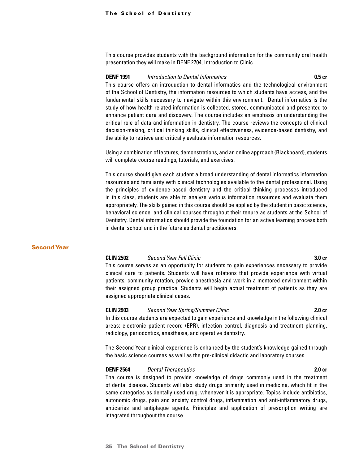This course provides students with the background information for the community oral health presentation they will make in DENF 2704, Introduction to Clinic.

### **DENF 1991** *Introduction to Dental Informatics* **0.5 cr**

This course offers an introduction to dental informatics and the technological environment of the School of Dentistry, the information resources to which students have access, and the fundamental skills necessary to navigate within this environment. Dental informatics is the study of how health related information is collected, stored, communicated and presented to enhance patient care and discovery. The course includes an emphasis on understanding the critical role of data and information in dentistry. The course reviews the concepts of clinical decision-making, critical thinking skills, clinical effectiveness, evidence-based dentistry, and the ability to retrieve and critically evaluate information resources.

Using a combination of lectures, demonstrations, and an online approach (Blackboard), students will complete course readings, tutorials, and exercises.

This course should give each student a broad understanding of dental informatics information resources and familiarity with clinical technologies available to the dental professional. Using the principles of evidence-based dentistry and the critical thinking processes introduced in this class, students are able to analyze various information resources and evaluate them appropriately. The skills gained in this course should be applied by the student in basic science, behavioral science, and clinical courses throughout their tenure as students at the School of Dentistry. Dental informatics should provide the foundation for an active learning process both in dental school and in the future as dental practitioners.

### Second Year

### **CLIN 2502** *Second Year Fall Clinic* **3.0 cr**

This course serves as an opportunity for students to gain experiences necessary to provide clinical care to patients. Students will have rotations that provide experience with virtual patients, community rotation, provide anesthesia and work in a mentored environment within their assigned group practice. Students will begin actual treatment of patients as they are assigned appropriate clinical cases.

### **CLIN 2503** *Second Year Spring/Summer Clinic* **2.0 cr**

In this course students are expected to gain experience and knowledge in the following clinical areas: electronic patient record (EPR), infection control, diagnosis and treatment planning, radiology, periodontics, anesthesia, and operative dentistry.

The Second Year clinical experience is enhanced by the student's knowledge gained through the basic science courses as well as the pre-clinical didactic and laboratory courses.

### **DENF 2564** *Dental Therapeutics* **2.0 cr**

The course is designed to provide knowledge of drugs commonly used in the treatment of dental disease. Students will also study drugs primarily used in medicine, which fit in the same categories as dentally used drug, whenever it is appropriate. Topics include antibiotics, autonomic drugs, pain and anxiety control drugs, inflammation and anti-inflammatory drugs, anticaries and antiplaque agents. Principles and application of prescription writing are integrated throughout the course.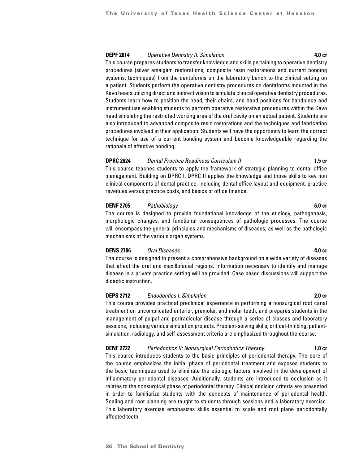# **DEPF 2614** *Operative Dentistry II: Simulation* **4.0 cr**

This course prepares students to transfer knowledge and skills pertaining to operative dentistry procedures (silver amalgam restorations, composite resin restorations and current bonding systems, techniques) from the dentaforms on the laboratory bench to the clinical setting on a patient. Students perform the operative dentistry procedures on dentaforms mounted in the Kavo heads utilizing direct and indirect vision to simulate clinical operative dentistry procedures. Students learn how to position the head, their chairs, and hand positions for handpiece and instrument use enabling students to perform operative restorative procedures within the Kavo head simulating the restricted working area of the oral cavity on an actual patient. Students are also introduced to advanced composite resin restorations and the techniques and fabrication procedures involved in their application. Students will have the opportunity to learn the correct technique for use of a current bonding system and become knowledgeable regarding the rationale of effective bonding.

# **DPRC 2624** *Dental Practice Readiness Curriculum II* **1.5 cr**

This course teaches students to apply the framework of strategic planning to dental office management. Building on DPRC I, DPRC II applies the knowledge and those skills to key non clinical components of dental practice, including dental office layout and equipment, practice revenues versus practice costs, and basics of office finance.

### **DENF 2705** *Pathobiology* **6.0 cr**

The course is designed to provide foundational knowledge of the etiology, pathogenesis, morphologic changes, and functional consequences of pathologic processes. The course will encompass the general principles and mechanisms of diseases, as well as the pathologic mechanisms of the various organ systems.

### **DENS 2706** *Oral Diseases* **4.0 cr**

The course is designed to present a comprehensive background on a wide variety of diseases that affect the oral and maxillofacial regions. Information necessary to identify and manage disease in a private practice setting will be provided. Case based discussions will support the didactic instruction.

### **DEPS 2712** *Endodontics I: Simulation* **2.0 cr**

This course provides practical preclinical experience in performing a nonsurgical root canal treatment on uncomplicated anterior, premolar, and molar teeth, and prepares students in the management of pulpal and periradicular disease through a series of classes and laboratory sessions, including various simulation projects. Problem-solving skills, critical-thinking, patientsimulation, radiology, and self-assessment criteria are emphasized throughout the course.

### **DENF 2722** *Periodontics II: Nonsurgical Periodontics Therapy* **1.0 cr**

This course introduces students to the basic principles of periodontal therapy. The core of the course emphasizes the initial phase of periodontal treatment and exposes students to the basic techniques used to eliminate the etiologic factors involved in the development of inflammatory periodontal diseases. Additionally, students are introduced to occlusion as it relates to the nonsurgical phase of periodontal therapy. Clinical decision criteria are presented in order to familiarize students with the concepts of maintenance of periodontal health. Scaling and root planning are taught to students through sessions and a laboratory exercise. This laboratory exercise emphasizes skills essential to scale and root plane periodontally affected teeth.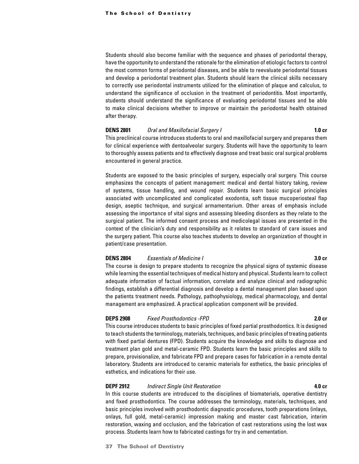Students should also become familiar with the sequence and phases of periodontal therapy, have the opportunity to understand the rationale for the elimination of etiologic factors to control the most common forms of periodontal diseases, and be able to reevaluate periodontal tissues and develop a periodontal treatment plan. Students should learn the clinical skills necessary to correctly use periodontal instruments utilized for the elimination of plaque and calculus, to understand the significance of occlusion in the treatment of periodontitis. Most importantly, students should understand the significance of evaluating periodontal tissues and be able to make clinical decisions whether to improve or maintain the periodontal health obtained after therapy.

### **DENS 2801** *Oral and Maxillofacial Surgery I* **1.0 cr**

This preclinical course introduces students to oral and maxillofacial surgery and prepares them for clinical experience with dentoalveolar surgery. Students will have the opportunity to learn to thoroughly assess patients and to effectively diagnose and treat basic oral surgical problems encountered in general practice.

Students are exposed to the basic principles of surgery, especially oral surgery. This course emphasizes the concepts of patient management: medical and dental history taking, review of systems, tissue handling, and wound repair. Students learn basic surgical principles associated with uncomplicated and complicated exodontia, soft tissue mucoperiosteal flap design, aseptic technique, and surgical armamentarium. Other areas of emphasis include assessing the importance of vital signs and assessing bleeding disorders as they relate to the surgical patient. The informed consent process and medicolegal issues are presented in the context of the clinician's duty and responsibility as it relates to standard of care issues and the surgery patient. This course also teaches students to develop an organization of thought in patient/case presentation.

### **DENS 2804** *Essentials of Medicine I* **3.0 cr**

The course is design to prepare students to recognize the physical signs of systemic disease while learning the essential techniques of medical history and physical. Students learn to collect adequate information of factual information, correlate and analyze clinical and radiographic findings, establish a differential diagnosis and develop a dental management plan based upon the patients treatment needs. Pathology, pathophysiology, medical pharmacology, and dental management are emphasized. A practical application component will be provided.

### **DEPS 2908** *Fixed Prosthodontics -FPD* **2.0 cr**

This course introduces students to basic principles of fixed partial prosthodontics. It is designed to teach students the terminology, materials, techniques, and basic principles of treating patients with fixed partial dentures (FPD). Students acquire the knowledge and skills to diagnose and treatment plan gold and metal-ceramic FPD. Students learn the basic principles and skills to prepare, provisionalize, and fabricate FPD and prepare cases for fabrication in a remote dental laboratory. Students are introduced to ceramic materials for esthetics, the basic principles of esthetics, and indications for their use.

### **DEPF 2912** *Indirect Single Unit Restoration* **4.0 cr**

In this course students are introduced to the disciplines of biomaterials, operative dentistry and fixed prosthodontics. The course addresses the terminology, materials, techniques, and basic principles involved with prosthodontic diagnostic procedures, tooth preparations (inlays, onlays, full gold, metal-ceramic) impression making and master cast fabrication, interim restoration, waxing and occlusion, and the fabrication of cast restorations using the lost wax process. Students learn how to fabricated castings for try in and cementation.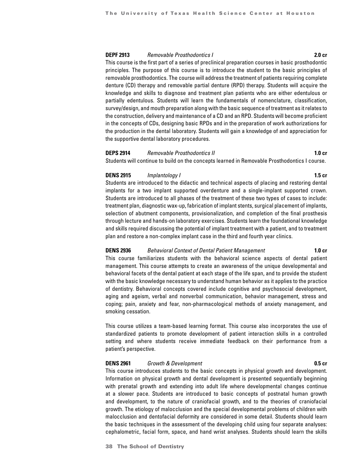# **DEPF 2913** *Removable Prosthodontics I* **2.0 cr**

This course is the first part of a series of preclinical preparation courses in basic prosthodontic principles. The purpose of this course is to introduce the student to the basic principles of removable prosthodontics. The course will address the treatment of patients requiring complete denture (CD) therapy and removable partial denture (RPD) therapy. Students will acquire the knowledge and skills to diagnose and treatment plan patients who are either edentulous or partially edentulous. Students will learn the fundamentals of nomenclature, classification, survey/design, and mouth preparation along with the basic sequence of treatment as it relates to the construction, delivery and maintenance of a CD and an RPD. Students will become proficient in the concepts of CDs, designing basic RPDs and in the preparation of work authorizations for the production in the dental laboratory. Students will gain a knowledge of and appreciation for the supportive dental laboratory procedures.

# **DEPS 2914** *Removable Prosthodontics II* **1.0 cr**

Students will continue to build on the concepts learned in Removable Prosthodontics I course.

### **DENS 2915** *Implantology I* **1.5 cr**

Students are introduced to the didactic and technical aspects of placing and restoring dental implants for a two implant supported overdenture and a single-implant supported crown. Students are introduced to all phases of the treatment of these two types of cases to include: treatment plan, diagnostic wax-up, fabrication of implant stents, surgical placement of implants, selection of abutment components, provisionalization, and completion of the final prosthesis through lecture and hands-on laboratory exercises. Students learn the foundational knowledge and skills required discussing the potential of implant treatment with a patient, and to treatment plan and restore a non-complex implant case in the third and fourth year clinics.

### **DENS 2936** *Behavioral Context of Dental Patient Management* **1.0 cr**

This course familiarizes students with the behavioral science aspects of dental patient management. This course attempts to create an awareness of the unique developmental and behavioral facets of the dental patient at each stage of the life span, and to provide the student with the basic knowledge necessary to understand human behavior as it applies to the practice of dentistry. Behavioral concepts covered include cognitive and psychosocial development, aging and ageism, verbal and nonverbal communication, behavior management, stress and coping; pain, anxiety and fear, non-pharmacological methods of anxiety management, and smoking cessation.

This course utilizes a team-based learning format. This course also incorporates the use of standardized patients to promote development of patient interaction skills in a controlled setting and where students receive immediate feedback on their performance from a patient's perspective.

### **DENS 2961** *Growth & Development* **0.5 cr**

This course introduces students to the basic concepts in physical growth and development. Information on physical growth and dental development is presented sequentially beginning with prenatal growth and extending into adult life where developmental changes continue at a slower pace. Students are introduced to basic concepts of postnatal human growth and development, to the nature of craniofacial growth, and to the theories of craniofacial growth. The etiology of malocclusion and the special developmental problems of children with malocclusion and dentofacial deformity are considered in some detail. Students should learn the basic techniques in the assessment of the developing child using four separate analyses: cephalometric, facial form, space, and hand wrist analyses. Students should learn the skills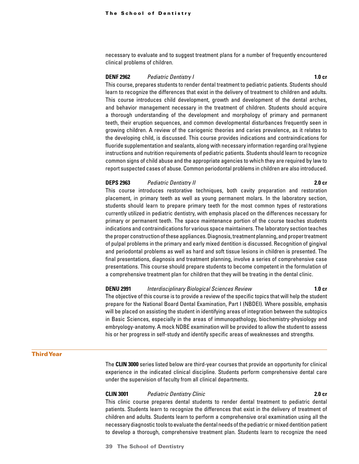### The School of Dentistry

necessary to evaluate and to suggest treatment plans for a number of frequently encountered clinical problems of children.

### **DENF 2962** *Pediatric Dentistry I* **1.0 cr**

This course, prepares students to render dental treatment to pediatric patients. Students should learn to recognize the differences that exist in the delivery of treatment to children and adults. This course introduces child development, growth and development of the dental arches, and behavior management necessary in the treatment of children. Students should acquire a thorough understanding of the development and morphology of primary and permanent teeth, their eruption sequences, and common developmental disturbances frequently seen in growing children. A review of the cariogenic theories and caries prevalence, as it relates to the developing child, is discussed. This course provides indications and contraindications for fluoride supplementation and sealants, along with necessary information regarding oral hygiene instructions and nutrition requirements of pediatric patients. Students should learn to recognize common signs of child abuse and the appropriate agencies to which they are required by law to report suspected cases of abuse. Common periodontal problems in children are also introduced.

### **DEPS 2963** *Pediatric Dentistry II* **2.0 cr**

This course introduces restorative techniques, both cavity preparation and restoration placement, in primary teeth as well as young permanent molars. In the laboratory section, students should learn to prepare primary teeth for the most common types of restorations currently utilized in pediatric dentistry, with emphasis placed on the differences necessary for primary or permanent teeth. The space maintenance portion of the course teaches students indications and contraindications for various space maintainers. The laboratory section teaches the proper construction of these appliances. Diagnosis, treatment planning, and proper treatment of pulpal problems in the primary and early mixed dentition is discussed. Recognition of gingival and periodontal problems as well as hard and soft tissue lesions in children is presented. The final presentations, diagnosis and treatment planning, involve a series of comprehensive case presentations. This course should prepare students to become competent in the formulation of a comprehensive treatment plan for children that they will be treating in the dental clinic.

### **DENU 2991** *Interdisciplinary Biological Sciences Review* **1.0 cr**

The objective of this course is to provide a review of the specific topics that will help the student prepare for the National Board Dental Examination, Part I (NBDEI). Where possible, emphasis will be placed on assisting the student in identifying areas of integration between the subtopics in Basic Sciences, especially in the areas of immunopathology, biochemistry-physiology and embryology-anatomy. A mock NDBE examination will be provided to allow the student to assess his or her progress in self-study and identify specific areas of weaknesses and strengths.

### Third Year

The **CLIN 3000** series listed below are third-year courses that provide an opportunity for clinical experience in the indicated clinical discipline. Students perform comprehensive dental care under the supervision of faculty from all clinical departments.

### **CLIN 3001** *Pediatric Dentistry Clinic* **2.0 cr**

This clinic course prepares dental students to render dental treatment to pediatric dental patients. Students learn to recognize the differences that exist in the delivery of treatment of children and adults. Students learn to perform a comprehensive oral examination using all the necessary diagnostic tools to evaluate the dental needs of the pediatric or mixed dentition patient to develop a thorough, comprehensive treatment plan. Students learn to recognize the need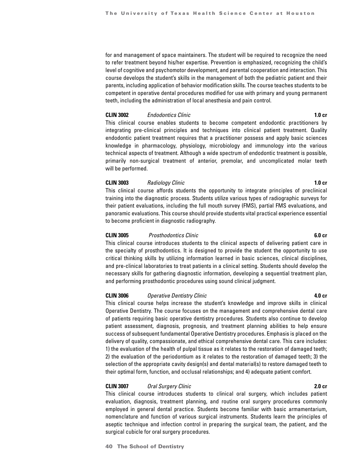for and management of space maintainers. The student will be required to recognize the need to refer treatment beyond his/her expertise. Prevention is emphasized, recognizing the child's level of cognitive and psychomotor development, and parental cooperation and interaction. This course develops the student's skills in the management of both the pediatric patient and their parents, including application of behavior modification skills. The course teaches students to be competent in operative dental procedures modified for use with primary and young permanent teeth, including the administration of local anesthesia and pain control.

### **CLIN 3002** *Endodontics Clinic* **1.0 cr**

This clinical course enables students to become competent endodontic practitioners by integrating pre-clinical principles and techniques into clinical patient treatment. Quality endodontic patient treatment requires that a practitioner possess and apply basic sciences knowledge in pharmacology, physiology, microbiology and immunology into the various technical aspects of treatment. Although a wide spectrum of endodontic treatment is possible, primarily non-surgical treatment of anterior, premolar, and uncomplicated molar teeth will be performed.

### **CLIN 3003** *Radiology Clinic* **1.0 cr**

This clinical course affords students the opportunity to integrate principles of preclinical training into the diagnostic process. Students utilize various types of radiographic surveys for their patient evaluations, including the full mouth survey (FMS), partial FMS evaluations, and panoramic evaluations. This course should provide students vital practical experience essential to become proficient in diagnostic radiography.

### **CLIN 3005** *Prosthodontics Clinic* **6.0 cr**

This clinical course introduces students to the clinical aspects of delivering patient care in the specialty of prosthodontics. It is designed to provide the student the opportunity to use critical thinking skills by utilizing information learned in basic sciences, clinical disciplines, and pre-clinical laboratories to treat patients in a clinical setting. Students should develop the necessary skills for gathering diagnostic information, developing a sequential treatment plan, and performing prosthodontic procedures using sound clinical judgment.

### **CLIN 3006** *Operative Dentistry Clinic* **4.0 cr**

This clinical course helps increase the student's knowledge and improve skills in clinical Operative Dentistry. The course focuses on the management and comprehensive dental care of patients requiring basic operative dentistry procedures. Students also continue to develop patient assessment, diagnosis, prognosis, and treatment planning abilities to help ensure success of subsequent fundamental Operative Dentistry procedures. Emphasis is placed on the delivery of quality, compassionate, and ethical comprehensive dental care. This care includes: 1) the evaluation of the health of pulpal tissue as it relates to the restoration of damaged teeth; 2) the evaluation of the periodontium as it relates to the restoration of damaged teeth; 3) the selection of the appropriate cavity design(s) and dental material(s) to restore damaged teeth to their optimal form, function, and occlusal relationships; and 4) adequate patient comfort.

### **CLIN 3007** *Oral Surgery Clinic* **2.0 cr**

This clinical course introduces students to clinical oral surgery, which includes patient evaluation, diagnosis, treatment planning, and routine oral surgery procedures commonly employed in general dental practice. Students become familiar with basic armamentarium, nomenclature and function of various surgical instruments. Students learn the principles of aseptic technique and infection control in preparing the surgical team, the patient, and the surgical cubicle for oral surgery procedures.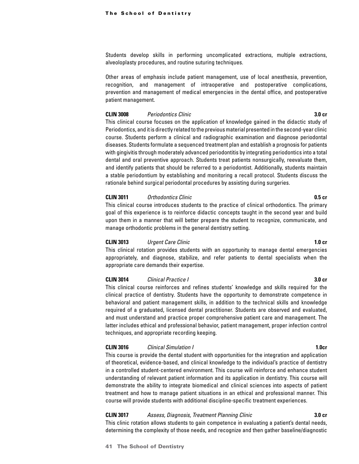Students develop skills in performing uncomplicated extractions, multiple extractions, alveoloplasty procedures, and routine suturing techniques.

Other areas of emphasis include patient management, use of local anesthesia, prevention, recognition, and management of intraoperative and postoperative complications, prevention and management of medical emergencies in the dental office, and postoperative patient management.

### **CLIN 3008** *Periodontics Clinic* **3.0 cr**

This clinical course focuses on the application of knowledge gained in the didactic study of Periodontics, and it is directly related to the previous material presented in the second-year clinic course. Students perform a clinical and radiographic examination and diagnose periodontal diseases. Students formulate a sequenced treatment plan and establish a prognosis for patients with gingivitis through moderately advanced periodontitis by integrating periodontics into a total dental and oral preventive approach. Students treat patients nonsurgically, reevaluate them, and identify patients that should be referred to a periodontist. Additionally, students maintain a stable periodontium by establishing and monitoring a recall protocol. Students discuss the rationale behind surgical periodontal procedures by assisting during surgeries.

### **CLIN 3011** *Orthodontics Clinic* **0.5 cr**

This clinical course introduces students to the practice of clinical orthodontics. The primary goal of this experience is to reinforce didactic concepts taught in the second year and build upon them in a manner that will better prepare the student to recognize, communicate, and manage orthodontic problems in the general dentistry setting.

### **CLIN 3013** *Urgent Care Clinic* **1.0 cr**

This clinical rotation provides students with an opportunity to manage dental emergencies appropriately, and diagnose, stabilize, and refer patients to dental specialists when the appropriate care demands their expertise.

### **CLIN 3014** *Clinical Practice I* **3.0 cr**

This clinical course reinforces and refines students' knowledge and skills required for the clinical practice of dentistry. Students have the opportunity to demonstrate competence in behavioral and patient management skills, in addition to the technical skills and knowledge required of a graduated, licensed dental practitioner. Students are observed and evaluated, and must understand and practice proper comprehensive patient care and management. The latter includes ethical and professional behavior, patient management, proper infection control techniques, and appropriate recording keeping.

### **CLIN 3016** *Clinical Simulation I* **1.0cr**

This course is provide the dental student with opportunities for the integration and application of theoretical, evidence-based, and clinical knowledge to the individual's practice of dentistry in a controlled student-centered environment. This course will reinforce and enhance student understanding of relevant patient information and its application in dentistry. This course will demonstrate the ability to integrate biomedical and clinical sciences into aspects of patient treatment and how to manage patient situations in an ethical and professional manner. This course will provide students with additional discipline-specific treatment experiences.

### **CLIN 3017** *Assess, Diagnosis, Treatment Planning Clinic* **3.0 cr**

This clinic rotation allows students to gain competence in evaluating a patient's dental needs, determining the complexity of those needs, and recognize and then gather baseline/diagnostic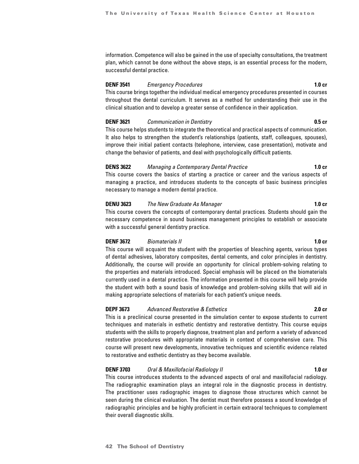information. Competence will also be gained in the use of specialty consultations, the treatment plan, which cannot be done without the above steps, is an essential process for the modern, successful dental practice.

# **DENF 3541** *Emergency Procedures* **1.0 cr**

This course brings together the individual medical emergency procedures presented in courses throughout the dental curriculum. It serves as a method for understanding their use in the clinical situation and to develop a greater sense of confidence in their application.

# **DENF 3621** *Communication in Dentistry* **0.5 cr**

This course helps students to integrate the theoretical and practical aspects of communication. It also helps to strengthen the student's relationships (patients, staff, colleagues, spouses), improve their initial patient contacts (telephone, interview, case presentation), motivate and change the behavior of patients, and deal with psychologically difficult patients.

### **DENS 3622** *Managing a Contemporary Dental Practice* **1.0 cr**

This course covers the basics of starting a practice or career and the various aspects of managing a practice, and introduces students to the concepts of basic business principles necessary to manage a modern dental practice.

### **DENU 3623** *The New Graduate As Manager* **1.0 cr**

This course covers the concepts of contemporary dental practices. Students should gain the necessary competence in sound business management principles to establish or associate with a successful general dentistry practice.

### **DENF 3672** *Biomaterials II* **1.0 cr**

This course will acquaint the student with the properties of bleaching agents, various types of dental adhesives, laboratory composites, dental cements, and color principles in dentistry. Additionally, the course will provide an opportunity for clinical problem-solving relating to the properties and materials introduced. Special emphasis will be placed on the biomaterials currently used in a dental practice. The information presented in this course will help provide the student with both a sound basis of knowledge and problem-solving skills that will aid in making appropriate selections of materials for each patient's unique needs.

### **DEPF 3673** *Advanced Restorative & Esthetics* **2.0 cr**

This is a preclinical course presented in the simulation center to expose students to current techniques and materials in esthetic dentistry and restorative dentistry. This course equips students with the skills to properly diagnose, treatment plan and perform a variety of advanced restorative procedures with appropriate materials in context of comprehensive care. This course will present new developments, innovative techniques and scientific evidence related to restorative and esthetic dentistry as they become available.

### **DENF 3703** *Oral & Maxillofacial Radiology II* **1.0 cr**

This course introduces students to the advanced aspects of oral and maxillofacial radiology. The radiographic examination plays an integral role in the diagnostic process in dentistry. The practitioner uses radiographic images to diagnose those structures which cannot be seen during the clinical evaluation. The dentist must therefore possess a sound knowledge of radiographic principles and be highly proficient in certain extraoral techniques to complement their overall diagnostic skills.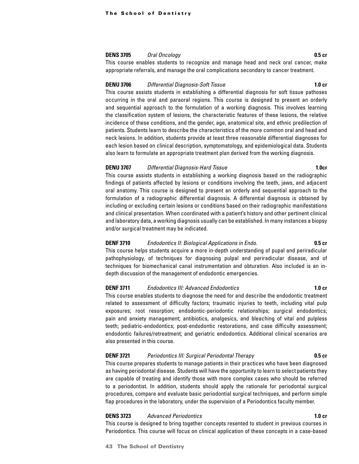### The School of Dentistry

# **DENS 3705** *Oral Oncology* **0.5 cr**

This course enables students to recognize and manage head and neck oral cancer, make appropriate referrals, and manage the oral complications secondary to cancer treatment.

### **DENU 3706** *Differential Diagnosis-Soft Tissue* **1.0 cr**

This course assists students in establishing a differential diagnosis for soft tissue pathoses occurring in the oral and paraoral regions. This course is designed to present an orderly and sequential approach to the formulation of a working diagnosis. This involves learning the classification system of lesions, the characteristic features of these lesions, the relative incidence of these conditions, and the gender, age, anatomical site, and ethnic predilection of patients. Students learn to describe the characteristics of the more common oral and head and neck lesions. In addition, students provide at least three reasonable differential diagnoses for each lesion based on clinical description, symptomatology, and epidemiological data. Students also learn to formulate an appropriate treatment plan derived from the working diagnosis.

### **DENU 3707** *Differential Diagnosis-Hard Tissue* **1.0cr**

This course assists students in establishing a working diagnosis based on the radiographic findings of patients affected by lesions or conditions involving the teeth, jaws, and adjacent oral anatomy. This course is designed to present an orderly and sequential approach to the formulation of a radiographic differential diagnosis. A differential diagnosis is obtained by including or excluding certain lesions or conditions based on their radiographic manifestations and clinical presentation. When coordinated with a patient's history and other pertinent clinical and laboratory data, a working diagnosis usually can be established. In many instances a biopsy and/or surgical treatment may be indicated.

### **DENF 3710** *Endodontics II: Biological Applications in Endo.* **0.5 cr**

This course helps students acquire a more in-depth understanding of pupal and periradicular pathophysiology, of techniques for diagnosing pulpal and periradicular disease, and of techniques for biomechanical canal instrumentation and obturation. Also included is an indepth discussion of the management of endodontic emergencies.

### **DENF 3711** *Endodontics III: Advanced Endodontics* **1.0 cr**

This course enables students to diagnose the need for and describe the endodontic treatment related to assessment of difficulty factors; traumatic injuries to teeth, including vital pulp exposures; root resorption; endodontic-periodontic relationships; surgical endodontics; pain and anxiety management; antibiotics, analgesics, and bleaching of vital and pulpless teeth; pediatric-endodontics; post-endodontic restorations, and case difficulty assessment; endodontic failures/retreatment; and geriatric endodontics. Additional clinical scenarios are also presented in this course.

### **DENF 3721** *Periodontics III: Surgical Periodontal Therapy* **0.5 cr**

This course prepares students to manage patients in their practices who have been diagnosed as having periodontal disease. Students will have the opportunity to learn to select patients they are capable of treating and identify those with more complex cases who should be referred to a periodontist. In addition, students should apply the rationale for periodontal surgical procedures, compare and evaluate basic periodontial surgical techniques, and perform simple flap procedures in the laboratory, under the supervision of a Periodontics faculty member.

### **DENS 3723** *Advanced Periodontics* **1.0 cr**

This course is designed to bring together concepts resented to student in previous courses in Periodontics. This course will focus on clinical application of these concepts in a case-based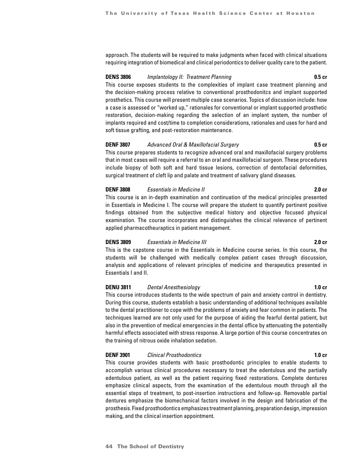approach. The students will be required to make judgments when faced with clinical situations requiring integration of biomedical and clinical periodontics to deliver quality care to the patient.

### **DENS 3806** *Implantology II: Treatment Planning* **0.5 cr**

This course exposes students to the complexities of implant case treatment planning and the decision-making process relative to conventional prosthodonitcs and implant supported prosthetics. This course will present multiple case scenarios. Topics of discussion include: how a case is assessed or "worked up," rationales for conventional or implant supported prosthetic restoration, decision-making regarding the selection of an implant system, the number of implants required and cost/time to completion considerations, rationales and uses for hard and soft tissue grafting, and post-restoration maintenance.

### **DENF 3807** *Advanced Oral & Maxillofacial Surgery* **0.5 cr**

This course prepares students to recognize advanced oral and maxillofacial surgery problems that in most cases will require a referral to an oral and maxillofacial surgeon. These procedures include biopsy of both soft and hard tissue lesions, correction of dentofacial deformities, surgical treatment of cleft lip and palate and treatment of salivary gland diseases.

### **DENF 3808** *Essentials in Medicine II* **2.0 cr**

This course is an in-depth examination and continuation of the medical principles presented in Essentials in Medicine I. The course will prepare the student to quantify pertinent positive findings obtained from the subjective medical history and objective focused physical examination. The course incorporates and distinguishes the clinical relevance of pertinent applied pharmacotheuraptics in patient management.

### **DENS 3809** *Essentials in Medicine III* **2.0 cr**

This is the capstone course in the Essentials in Medicine course series. In this course, the students will be challenged with medically complex patient cases through discussion, analysis and applications of relevant principles of medicine and therapeutics presented in Essentials I and II.

### **DENU 3811** *Dental Anesthesiology* **1.0 cr**

This course introduces students to the wide spectrum of pain and anxiety control in dentistry. During this course, students establish a basic understanding of additional techniques available to the dental practitioner to cope with the problems of anxiety and fear common in patients. The techniques learned are not only used for the purpose of aiding the fearful dental patient, but also in the prevention of medical emergencies in the dental office by attenuating the potentially harmful effects associated with stress response. A large portion of this course concentrates on the training of nitrous oxide inhalation sedation.

### **DENF 3901** *Clinical Prosthodontics* **1.0 cr**

This course provides students with basic prosthodontic principles to enable students to accomplish various clinical procedures necessary to treat the edentulous and the partially edentulous patient, as well as the patient requiring fixed restorations. Complete dentures emphasize clinical aspects, from the examination of the edentulous mouth through all the essential steps of treatment, to post-insertion instructions and follow-up. Removable partial dentures emphasize the biomechanical factors involved in the design and fabrication of the prosthesis. Fixed prosthodontics emphasizes treatment planning, preparation design, impression making, and the clinical insertion appointment.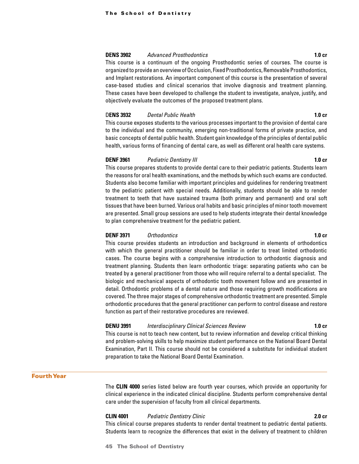### The School of Dentistry

### **DENS 3902** *Advanced Prosthodontics* **1.0 cr**

This course is a continuum of the ongoing Prosthodontic series of courses. The course is organized to provide an overview of Occlusion, Fixed Prosthodontics, Removable Prosthodontics, and Implant restorations. An important component of this course is the presentation of several case-based studies and clinical scenarios that involve diagnosis and treatment planning. These cases have been developed to challenge the student to investigate, analyze, justify, and objectively evaluate the outcomes of the proposed treatment plans.

### D**ENS 3932** *Dental Public Health* **1.0 cr**

This course exposes students to the various processes important to the provision of dental care to the individual and the community, emerging non-traditional forms of private practice, and basic concepts of dental public health. Student gain knowledge of the principles of dental public health, various forms of financing of dental care, as well as different oral health care systems.

### **DENF 3961** *Pediatric Dentistry III* **1.0 cr**

This course prepares students to provide dental care to their pediatric patients. Students learn the reasons for oral health examinations, and the methods by which such exams are conducted. Students also become familiar with important principles and guidelines for rendering treatment to the pediatric patient with special needs. Additionally, students should be able to render treatment to teeth that have sustained trauma (both primary and permanent) and oral soft tissues that have been burned. Various oral habits and basic principles of minor tooth movement are presented. Small group sessions are used to help students integrate their dental knowledge to plan comprehensive treatment for the pediatric patient.

### **DENF 3971** *Orthodontics* **1.0 cr**

This course provides students an introduction and background in elements of orthodontics with which the general practitioner should be familiar in order to treat limited orthodontic cases. The course begins with a comprehensive introduction to orthodontic diagnosis and treatment planning. Students then learn orthodontic triage: separating patients who can be treated by a general practitioner from those who will require referral to a dental specialist. The biologic and mechanical aspects of orthodontic tooth movement follow and are presented in detail. Orthodontic problems of a dental nature and those requiring growth modifications are covered. The three major stages of comprehensive orthodontic treatment are presented. Simple orthodontic procedures that the general practitioner can perform to control disease and restore function as part of their restorative procedures are reviewed.

### **DENU 3991** *Interdisciplinary Clinical Sciences Review* **1.0 cr**

This course is not to teach new content, but to review information and develop critical thinking and problem-solving skills to help maximize student performance on the National Board Dental Examination, Part II. This course should not be considered a substitute for individual student preparation to take the National Board Dental Examination.

### Fourth Year

The **CLIN 4000** series listed below are fourth year courses, which provide an opportunity for clinical experience in the indicated clinical discipline. Students perform comprehensive dental care under the supervision of faculty from all clinical departments.

**CLIN 4001** *Pediatric Dentistry Clinic* **2.0 cr**

This clinical course prepares students to render dental treatment to pediatric dental patients. Students learn to recognize the differences that exist in the delivery of treatment to children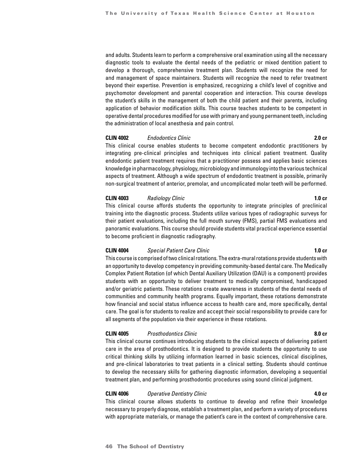and adults. Students learn to perform a comprehensive oral examination using all the necessary diagnostic tools to evaluate the dental needs of the pediatric or mixed dentition patient to develop a thorough, comprehensive treatment plan. Students will recognize the need for and management of space maintainers. Students will recognize the need to refer treatment beyond their expertise. Prevention is emphasized, recognizing a child's level of cognitive and psychomotor development and parental cooperation and interaction. This course develops the student's skills in the management of both the child patient and their parents, including application of behavior modification skills. This course teaches students to be competent in operative dental procedures modified for use with primary and young permanent teeth, including the administration of local anesthesia and pain control.

### **CLIN 4002** *Endodontics Clinic* **2.0 cr**

This clinical course enables students to become competent endodontic practitioners by integrating pre-clinical principles and techniques into clinical patient treatment. Quality endodontic patient treatment requires that a practitioner possess and applies basic sciences knowledge in pharmacology, physiology, microbiology and immunology into the various technical aspects of treatment. Although a wide spectrum of endodontic treatment is possible, primarily non-surgical treatment of anterior, premolar, and uncomplicated molar teeth will be performed.

### **CLIN 4003** *Radiology Clinic* **1.0 cr**

This clinical course affords students the opportunity to integrate principles of preclinical training into the diagnostic process. Students utilize various types of radiographic surveys for their patient evaluations, including the full mouth survey (FMS), partial FMS evaluations and panoramic evaluations. This course should provide students vital practical experience essential to become proficient in diagnostic radiography.

### **CLIN 4004** *Special Patient Care Clinic* **1.0 cr**

This course is comprised of two clinical rotations. The extra-mural rotations provide students with an opportunity to develop competency in providing community-based dental care. The Medically Complex Patient Rotation (of which Dental Auxiliary Utilization (DAU) is a component) provides students with an opportunity to deliver treatment to medically compromised, handicapped and/or geriatric patients. These rotations create awareness in students of the dental needs of communities and community health programs. Equally important, these rotations demonstrate how financial and social status influence access to health care and, more specifically, dental care. The goal is for students to realize and accept their social responsibility to provide care for all segments of the population via their experience in these rotations.

### **CLIN 4005** *Prosthodontics Clinic* **8.0 cr**

This clinical course continues introducing students to the clinical aspects of delivering patient care in the area of prosthodontics. It is designed to provide students the opportunity to use critical thinking skills by utilizing information learned in basic sciences, clinical disciplines, and pre-clinical laboratories to treat patients in a clinical setting. Students should continue to develop the necessary skills for gathering diagnostic information, developing a sequential treatment plan, and performing prosthodontic procedures using sound clinical judgment.

### **CLIN 4006** *Operative Dentistry Clinic* **4.0 cr**

This clinical course allows students to continue to develop and refine their knowledge necessary to properly diagnose, establish a treatment plan, and perform a variety of procedures with appropriate materials, or manage the patient's care in the context of comprehensive care.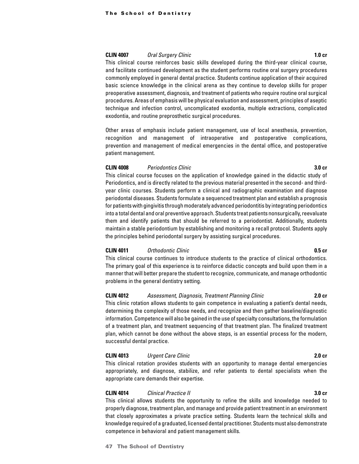### The School of Dentistry

### **CLIN 4007** *Oral Surgery Clinic* **1.0 cr**

This clinical course reinforces basic skills developed during the third-year clinical course, and facilitate continued development as the student performs routine oral surgery procedures commonly employed in general dental practice. Students continue application of their acquired basic science knowledge in the clinical arena as they continue to develop skills for proper preoperative assessment, diagnosis, and treatment of patients who require routine oral surgical procedures. Areas of emphasis will be physical evaluation and assessment, principles of aseptic technique and infection control, uncomplicated exodontia, multiple extractions, complicated exodontia, and routine preprosthetic surgical procedures.

Other areas of emphasis include patient management, use of local anesthesia, prevention, recognition and management of intraoperative and postoperative complications, prevention and management of medical emergencies in the dental office, and postoperative patient management.

### **CLIN 4008** *Periodontics Clinic* **3.0 cr**

This clinical course focuses on the application of knowledge gained in the didactic study of Periodontics, and is directly related to the previous material presented in the second- and thirdyear clinic courses. Students perform a clinical and radiographic examination and diagnose periodontal diseases. Students formulate a sequenced treatment plan and establish a prognosis for patients with gingivitis through moderately advanced periodontitis by integrating periodontics into a total dental and oral preventive approach. Students treat patients nonsurgically, reevaluate them and identify patients that should be referred to a periodontist. Additionally, students maintain a stable periodontium by establishing and monitoring a recall protocol. Students apply the principles behind periodontal surgery by assisting surgical procedures.

### **CLIN 4011** *Orthodontic Clinic* **0.5 cr**

This clinical course continues to introduce students to the practice of clinical orthodontics. The primary goal of this experience is to reinforce didactic concepts and build upon them in a manner that will better prepare the student to recognize, communicate, and manage orthodontic problems in the general dentistry setting.

### **CLIN 4012** *Assessment, Diagnosis, Treatment Planning Clinic* **2.0 cr**

This clinic rotation allows students to gain competence in evaluating a patient's dental needs, determining the complexity of those needs, and recognize and then gather baseline/diagnostic information. Competence will also be gained in the use of specialty consultations, the formulation of a treatment plan, and treatment sequencing of that treatment plan. The finalized treatment plan, which cannot be done without the above steps, is an essential process for the modern, successful dental practice.

### **CLIN 4013** *Urgent Care Clinic* **2.0 cr**

This clinical rotation provides students with an opportunity to manage dental emergencies appropriately, and diagnose, stabilize, and refer patients to dental specialists when the appropriate care demands their expertise.

### **CLIN 4014** *Clinical Practice II* **3.0 cr**

This clinical allows students the opportunity to refine the skills and knowledge needed to properly diagnose, treatment plan, and manage and provide patient treatment in an environment that closely approximates a private practice setting. Students learn the technical skills and knowledge required of a graduated, licensed dental practitioner. Students must also demonstrate competence in behavioral and patient management skills.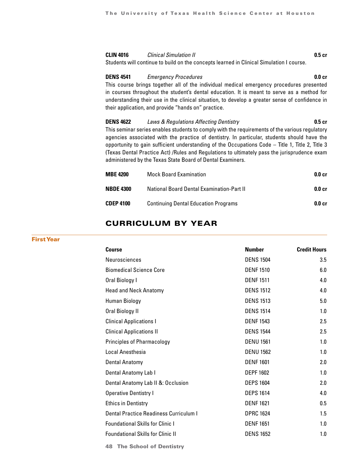### **CLIN 4016** *Clinical Simulation II* **0.5 cr** Students will continue to build on the concepts learned in Clinical Simulation I course.

### **DENS 4541** *Emergency Procedures* **0.0 cr**

This course brings together all of the individual medical emergency procedures presented in courses throughout the student's dental education. It is meant to serve as a method for understanding their use in the clinical situation, to develop a greater sense of confidence in their application, and provide "hands on" practice.

**DENS 4622** *Laws & Regulations Affecting Dentistry* **0.5 cr** This seminar series enables students to comply with the requirements of the various regulatory agencies associated with the practice of dentistry. In particular, students should have the opportunity to gain sufficient understanding of the Occupations Code – Title 1, Title 2, Title 3 (Texas Dental Practice Act) /Rules and Regulations to ultimately pass the jurisprudence exam administered by the Texas State Board of Dental Examiners.

| <b>MBE 4200</b>  | <b>Mock Board Examination</b>                    | 0.0 <sub>cr</sub> |
|------------------|--------------------------------------------------|-------------------|
| <b>NBDE 4300</b> | <b>National Board Dental Examination-Part II</b> | 0.0 <sub>cr</sub> |
| <b>CDEP 4100</b> | <b>Continuing Dental Education Programs</b>      | 0.0 <sub>cr</sub> |

# CURRICULUM BY YEAR

### First Year

| <b>Course</b>                                 | <b>Number</b>    | <b>Credit Hours</b> |
|-----------------------------------------------|------------------|---------------------|
| Neurosciences                                 | <b>DENS 1504</b> | 3.5                 |
| <b>Biomedical Science Core</b>                | <b>DENF1510</b>  | 6.0                 |
| Oral Biology I                                | <b>DENF1511</b>  | 4.0                 |
| <b>Head and Neck Anatomy</b>                  | <b>DENS 1512</b> | 4.0                 |
| Human Biology                                 | <b>DENS 1513</b> | 5.0                 |
| Oral Biology II                               | <b>DENS 1514</b> | 1.0                 |
| <b>Clinical Applications I</b>                | <b>DENF1543</b>  | 2.5                 |
| <b>Clinical Applications II</b>               | <b>DENS 1544</b> | 2.5                 |
| <b>Principles of Pharmacology</b>             | <b>DENU 1561</b> | 1.0                 |
| Local Anesthesia                              | <b>DENU 1562</b> | 1.0                 |
| <b>Dental Anatomy</b>                         | <b>DENF1601</b>  | 2.0                 |
| Dental Anatomy Lab I                          | <b>DEPF 1602</b> | 1.0                 |
| Dental Anatomy Lab II &: Occlusion            | <b>DEPS 1604</b> | 2.0                 |
| <b>Operative Dentistry I</b>                  | <b>DEPS 1614</b> | 4.0                 |
| <b>Ethics in Dentistry</b>                    | <b>DENF1621</b>  | 0.5                 |
| <b>Dental Practice Readiness Curriculum I</b> | <b>DPRC 1624</b> | 1.5                 |
| <b>Foundational Skills for Clinic I</b>       | <b>DENF1651</b>  | 1.0                 |
| <b>Foundational Skills for Clinic II</b>      | <b>DENS 1652</b> | 1.0                 |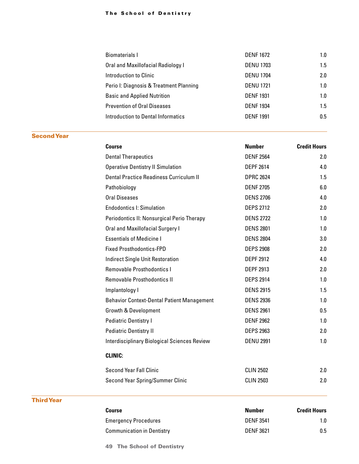### The School of Dentistry

| <b>Biomaterials I</b>                   | <b>DENF1672</b>  | 1.0 |
|-----------------------------------------|------------------|-----|
| Oral and Maxillofacial Radiology I      | <b>DENU 1703</b> | 1.5 |
| Introduction to Clinic                  | <b>DENU 1704</b> | 2.0 |
| Perio I: Diagnosis & Treatment Planning | <b>DENU 1721</b> | 1.0 |
| <b>Basic and Applied Nutrition</b>      | <b>DENF1931</b>  | 1.0 |
| <b>Prevention of Oral Diseases</b>      | <b>DENF1934</b>  | 1.5 |
| Introduction to Dental Informatics      | <b>DENF1991</b>  | 0.5 |
|                                         |                  |     |

# Second Year

| <b>Course</b>                                       | <b>Number</b>    | <b>Credit Hours</b> |
|-----------------------------------------------------|------------------|---------------------|
| <b>Dental Therapeutics</b>                          | <b>DENF 2564</b> | 2.0                 |
| <b>Operative Dentistry II Simulation</b>            | <b>DEPF 2614</b> | 4.0                 |
| Dental Practice Readiness Curriculum II             | <b>DPRC 2624</b> | 1.5                 |
| Pathobiology                                        | <b>DENF 2705</b> | 6.0                 |
| Oral Diseases                                       | <b>DENS 2706</b> | 4.0                 |
| <b>Endodontics I: Simulation</b>                    | <b>DEPS 2712</b> | 2.0                 |
| Periodontics II: Nonsurgical Perio Therapy          | <b>DENS 2722</b> | 1.0                 |
| Oral and Maxillofacial Surgery I                    | <b>DENS 2801</b> | 1.0                 |
| <b>Essentials of Medicine I</b>                     | <b>DENS 2804</b> | 3.0                 |
| <b>Fixed Prosthodontics-FPD</b>                     | <b>DEPS 2908</b> | 2.0                 |
| <b>Indirect Single Unit Restoration</b>             | <b>DEPF 2912</b> | 4.0                 |
| <b>Removable Prosthodontics I</b>                   | <b>DEPF 2913</b> | 2.0                 |
| <b>Removable Prosthodontics II</b>                  | <b>DEPS 2914</b> | 1.0                 |
| Implantology I                                      | <b>DENS 2915</b> | 1.5                 |
| <b>Behavior Context-Dental Patient Management</b>   | <b>DENS 2936</b> | 1.0                 |
| Growth & Development                                | <b>DENS 2961</b> | 0.5                 |
| Pediatric Dentistry I                               | <b>DENF 2962</b> | 1.0                 |
| <b>Pediatric Dentistry II</b>                       | <b>DEPS 2963</b> | 2.0                 |
| <b>Interdisciplinary Biological Sciences Review</b> | <b>DENU 2991</b> | 1.0                 |
| <b>CLINIC:</b>                                      |                  |                     |
| <b>Second Year Fall Clinic</b>                      | <b>CLIN 2502</b> | 2.0                 |
| Second Year Spring/Summer Clinic                    | <b>CLIN 2503</b> | 2.0                 |

# Third Year

| <b>Course</b>                     | Number           | <b>Credit Hours</b> |
|-----------------------------------|------------------|---------------------|
| <b>Emergency Procedures</b>       | <b>DENF 3541</b> | 1.0                 |
| <b>Communication in Dentistry</b> | <b>DENF 3621</b> | 0.5                 |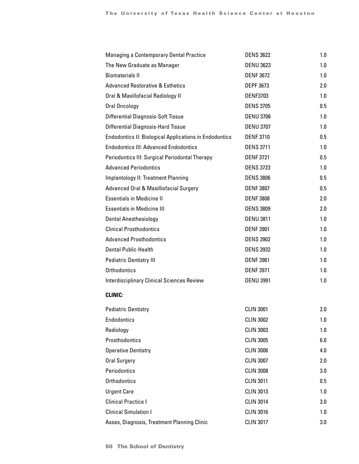| <b>Managing a Contemporary Dental Practice</b>                | <b>DENS 3622</b> | 1.0 |
|---------------------------------------------------------------|------------------|-----|
| The New Graduate as Manager                                   | <b>DENU 3623</b> | 1.0 |
| <b>Biomaterials II</b>                                        | <b>DENF 3672</b> | 1.0 |
| <b>Advanced Restorative &amp; Esthetics</b>                   | <b>DEPF 3673</b> | 2.0 |
| Oral & Maxillofacial Radiology II                             | <b>DENF3703</b>  | 1.0 |
| Oral Oncology                                                 | <b>DENS 3705</b> | 0.5 |
| <b>Differential Diagnosis-Soft Tissue</b>                     | <b>DENU 3706</b> | 1.0 |
| <b>Differential Diagnosis-Hard Tissue</b>                     | <b>DENU 3707</b> | 1.0 |
| <b>Endodontics II: Biological Applications in Endodontics</b> | <b>DENF3710</b>  | 0.5 |
| <b>Endodontics III: Advanced Endodontics</b>                  | <b>DENS 3711</b> | 1.0 |
| Periodontics III: Surgical Periodontal Therapy                | <b>DENF3721</b>  | 0.5 |
| <b>Advanced Periodontics</b>                                  | <b>DENS 3723</b> | 1.0 |
| Implantology II: Treatment Planning                           | <b>DENS 3806</b> | 0.5 |
| <b>Advanced Oral &amp; Maxilliofacial Surgery</b>             | <b>DENF 3807</b> | 0.5 |
| <b>Essentials in Medicine II</b>                              | <b>DENF 3808</b> | 2.0 |
| <b>Essentials in Medicine III</b>                             | <b>DENS 3809</b> | 2.0 |
| <b>Dental Anesthesiology</b>                                  | <b>DENU 3811</b> | 1.0 |
| <b>Clinical Prosthodontics</b>                                | <b>DENF 3901</b> | 1.0 |
| <b>Advanced Prosthodontics</b>                                | <b>DENS 3902</b> | 1.0 |
| <b>Dental Public Health</b>                                   | <b>DENS 3932</b> | 1.0 |
| <b>Pediatric Dentistry III</b>                                | <b>DENF3961</b>  | 1.0 |
| Orthodontics                                                  | <b>DENF3971</b>  | 1.0 |
| <b>Interdisciplinary Clinical Sciences Review</b>             | <b>DENU 3991</b> | 1.0 |
| <b>CLINIC:</b>                                                |                  |     |
| <b>Pediatric Dentistry</b>                                    | <b>CLIN 3001</b> | 2.0 |
| Endodontics                                                   | <b>CLIN 3002</b> | 1.0 |
| Radiology                                                     | <b>CLIN 3003</b> | 1.0 |
| Prosthodontics                                                | <b>CLIN 3005</b> | 6.0 |
| <b>Operative Dentistry</b>                                    | <b>CLIN 3006</b> | 4.0 |
| <b>Oral Surgery</b>                                           | <b>CLIN 3007</b> | 2.0 |
| Periodontics                                                  | <b>CLIN 3008</b> | 3.0 |
| Orthodontics                                                  | <b>CLIN 3011</b> | 0.5 |
| <b>Urgent Care</b>                                            | <b>CLIN 3013</b> | 1.0 |
| <b>Clinical Practice I</b>                                    | <b>CLIN 3014</b> | 3.0 |
| <b>Clinical Simulation I</b>                                  | <b>CLIN 3016</b> | 1.0 |
| Asses, Diagnosis, Treatment Planning Clinic                   | <b>CLIN 3017</b> | 3.0 |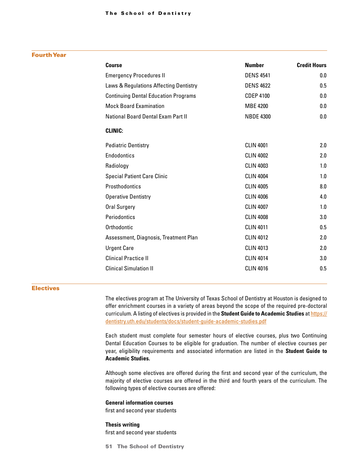# Fourth Year

| <b>Course</b>                               | <b>Number</b>    | <b>Credit Hours</b> |
|---------------------------------------------|------------------|---------------------|
| <b>Emergency Procedures II</b>              | <b>DENS 4541</b> | 0.0                 |
| Laws & Regulations Affecting Dentistry      | <b>DENS 4622</b> | 0.5                 |
| <b>Continuing Dental Education Programs</b> | <b>CDEP 4100</b> | 0.0                 |
| <b>Mock Board Examination</b>               | <b>MBE 4200</b>  | 0.0                 |
| <b>National Board Dental Exam Part II</b>   | <b>NBDE 4300</b> | 0.0                 |
| <b>CLINIC:</b>                              |                  |                     |
| <b>Pediatric Dentistry</b>                  | <b>CLIN 4001</b> | 2.0                 |
| Endodontics                                 | <b>CLIN 4002</b> | 2.0                 |
| Radiology                                   | <b>CLIN 4003</b> | 1.0                 |
| <b>Special Patient Care Clinic</b>          | <b>CLIN 4004</b> | 1.0                 |
| Prosthodontics                              | <b>CLIN 4005</b> | 8.0                 |
| <b>Operative Dentistry</b>                  | <b>CLIN 4006</b> | 4.0                 |
| <b>Oral Surgery</b>                         | <b>CLIN 4007</b> | 1.0                 |
| Periodontics                                | <b>CLIN 4008</b> | 3.0                 |
| Orthodontic                                 | <b>CLIN 4011</b> | 0.5                 |
| Assessment, Diagnosis, Treatment Plan       | <b>CLIN 4012</b> | 2.0                 |
| <b>Urgent Care</b>                          | <b>CLIN 4013</b> | 2.0                 |
| <b>Clinical Practice II</b>                 | <b>CLIN 4014</b> | 3.0                 |
| <b>Clinical Simulation II</b>               | <b>CLIN 4016</b> | 0.5                 |

### **Electives**

The electives program at The University of Texas School of Dentistry at Houston is designed to offer enrichment courses in a variety of areas beyond the scope of the required pre-doctoral curriculum. A listing of electives is provided in the **Student Guide to Academic Studies** at [https://](https://dentistry.uth.edu/students/docs/student-guide-academic-studies.pdf) [dentistry.uth.edu/students/docs/student-guide-academic-studies.pdf](https://dentistry.uth.edu/students/docs/student-guide-academic-studies.pdf)

Each student must complete four semester hours of elective courses, plus two Continuing Dental Education Courses to be eligible for graduation. The number of elective courses per year, eligibility requirements and associated information are listed in the **Student Guide to Academic Studies.** 

Although some electives are offered during the first and second year of the curriculum, the majority of elective courses are offered in the third and fourth years of the curriculum. The following types of elective courses are offered:

### **General information courses**

first and second year students

### **Thesis writing**

first and second year students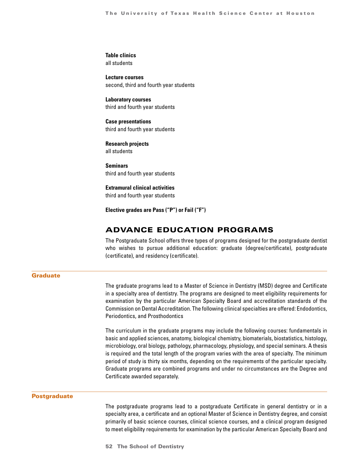**Table clinics** all students

**Lecture courses** second, third and fourth year students

**Laboratory courses** third and fourth year students

**Case presentations** third and fourth year students

**Research projects** all students

**Seminars** third and fourth year students

**Extramural clinical activities**

third and fourth year students

**Elective grades are Pass ("P") or Fail ("F")**

# ADVANCE EDUCATION PROGRAMS

The Postgraduate School offers three types of programs designed for the postgraduate dentist who wishes to pursue additional education: graduate (degree/certificate), postgraduate (certificate), and residency (certificate).

### **Graduate**

The graduate programs lead to a Master of Science in Dentistry (MSD) degree and Certificate in a specialty area of dentistry. The programs are designed to meet eligibility requirements for examination by the particular American Specialty Board and accreditation standards of the Commission on Dental Accreditation. The following clinical specialties are offered: Endodontics, Periodontics, and Prosthodontics

The curriculum in the graduate programs may include the following courses: fundamentals in basic and applied sciences, anatomy, biological chemistry, biomaterials, biostatistics, histology, microbiology, oral biology, pathology, pharmacology, physiology, and special seminars. A thesis is required and the total length of the program varies with the area of specialty. The minimum period of study is thirty six months, depending on the requirements of the particular specialty. Graduate programs are combined programs and under no circumstances are the Degree and Certificate awarded separately.

### **Postgraduate**

The postgraduate programs lead to a postgraduate Certificate in general dentistry or in a specialty area, a certificate and an optional Master of Science in Dentistry degree, and consist primarily of basic science courses, clinical science courses, and a clinical program designed to meet eligibility requirements for examination by the particular American Specialty Board and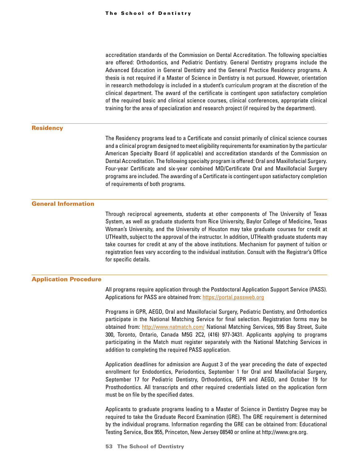accreditation standards of the Commission on Dental Accreditation. The following specialties are offered: Orthodontics, and Pediatric Dentistry. General Dentistry programs include the Advanced Education in General Dentistry and the General Practice Residency programs. A thesis is not required if a Master of Science in Dentistry is not pursued. However, orientation in research methodology is included in a student's curriculum program at the discretion of the clinical department. The award of the certificate is contingent upon satisfactory completion of the required basic and clinical science courses, clinical conferences, appropriate clinical training for the area of specialization and research project (if required by the department).

### **Residency**

The Residency programs lead to a Certificate and consist primarily of clinical science courses and a clinical program designed to meet eligibility requirements for examination by the particular American Specialty Board (if applicable) and accreditation standards of the Commission on Dental Accreditation. The following specialty program is offered: Oral and Maxillofacial Surgery. Four-year Certificate and six-year combined MD/Certificate Oral and Maxillofacial Surgery programs are included. The awarding of a Certificate is contingent upon satisfactory completion of requirements of both programs.

### General Information

Through reciprocal agreements, students at other components of The University of Texas System, as well as graduate students from Rice University, Baylor College of Medicine, Texas Woman's University, and the University of Houston may take graduate courses for credit at UTHealth, subject to the approval of the instructor. In addition, UTHealth graduate students may take courses for credit at any of the above institutions. Mechanism for payment of tuition or registration fees vary according to the individual institution. Consult with the Registrar's Office for specific details.

### Application Procedure

All programs require application through the Postdoctoral Application Support Service (PASS). Applications for PASS are obtained from: <https://portal.passweb.org>

Programs in GPR, AEGD, Oral and Maxillofacial Surgery, Pediatric Dentistry, and Orthodontics participate in the National Matching Service for final selection. Registration forms may be obtained from: <http://www.natmatch.com/> National Matching Services, 595 Bay Street, Suite 300, Toronto, Ontario, Canada M5G 2C2, (416) 977-3431. Applicants applying to programs participating in the Match must register separately with the National Matching Services in addition to completing the required PASS application.

Application deadlines for admission are August 3 of the year preceding the date of expected enrollment for Endodontics, Periodontics, September 1 for Oral and Maxillofacial Surgery, September 17 for Pediatric Dentistry, Orthodontics, GPR and AEGD, and October 19 for Prosthodontics. All transcripts and other required credentials listed on the application form must be on file by the specified dates.

Applicants to graduate programs leading to a Master of Science in Dentistry Degree may be required to take the Graduate Record Examination (GRE). The GRE requirement is determined by the individual programs. Information regarding the GRE can be obtained from: Educational Testing Service, Box 955, Princeton, New Jersey 08540 or online at http://www.gre.org.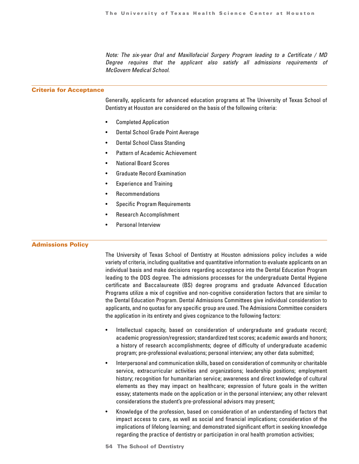*Note: The six-year Oral and Maxillofacial Surgery Program leading to a Certificate / MD Degree requires that the applicant also satisfy all admissions requirements of McGovern Medical School.* 

### Criteria for Acceptance

Generally, applicants for advanced education programs at The University of Texas School of Dentistry at Houston are considered on the basis of the following criteria:

- Completed Application
- Dental School Grade Point Average
- Dental School Class Standing
- Pattern of Academic Achievement
- National Board Scores
- Graduate Record Examination
- Experience and Training
- Recommendations
- Specific Program Requirements
- Research Accomplishment
- Personal Interview

### Admissions Policy

The University of Texas School of Dentistry at Houston admissions policy includes a wide variety of criteria, including qualitative and quantitative information to evaluate applicants on an individual basis and make decisions regarding acceptance into the Dental Education Program leading to the DDS degree. The admissions processes for the undergraduate Dental Hygiene certificate and Baccalaureate (BS) degree programs and graduate Advanced Education Programs utilize a mix of cognitive and non-cognitive consideration factors that are similar to the Dental Education Program. Dental Admissions Committees give individual consideration to applicants, and no quotas for any specific group are used. The Admissions Committee considers the application in its entirety and gives cognizance to the following factors:

- Intellectual capacity, based on consideration of undergraduate and graduate record; academic progression/regression; standardized test scores; academic awards and honors; a history of research accomplishments; degree of difficulty of undergraduate academic program; pre-professional evaluations; personal interview; any other data submitted;
- Interpersonal and communication skills, based on consideration of community or charitable service, extracurricular activities and organizations; leadership positions; employment history; recognition for humanitarian service; awareness and direct knowledge of cultural elements as they may impact on healthcare; expression of future goals in the written essay; statements made on the application or in the personal interview; any other relevant considerations the student's pre-professional advisors may present;
- Knowledge of the profession, based on consideration of an understanding of factors that impact access to care, as well as social and financial implications; consideration of the implications of lifelong learning; and demonstrated significant effort in seeking knowledge regarding the practice of dentistry or participation in oral health promotion activities;
- **54 The School of Dentistry**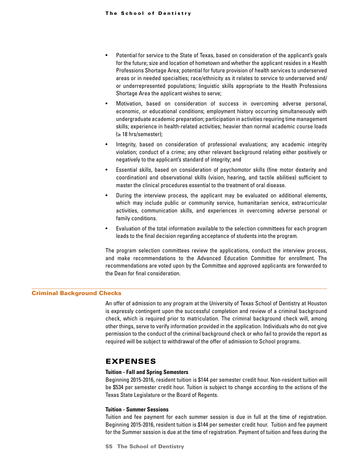- Potential for service to the State of Texas, based on consideration of the applicant's goals for the future; size and location of hometown and whether the applicant resides in a Health Professions Shortage Area; potential for future provision of health services to underserved areas or in needed specialties; race/ethnicity as it relates to service to underserved and/ or underrepresented populations; linguistic skills appropriate to the Health Professions Shortage Area the applicant wishes to serve;
- Motivation, based on consideration of success in overcoming adverse personal, economic, or educational conditions; employment history occurring simultaneously with undergraduate academic preparation; participation in activities requiring time management skills; experience in health-related activities; heavier than normal academic course loads (≥ 18 hrs/semester);
- Integrity, based on consideration of professional evaluations; any academic integrity violation; conduct of a crime; any other relevant background relating either positively or negatively to the applicant's standard of integrity; and
- Essential skills, based on consideration of psychomotor skills (fine motor dexterity and coordination) and observational skills (vision, hearing, and tactile abilities) sufficient to master the clinical procedures essential to the treatment of oral disease.
- During the interview process, the applicant may be evaluated on additional elements, which may include public or community service, humanitarian service, extracurricular activities, communication skills, and experiences in overcoming adverse personal or family conditions.
- Evaluation of the total information available to the selection committees for each program leads to the final decision regarding acceptance of students into the program.

The program selection committees review the applications, conduct the interview process, and make recommendations to the Advanced Education Committee for enrollment. The recommendations are voted upon by the Committee and approved applicants are forwarded to the Dean for final consideration.

### Criminal Background Checks

An offer of admission to any program at the University of Texas School of Dentistry at Houston is expressly contingent upon the successful completion and review of a criminal background check, which is required prior to matriculation. The criminal background check will, among other things, serve to verify information provided in the application. Individuals who do not give permission to the conduct of the criminal background check or who fail to provide the report as required will be subject to withdrawal of the offer of admission to School programs.

# EXPENSES

### **Tuition - Fall and Spring Semesters**

Beginning 2015-2016, resident tuition is \$144 per semester credit hour. Non-resident tuition will be \$534 per semester credit hour. Tuition is subject to change according to the actions of the Texas State Legislature or the Board of Regents.

### **Tuition - Summer Sessions**

Tuition and fee payment for each summer session is due in full at the time of registration. Beginning 2015-2016, resident tuition is \$144 per semester credit hour. Tuition and fee payment for the Summer session is due at the time of registration. Payment of tuition and fees during the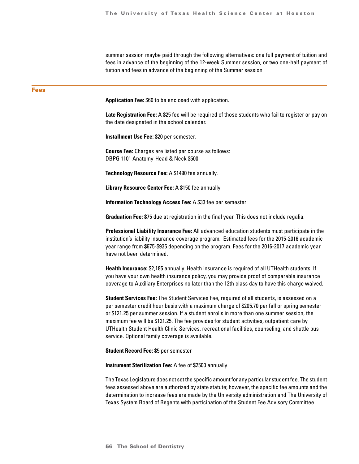summer session maybe paid through the following alternatives: one full payment of tuition and fees in advance of the beginning of the 12-week Summer session, or two one-half payment of tuition and fees in advance of the beginning of the Summer session

### Fees

**Application Fee:** \$60 to be enclosed with application.

**Late Registration Fee:** A \$25 fee will be required of those students who fail to register or pay on the date designated in the school calendar.

**Installment Use Fee:** \$20 per semester.

**Course Fee:** Charges are listed per course as follows: DBPG 1101 Anatomy-Head & Neck \$500

**Technology Resource Fee:** A \$1490 fee annually.

**Library Resource Center Fee:** A \$150 fee annually

**Information Technology Access Fee:** A \$33 fee per semester

**Graduation Fee:** \$75 due at registration in the final year. This does not include regalia.

**Professional Liability Insurance Fee:** All advanced education students must participate in the institution's liability insurance coverage program. Estimated fees for the 2015-2016 academic year range from \$675-\$935 depending on the program. Fees for the 2016-2017 academic year have not been determined.

**Health Insurance:** \$2,185 annually. Health insurance is required of all UTHealth students. If you have your own health insurance policy, you may provide proof of comparable insurance coverage to Auxiliary Enterprises no later than the 12th class day to have this charge waived.

**Student Services Fee:** The Student Services Fee, required of all students, is assessed on a per semester credit hour basis with a maximum charge of \$205.70 per fall or spring semester or \$121.25 per summer session. If a student enrolls in more than one summer session, the maximum fee will be \$121.25. The fee provides for student activities, outpatient care by UTHealth Student Health Clinic Services, recreational facilities, counseling, and shuttle bus service. Optional family coverage is available.

**Student Record Fee:** \$5 per semester

### **Instrument Sterilization Fee:** A fee of \$2500 annually

The Texas Legislature does not set the specific amount for any particular student fee. The student fees assessed above are authorized by state statute; however, the specific fee amounts and the determination to increase fees are made by the University administration and The University of Texas System Board of Regents with participation of the Student Fee Advisory Committee.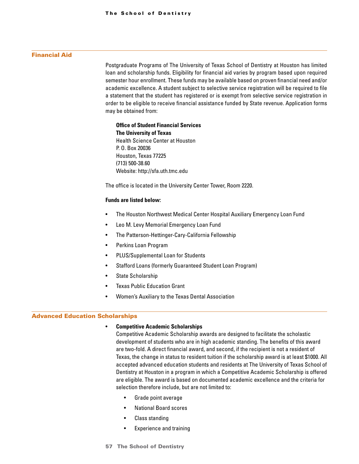### Financial Aid

Postgraduate Programs of The University of Texas School of Dentistry at Houston has limited loan and scholarship funds. Eligibility for financial aid varies by program based upon required semester hour enrollment. These funds may be available based on proven financial need and/or academic excellence. A student subject to selective service registration will be required to file a statement that the student has registered or is exempt from selective service registration in order to be eligible to receive financial assistance funded by State revenue. Application forms may be obtained from:

### **Office of Student Financial Services The University of Texas**

Health Science Center at Houston P. O. Box 20036 Houston, Texas 77225 (713) 500-38.60 Website: http://sfa.uth.tmc.edu

The office is located in the University Center Tower, Room 2220.

### **Funds are listed below:**

- The Houston Northwest Medical Center Hospital Auxiliary Emergency Loan Fund
- Leo M. Levy Memorial Emergency Loan Fund
- The Patterson-Hettinger-Cary-California Fellowship
- Perkins Loan Program
- PLUS/Supplemental Loan for Students
- Stafford Loans (formerly Guaranteed Student Loan Program)
- State Scholarship
- **Texas Public Education Grant**
- Women's Auxiliary to the Texas Dental Association

### Advanced Education Scholarships

### • **Competitive Academic Scholarships**

Competitive Academic Scholarship awards are designed to facilitate the scholastic development of students who are in high academic standing. The benefits of this award are two-fold. A direct financial award, and second, if the recipient is not a resident of Texas, the change in status to resident tuition if the scholarship award is at least \$1000. All accepted advanced education students and residents at The University of Texas School of Dentistry at Houston in a program in which a Competitive Academic Scholarship is offered are eligible. The award is based on documented academic excellence and the criteria for selection therefore include, but are not limited to:

- Grade point average
- National Board scores
- Class standing
- Experience and training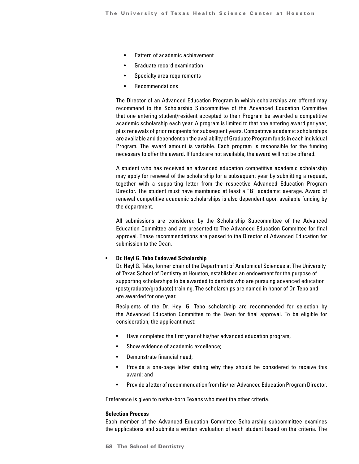- Pattern of academic achievement
- Graduate record examination
- Specialty area requirements
- Recommendations

The Director of an Advanced Education Program in which scholarships are offered may recommend to the Scholarship Subcommittee of the Advanced Education Committee that one entering student/resident accepted to their Program be awarded a competitive academic scholarship each year. A program is limited to that one entering award per year, plus renewals of prior recipients for subsequent years. Competitive academic scholarships are available and dependent on the availability of Graduate Program funds in each individual Program. The award amount is variable. Each program is responsible for the funding necessary to offer the award. If funds are not available, the award will not be offered.

A student who has received an advanced education competitive academic scholarship may apply for renewal of the scholarship for a subsequent year by submitting a request, together with a supporting letter from the respective Advanced Education Program Director. The student must have maintained at least a "B" academic average. Award of renewal competitive academic scholarships is also dependent upon available funding by the department.

All submissions are considered by the Scholarship Subcommittee of the Advanced Education Committee and are presented to The Advanced Education Committee for final approval. These recommendations are passed to the Director of Advanced Education for submission to the Dean.

### • **Dr. Heyl G. Tebo Endowed Scholarship**

Dr. Heyl G. Tebo, former chair of the Department of Anatomical Sciences at The University of Texas School of Dentistry at Houston, established an endowment for the purpose of supporting scholarships to be awarded to dentists who are pursuing advanced education (postgraduate/graduate) training. The scholarships are named in honor of Dr. Tebo and are awarded for one year.

Recipients of the Dr. Heyl G. Tebo scholarship are recommended for selection by the Advanced Education Committee to the Dean for final approval. To be eligible for consideration, the applicant must:

- Have completed the first year of his/her advanced education program;
- Show evidence of academic excellence:
- Demonstrate financial need;
- Provide a one-page letter stating why they should be considered to receive this award; and
- Provide a letter of recommendation from his/her Advanced Education Program Director.

Preference is given to native-born Texans who meet the other criteria.

### **Selection Process**

Each member of the Advanced Education Committee Scholarship subcommittee examines the applications and submits a written evaluation of each student based on the criteria. The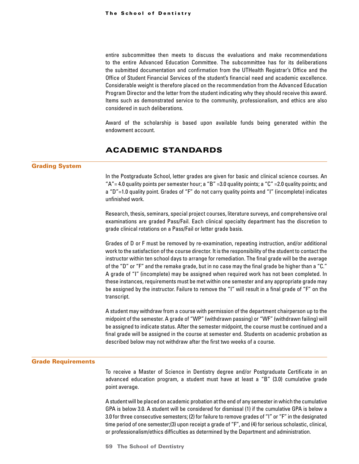entire subcommittee then meets to discuss the evaluations and make recommendations to the entire Advanced Education Committee. The subcommittee has for its deliberations the submitted documentation and confirmation from the UTHealth Registrar's Office and the Office of Student Financial Services of the student's financial need and academic excellence. Considerable weight is therefore placed on the recommendation from the Advanced Education Program Director and the letter from the student indicating why they should receive this award. Items such as demonstrated service to the community, professionalism, and ethics are also considered in such deliberations.

Award of the scholarship is based upon available funds being generated within the endowment account.

# ACADEMIC STANDARDS

### Grading System

In the Postgraduate School, letter grades are given for basic and clinical science courses. An "A"= 4.0 quality points per semester hour; a "B" =3.0 quality points; a "C" =2.0 quality points; and a "D"=1.0 quality point. Grades of "F" do not carry quality points and "I" (incomplete) indicates unfinished work.

Research, thesis, seminars, special project courses, literature surveys, and comprehensive oral examinations are graded Pass/Fail. Each clinical specialty department has the discretion to grade clinical rotations on a Pass/Fail or letter grade basis.

Grades of D or F must be removed by re-examination, repeating instruction, and/or additional work to the satisfaction of the course director. It is the responsibility of the student to contact the instructor within ten school days to arrange for remediation. The final grade will be the average of the "D" or "F" and the remake grade, but in no case may the final grade be higher than a "C." A grade of "I" (incomplete) may be assigned when required work has not been completed. In these instances, requirements must be met within one semester and any appropriate grade may be assigned by the instructor. Failure to remove the "I" will result in a final grade of "F" on the transcript.

A student may withdraw from a course with permission of the department chairperson up to the midpoint of the semester. A grade of "WP" (withdrawn passing) or "WF" (withdrawn failing) will be assigned to indicate status. After the semester midpoint, the course must be continued and a final grade will be assigned in the course at semester end. Students on academic probation as described below may not withdraw after the first two weeks of a course.

### Grade Requirements

To receive a Master of Science in Dentistry degree and/or Postgraduate Certificate in an advanced education program, a student must have at least a "B" (3.0) cumulative grade point average.

A student will be placed on academic probation at the end of any semester in which the cumulative GPA is below 3.0. A student will be considered for dismissal (1) if the cumulative GPA is below a 3.0 for three consecutive semesters; (2) for failure to remove grades of "I" or "F" in the designated time period of one semester;(3) upon receipt a grade of "F", and (4) for serious scholastic, clinical, or professionalism/ethics difficulties as determined by the Department and administration.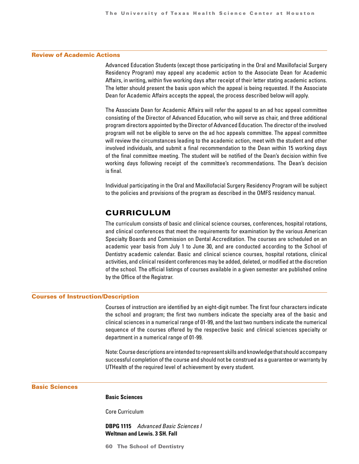### Review of Academic Actions

Advanced Education Students (except those participating in the Oral and Maxillofacial Surgery Residency Program) may appeal any academic action to the Associate Dean for Academic Affairs, in writing, within five working days after receipt of their letter stating academic actions. The letter should present the basis upon which the appeal is being requested. If the Associate Dean for Academic Affairs accepts the appeal, the process described below will apply.

The Associate Dean for Academic Affairs will refer the appeal to an ad hoc appeal committee consisting of the Director of Advanced Education, who will serve as chair, and three additional program directors appointed by the Director of Advanced Education. The director of the involved program will not be eligible to serve on the ad hoc appeals committee. The appeal committee will review the circumstances leading to the academic action, meet with the student and other involved individuals, and submit a final recommendation to the Dean within 15 working days of the final committee meeting. The student will be notified of the Dean's decision within five working days following receipt of the committee's recommendations. The Dean's decision is final.

Individual participating in the Oral and Maxillofacial Surgery Residency Program will be subject to the policies and provisions of the program as described in the OMFS residency manual.

# CURRICULUM

The curriculum consists of basic and clinical science courses, conferences, hospital rotations, and clinical conferences that meet the requirements for examination by the various American Specialty Boards and Commission on Dental Accreditation. The courses are scheduled on an academic year basis from July 1 to June 30, and are conducted according to the School of Dentistry academic calendar. Basic and clinical science courses, hospital rotations, clinical activities, and clinical resident conferences may be added, deleted, or modified at the discretion of the school. The official listings of courses available in a given semester are published online by the Office of the Registrar.

### Courses of Instruction/Description

Courses of instruction are identified by an eight-digit number. The first four characters indicate the school and program; the first two numbers indicate the specialty area of the basic and clinical sciences in a numerical range of 01-99, and the last two numbers indicate the numerical sequence of the courses offered by the respective basic and clinical sciences specialty or department in a numerical range of 01-99.

Note: Course descriptions are intended to represent skills and knowledge that should accompany successful completion of the course and should not be construed as a guarantee or warranty by UTHealth of the required level of achievement by every student.

### Basic Sciences

### **Basic Sciences**

Core Curriculum

### **DBPG 1115** *Advanced Basic Sciences I* **Weltman and Lewis. 3 SH. Fall**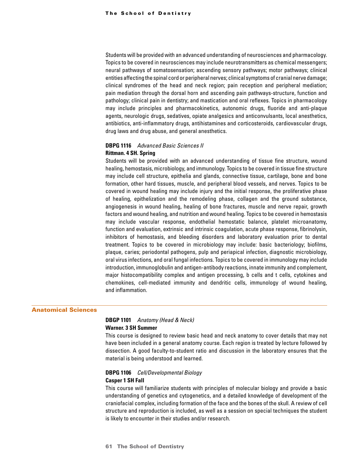Students will be provided with an advanced understanding of neurosciences and pharmacology. Topics to be covered in neurosciences may include neurotransmitters as chemical messengers; neural pathways of somatosensation; ascending sensory pathways; motor pathways; clinical entities affecting the spinal cord or peripheral nerves; clinical symptoms of cranial nerve damage; clinical syndromes of the head and neck region; pain reception and peripheral mediation; pain mediation through the dorsal horn and ascending pain pathways-structure, function and pathology; clinical pain in dentistry; and mastication and oral reflexes. Topics in pharmacology may include principles and pharmacokinetics, autonomic drugs, fluoride and anti-plaque agents, neurologic drugs, sedatives, opiate analgesics and anticonvulsants, local anesthetics, antibiotics, anti-inflammatory drugs, antihistamines and corticosteroids, cardiovascular drugs, drug laws and drug abuse, and general anesthetics.

### **DBPG 1116** *Advanced Basic Sciences II* **Rittman. 4 SH. Spring**

Students will be provided with an advanced understanding of tissue fine structure, wound healing, hemostasis, microbiology, and immunology. Topics to be covered in tissue fine structure may include cell structure, epithelia and glands, connective tissue, cartilage, bone and bone formation, other hard tissues, muscle, and peripheral blood vessels, and nerves. Topics to be covered in wound healing may include injury and the initial response, the proliferative phase of healing, epithelization and the remodeling phase, collagen and the ground substance, angiogenesis in wound healing, healing of bone fractures, muscle and nerve repair, growth factors and wound healing, and nutrition and wound healing. Topics to be covered in hemostasis may include vascular response, endothelial hemostatic balance, platelet microanatomy, function and evaluation, extrinsic and intrinsic coagulation, acute phase response, fibrinolysin, inhibitors of hemostasis, and bleeding disorders and laboratory evaluation prior to dental treatment. Topics to be covered in microbiology may include: basic bacteriology; biofilms, plaque, caries; periodontal pathogens, pulp and periapical infection, diagnostic microbiology, oral virus infections, and oral fungal infections. Topics to be covered in immunology may include introduction, immunoglobulin and antigen-antibody reactions, innate immunity and complement, major histocompatibility complex and antigen processing, b cells and t cells, cytokines and chemokines, cell-mediated immunity and dendritic cells, immunology of wound healing, and inflammation.

### Anatomical Sciences

### **DBGP 1101** *Anatomy (Head & Neck)* **Warner. 3 SH Summer**

This course is designed to review basic head and neck anatomy to cover details that may not have been included in a general anatomy course. Each region is treated by lecture followed by dissection. A good faculty-to-student ratio and discussion in the laboratory ensures that the material is being understood and learned.

### **DBPG 1106** *Cell/Developmental Biology* **Casper 1 SH Fall**

# This course will familiarize students with principles of molecular biology and provide a basic

understanding of genetics and cytogenetics, and a detailed knowledge of development of the craniofacial complex, including formation of the face and the bones of the skull. A review of cell structure and reproduction is included, as well as a session on special techniques the student is likely to encounter in their studies and/or research.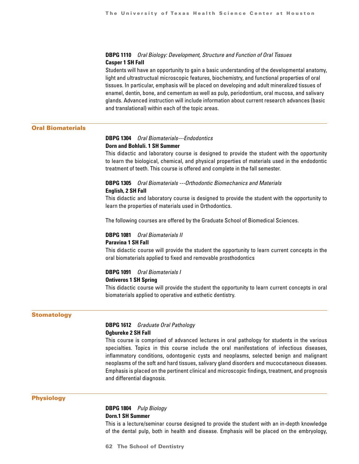### **DBPG 1110** *Oral Biology: Development, Structure and Function of Oral Tissues* **Casper 1 SH Fall**

Students will have an opportunity to gain a basic understanding of the developmental anatomy, light and ultrastructual microscopic features, biochemistry, and functional properties of oral tissues. In particular, emphasis will be placed on developing and adult mineralized tissues of enamel, dentin, bone, and cementum as well as pulp, periodontium, oral mucosa, and salivary glands. Advanced instruction will include information about current research advances (basic and translational) within each of the topic areas.

### Oral Biomaterials

### **DBPG 1304** *Oral Biomaterials---Endodontics* **Dorn and Bohluli. 1 SH Summer**

This didactic and laboratory course is designed to provide the student with the opportunity

to learn the biological, chemical, and physical properties of materials used in the endodontic treatment of teeth. This course is offered and complete in the fall semester.

### **DBPG 1305** *Oral Biomaterials ---Orthodontic Biomechanics and Materials* **English, 2 SH Fall**

This didactic and laboratory course is designed to provide the student with the opportunity to learn the properties of materials used in Orthodontics.

The following courses are offered by the Graduate School of Biomedical Sciences.

### **DBPG 1081** *Oral Biomaterials II*

### **Paravina 1 SH Fall**

This didactic course will provide the student the opportunity to learn current concepts in the oral biomaterials applied to fixed and removable prosthodontics

### **DBPG 1091** *Oral Biomaterials I*

### **Ontiveros 1 SH Spring**

This didactic course will provide the student the opportunity to learn current concepts in oral biomaterials applied to operative and esthetic dentistry.

### **Stomatology**

### **DBPG 1612** *Graduate Oral Pathology* **Ogbureke 2 SH Fall**

This course is comprised of advanced lectures in oral pathology for students in the various specialties. Topics in this course include the oral manifestations of infectious diseases, inflammatory conditions, odontogenic cysts and neoplasms, selected benign and malignant neoplasms of the soft and hard tissues, salivary gland disorders and mucocutaneous diseases. Emphasis is placed on the pertinent clinical and microscopic findings, treatment, and prognosis and differential diagnosis.

### Physiology

### **DBPG 1804** *Pulp Biology*

### **Dorn.1 SH Summer**

This is a lecture/seminar course designed to provide the student with an in-depth knowledge of the dental pulp, both in health and disease. Emphasis will be placed on the embryology,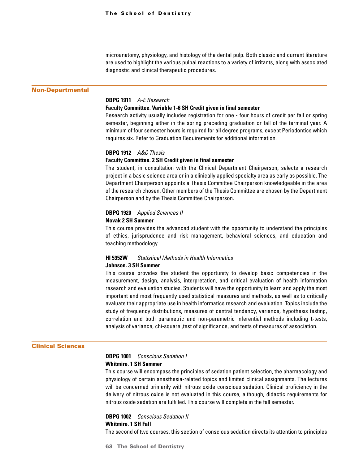microanatomy, physiology, and histology of the dental pulp. Both classic and current literature are used to highlight the various pulpal reactions to a variety of irritants, along with associated diagnostic and clinical therapeutic procedures.

### Non-Departmental

### **DBPG 1911** *A-E Research*

### **Faculty Committee. Variable 1-6 SH Credit given in final semester**

Research activity usually includes registration for one - four hours of credit per fall or spring semester, beginning either in the spring preceding graduation or fall of the terminal year. A minimum of four semester hours is required for all degree programs, except Periodontics which requires six. Refer to Graduation Requirements for additional information.

### **DBPG 1912** *A&C Thesis*

### **Faculty Committee. 2 SH Credit given in final semester**

The student, in consultation with the Clinical Department Chairperson, selects a research project in a basic science area or in a clinically applied specialty area as early as possible. The Department Chairperson appoints a Thesis Committee Chairperson knowledgeable in the area of the research chosen. Other members of the Thesis Committee are chosen by the Department Chairperson and by the Thesis Committee Chairperson.

### **DBPG 1920** *Applied Sciences II*

### **Novak 2 SH Summer**

This course provides the advanced student with the opportunity to understand the principles of ethics, jurisprudence and risk management, behavioral sciences, and education and teaching methodology.

### **HI 5352W** *Statistical Methods in Health Informatics*

### **Johnson. 3 SH Summer**

This course provides the student the opportunity to develop basic competencies in the measurement, design, analysis, interpretation, and critical evaluation of health information research and evaluation studies. Students will have the opportunity to learn and apply the most important and most frequently used statistical measures and methods, as well as to critically evaluate their appropriate use in health informatics research and evaluation. Topics include the study of frequency distributions, measures of central tendency, variance, hypothesis testing, correlation and both parametric and non-parametric inferential methods including t-tests, analysis of variance, chi-square ,test of significance, and tests of measures of association.

### Clinical Sciences

### **DBPG 1001** *Conscious Sedation I* **Whitmire. 1 SH Summer**

This course will encompass the principles of sedation patient selection, the pharmacology and physiology of certain anesthesia-related topics and limited clinical assignments. The lectures will be concerned primarily with nitrous oxide conscious sedation. Clinical proficiency in the delivery of nitrous oxide is not evaluated in this course, although, didactic requirements for nitrous oxide sedation are fulfilled. This course will complete in the fall semester.

### **DBPG 1002** *Conscious Sedation II* **Whitmire. 1 SH Fall**

The second of two courses, this section of conscious sedation directs its attention to principles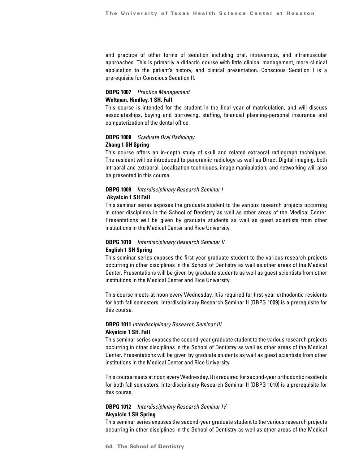and practice of other forms of sedation including oral, intravenous, and intramuscular approaches. This is primarily a didactic course with little clinical management, more clinical application to the patient's history, and clinical presentation. Conscious Sedation I is a prerequisite for Conscious Sedation II.

# **DBPG 1007** *Practice Management*

# **Weltman, Hindley. 1 SH. Fall**

This course is intended for the student in the final year of matriculation, and will discuss associateships, buying and borrowing, staffing, financial planning-personal insurance and computerization of the dental office.

### **DBPG 1008** *Graduate Oral Radiology*  **Zhang 1 SH Spring**

This course offers an in-depth study of skull and related extraoral radiograph techniques. The resident will be introduced to panoramic radiology as well as Direct Digital imaging, both intraoral and extraoral. Localization techniques, image manipulation, and networking will also be presented in this course.

### **DBPG 1009** *Interdisciplinary Research Seminar I*

### **Akyalcin 1 SH Fall**

This seminar series exposes the graduate student to the various research projects occurring in other disciplines in the School of Dentistry as well as other areas of the Medical Center. Presentations will be given by graduate students as well as guest scientists from other institutions in the Medical Center and Rice University.

### **DBPG 1010** *Interdisciplinary Research Seminar II* **English 1 SH Spring**

This seminar series exposes the first-year graduate student to the various research projects occurring in other disciplines in the School of Dentistry as well as other areas of the Medical Center. Presentations will be given by graduate students as well as guest scientists from other institutions in the Medical Center and Rice University.

This course meets at noon every Wednesday. It is required for first-year orthodontic residents for both fall semesters. Interdisciplinary Research Seminar II (DBPG 1009) is a prerequisite for this course.

### **DBPG 1011** *Interdisciplinary Research Seminar III*

### **Akyalcin 1 SH. Fall**

This seminar series exposes the second-year graduate student to the various research projects occurring in other disciplines in the School of Dentistry as well as other areas of the Medical Center. Presentations will be given by graduate students as well as guest scientists from other institutions in the Medical Center and Rice University.

This course meets at noon every Wednesday. It is required for second-year orthodontic residents for both fall semesters. Interdisciplinary Research Seminar II (DBPG 1010) is a prerequisite for this course.

### **DBPG 1012** *Interdisciplinary Research Seminar IV* **Akyalcin 1 SH Spring**

This seminar series exposes the second-year graduate student to the various research projects occurring in other disciplines in the School of Dentistry as well as other areas of the Medical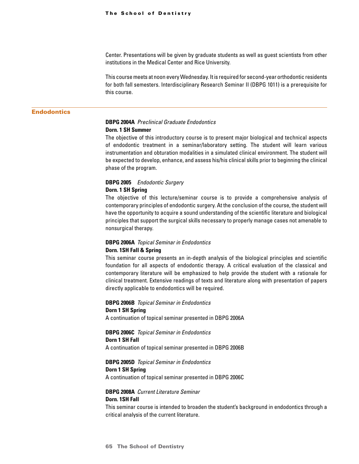Center. Presentations will be given by graduate students as well as guest scientists from other institutions in the Medical Center and Rice University.

This course meets at noon every Wednesday. It is required for second-year orthodontic residents for both fall semesters. Interdisciplinary Research Seminar II (DBPG 1011) is a prerequisite for this course.

### **Endodontics**

### **DBPG 2004A** *Preclinical Graduate Endodontics* **Dorn. 1 SH Summer**

The objective of this introductory course is to present major biological and technical aspects of endodontic treatment in a seminar/laboratory setting. The student will learn various instrumentation and obturation modalities in a simulated clinical environment. The student will be expected to develop, enhance, and assess his/his clinical skills prior to beginning the clinical phase of the program.

### **DBPG 2005** *Endodontic Surgery* **Dorn. 1 SH Spring**

The objective of this lecture/seminar course is to provide a comprehensive analysis of contemporary principles of endodontic surgery. At the conclusion of the course, the student will have the opportunity to acquire a sound understanding of the scientific literature and biological principles that support the surgical skills necessary to properly manage cases not amenable to nonsurgical therapy.

### **DBPG 2006A** *Topical Seminar in Endodontics* **Dorn. 1SH Fall & Spring**

This seminar course presents an in-depth analysis of the biological principles and scientific foundation for all aspects of endodontic therapy. A critical evaluation of the classical and contemporary literature will be emphasized to help provide the student with a rationale for clinical treatment. Extensive readings of texts and literature along with presentation of papers directly applicable to endodontics will be required.

### **DBPG 2006B** *Topical Seminar in Endodontics* **Dorn 1 SH Spring** A continuation of topical seminar presented in DBPG 2006A

**DBPG 2006C** *Topical Seminar in Endodontics* **Dorn 1 SH Fall** A continuation of topical seminar presented in DBPG 2006B

# **DBPG 2005D** *Topical Seminar in Endodontics* **Dorn 1 SH Spring**

A continuation of topical seminar presented in DBPG 2006C

# **DBPG 2008A** *Current Literature Seminar*

# **Dorn. 1SH Fall**

This seminar course is intended to broaden the student's background in endodontics through a critical analysis of the current literature.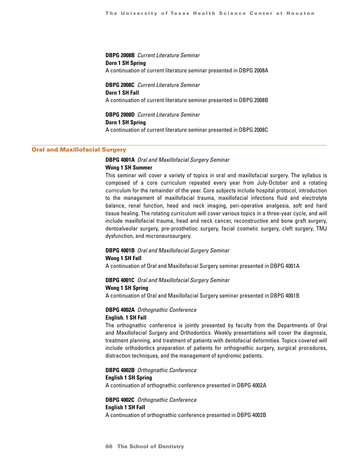### **DBPG 2008B** *Current Literature Seminar* **Dorn 1 SH Spring** A continuation of current literature seminar presented in DBPG 2008A

**DBPG 2008C** *Current Literature Seminar* **Dorn 1 SH Fall** A continuation of current literature seminar presented in DBPG 2008B

**DBPG 2008D** *Current Literature Seminar* **Dorn 1 SH Spring** A continuation of current literature seminar presented in DBPG 2008C

### Oral and Maxillofacial Surgery

### **DBPG 4001A** *Oral and Maxillofacial Surgery Seminar* **Wong 1 SH Summer**

This seminar will cover a variety of topics in oral and maxillofacial surgery. The syllabus is composed of a core curriculum repeated every year from July-October and a rotating curriculum for the remainder of the year. Core subjects include hospital protocol, introduction to the management of maxillofacial trauma, maxillofacial infections fluid and electrolyte balance, renal function, head and neck imaging, peri-operative analgesia, soft and hard tissue healing. The rotating curriculum will cover various topics in a three-year cycle, and will include maxillofacial trauma, head and neck cancer, reconstructive and bone graft surgery, dentoalveolar surgery, pre-prosthetioc surgery, facial cosmetic surgery, cleft surgery, TMJ dysfunction, and microneurosurgery.

### **DBPG 4001B** *Oral and Maxillofacial Surgery Seminar* **Wong 1 SH Fall**

A continuation of Oral and Maxillofacial Surgery seminar presented in DBPG 4001A

### **DBPG 4001C** *Oral and Maxillofacial Surgery Seminar* **Wong 1 SH Spring**

A continuation of Oral and Maxillofacial Surgery seminar presented in DBPG 4001B

### **DBPG 4002A** *Orthognathic Conference*

### **English. 1 SH Fall**

The orthognathic conference is jointly presented by faculty from the Departments of Oral and Maxillofacial Surgery and Orthodontics. Weekly presentations will cover the diagnosis, treatment planning, and treatment of patients with dentofacial deformities. Topics covered will include orthodontics preparation of patients for orthognathic surgery, surgical procedures, distraction techniques, and the management of syndromic patients.

# **DBPG 4002B** *Orthognathic Conference* **English 1 SH Spring**

A continuation of orthognathic conference presented in DBPG 4002A

### **DBPG 4002C** *Orthognathic Conference*

**English 1 SH Fall** A continuation of orthognathic conference presented in DBPG 4002B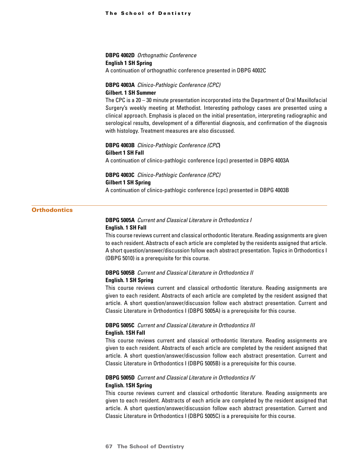### **DBPG 4002D** *Orthognathic Conference* **English 1 SH Spring** A continuation of orthognathic conference presented in DBPG 4002C

### **DBPG 4003A** *Clinico-Pathlogic Conference (CPC)*

### **Gilbert. 1 SH Summer**

The CPC is a 20 – 30 minute presentation incorporated into the Department of Oral Maxillofacial Surgery's weekly meeting at Methodist. Interesting pathology cases are presented using a clinical approach. Emphasis is placed on the initial presentation, interpreting radiographic and serological results, development of a differential diagnosis, and confirmation of the diagnosis with histology. Treatment measures are also discussed.

**DBPG 4003B** *Clinico-Pathlogic Conference (CPC***) Gilbert 1 SH Fall** A continuation of clinico-pathlogic conference (cpc) presented in DBPG 4003A

**DBPG 4003C** *Clinico-Pathlogic Conference (CPC)* **Gilbert 1 SH Spring** A continuation of clinico-pathlogic conference (cpc) presented in DBPG 4003B

### **Orthodontics**

### **DBPG 5005A** *Current and Classical Literature in Orthodontics I* **English. 1 SH Fall**

This course reviews current and classical orthodontic literature. Reading assignments are given to each resident. Abstracts of each article are completed by the residents assigned that article. A short question/answer/discussion follow each abstract presentation. Topics in Orthodontics I (DBPG 5010) is a prerequisite for this course.

# **DBPG 5005B** *Current and Classical Literature in Orthodontics II*

### **English. 1 SH Spring**

This course reviews current and classical orthodontic literature. Reading assignments are given to each resident. Abstracts of each article are completed by the resident assigned that article. A short question/answer/discussion follow each abstract presentation. Current and Classic Literature in Orthodontics I (DBPG 5005A) is a prerequisite for this course.

# **DBPG 5005C** *Current and Classical Literature in Orthodontics III* **English. 1SH Fall**

This course reviews current and classical orthodontic literature. Reading assignments are given to each resident. Abstracts of each article are completed by the resident assigned that article. A short question/answer/discussion follow each abstract presentation. Current and Classic Literature in Orthodontics I (DBPG 5005B) is a prerequisite for this course.

### **DBPG 5005D** *Current and Classical Literature in Orthodontics IV* **English. 1SH Spring**

This course reviews current and classical orthodontic literature. Reading assignments are given to each resident. Abstracts of each article are completed by the resident assigned that article. A short question/answer/discussion follow each abstract presentation. Current and Classic Literature in Orthodontics I (DBPG 5005C) is a prerequisite for this course.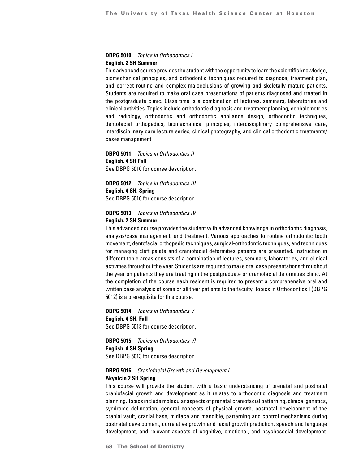# **DBPG 5010** *Topics in Orthodontics I* **English. 2 SH Summer**

This advanced course provides the student with the opportunity to learn the scientific knowledge, biomechanical principles, and orthodontic techniques required to diagnose, treatment plan, and correct routine and complex malocclusions of growing and skeletally mature patients. Students are required to make oral case presentations of patients diagnosed and treated in the postgraduate clinic. Class time is a combination of lectures, seminars, laboratories and clinical activities. Topics include orthodontic diagnosis and treatment planning, cephalometrics and radiology, orthodontic and orthodontic appliance design, orthodontic techniques, dentofacial orthopedics, biomechanical principles, interdisciplinary comprehensive care, interdisciplinary care lecture series, clinical photography, and clinical orthodontic treatments/ cases management.

**DBPG 5011** *Topics in Orthodontics II* **English. 4 SH Fall** See DBPG 5010 for course description.

**DBPG 5012** *Topics in Orthodontics III*  **English. 4 SH. Spring** See DBPG 5010 for course description.

**DBPG 5013** *Topics in Orthodontics IV*

#### **English. 2 SH Summer**

This advanced course provides the student with advanced knowledge in orthodontic diagnosis, analysis/case management, and treatment. Various approaches to routine orthodontic tooth movement, dentofacial orthopedic techniques, surgical-orthodontic techniques, and techniques for managing cleft palate and craniofacial deformities patients are presented. Instruction in different topic areas consists of a combination of lectures, seminars, laboratories, and clinical activities throughout the year. Students are required to make oral case presentations throughout the year on patients they are treating in the postgraduate or craniofacial deformities clinic. At the completion of the course each resident is required to present a comprehensive oral and written case analysis of some or all their patients to the faculty. Topics in Orthodontics I (DBPG 5012) is a prerequisite for this course.

**DBPG 5014** *Topics in Orthodontics V* **English. 4 SH. Fall** See DBPG 5013 for course description.

**DBPG 5015** *Topics in Orthodontics VI* **English. 4 SH Spring** See DBPG 5013 for course description

# **DBPG 5016** *Craniofacial Growth and Development I*

#### **Akyalcin 2 SH Spring**

This course will provide the student with a basic understanding of prenatal and postnatal craniofacial growth and development as it relates to orthodontic diagnosis and treatment planning. Topics include molecular aspects of prenatal craniofacial patterning, clinical genetics, syndrome delineation, general concepts of physical growth, postnatal development of the cranial vault, cranial base, midface and mandible, patterning and control mechanisms during postnatal development, correlative growth and facial growth prediction, speech and language development, and relevant aspects of cognitive, emotional, and psychosocial development.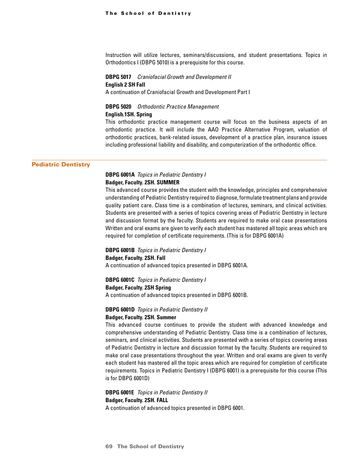Instruction will utilize lectures, seminars/discussions, and student presentations. Topics in Orthodontics I (DBPG 5010) is a prerequisite for this course.

#### **DBPG 5017** *Craniofacial Growth and Development II* **English 2 SH Fall**

A continuation of Craniofacial Growth and Development Part I

#### **DBPG 5020** *Orthodontic Practice Management* **English.1SH. Spring**

This orthodontic practice management course will focus on the business aspects of an orthodontic practice. It will include the AAO Practice Alternative Program, valuation of orthodontic practices, bank-related issues, development of a practice plan, insurance issues including professional liability and disability, and computerization of the orthodontic office.

# Pediatric Dentistry

# **DBPG 6001A** *Topics in Pediatric Dentistry I*

#### **Badger, Faculty. 2SH. SUMMER**

This advanced course provides the student with the knowledge, principles and comprehensive understanding of Pediatric Dentistry required to diagnose, formulate treatment plans and provide quality patient care. Class time is a combination of lectures, seminars, and clinical activities. Students are presented with a series of topics covering areas of Pediatric Dentistry in lecture and discussion format by the faculty. Students are required to make oral case presentations Written and oral exams are given to verify each student has mastered all topic areas which are required for completion of certificate requirements. (This is for DBPG 6001A)

#### **DBPG 6001B** *Topics in Pediatric Dentistry I* **Badger, Faculty. 2SH. Fall**

A continuation of advanced topics presented in DBPG 6001A.

**DBPG 6001C** *Topics in Pediatric Dentistry I* **Badger, Faculty. 2SH Spring** A continuation of advanced topics presented in DBPG 6001B.

#### **DBPG 6001D** *Topics in Pediatric Dentistry II*

#### **Badger, Faculty. 2SH. Summer**

This advanced course continues to provide the student with advanced knowledge and comprehensive understanding of Pediatric Dentistry. Class time is a combination of lectures, seminars, and clinical activities. Students are presented with a series of topics covering areas of Pediatric Dentistry in lecture and discussion format by the faculty. Students are required to make oral case presentations throughout the year. Written and oral exams are given to verify each student has mastered all the topic areas which are required for completion of certificate requirements. Topics in Pediatric Dentistry I (DBPG 6001) is a prerequisite for this course (This is for DBPG 6001D)

# **DBPG 6001E** *Topics in Pediatric Dentistry II* **Badger, Faculty. 2SH. FALL** A continuation of advanced topics presented in DBPG 6001.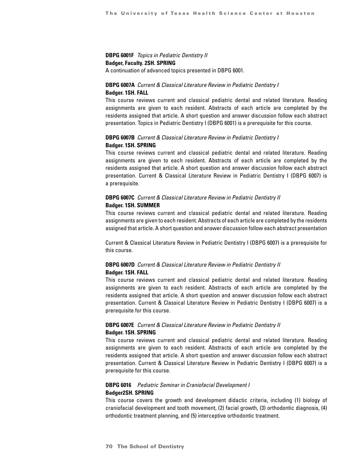# **DBPG 6001F** *Topics in Pediatric Dentistry II* **Badger, Faculty. 2SH. SPRING** A continuation of advanced topics presented in DBPG 6001.

# **DBPG 6007A** *Current & Classical Literature Review in Pediatric Dentistry I* **Badger. 1SH. FALL**

This course reviews current and classical pediatric dental and related literature. Reading assignments are given to each resident. Abstracts of each article are completed by the residents assigned that article. A short question and answer discussion follow each abstract presentation. Topics in Pediatric Dentistry I (DBPG 6001) is a prerequisite for this course.

#### **DBPG 6007B** *Current & Classical Literature Review in Pediatric Dentistry I* **Badger. 1SH. SPRING**

This course reviews current and classical pediatric dental and related literature. Reading assignments are given to each resident. Abstracts of each article are completed by the residents assigned that article. A short question and answer discussion follow each abstract presentation. Current & Classical Literature Review in Pediatric Dentistry I (DBPG 6007) is a prerequisite.

# **DBPG 6007C** *Current & Classical Literature Review in Pediatric Dentistry II*  **Badger. 1SH. SUMMER**

This course reviews current and classical pediatric dental and related literature. Reading assignments are given to each resident. Abstracts of each article are completed by the residents assigned that article. A short question and answer discussion follow each abstract presentation

Current & Classical Literature Review in Pediatric Dentistry I (DBPG 6007) is a prerequisite for this course.

# **DBPG 6007D** *Current & Classical Literature Review in Pediatric Dentistry II* **Badger. 1SH. FALL**

This course reviews current and classical pediatric dental and related literature. Reading assignments are given to each resident. Abstracts of each article are completed by the residents assigned that article. A short question and answer discussion follow each abstract presentation. Current & Classical Literature Review in Pediatric Dentistry I (DBPG 6007) is a prerequisite for this course.

# **DBPG 6007E** *Current & Classical Literature Review in Pediatric Dentistry II* **Badger. 1SH. SPRING**

This course reviews current and classical pediatric dental and related literature. Reading assignments are given to each resident. Abstracts of each article are completed by the residents assigned that article. A short question and answer discussion follow each abstract presentation. Current & Classical Literature Review in Pediatric Dentistry I (DBPG 6007) is a prerequisite for this course.

# **DBPG 6016** *Pediatric Seminar in Craniofacial Development I* **Badger2SH. SPRING**

This course covers the growth and development didactic criteria, including (1) biology of craniofacial development and tooth movement, (2) facial growth, (3) orthodontic diagnosis, (4) orthodontic treatment planning, and (5) interceptive orthodontic treatment.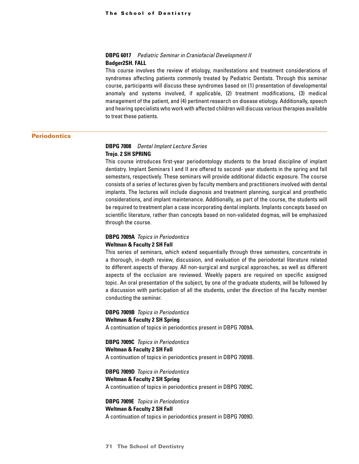### **DBPG 6017** *Pediatric Seminar in Craniofacial Development II* **Badger2SH. FALL**

This course involves the review of etiology, manifestations and treatment considerations of syndromes affecting patients commonly treated by Pediatric Dentists. Through this seminar course, participants will discuss these syndromes based on (1) presentation of developmental anomaly and systems involved, if applicable, (2) treatment modifications, (3) medical management of the patient, and (4) pertinent research on disease etiology. Additionally, speech and hearing specialists who work with affected children will discuss various therapies available to treat these patients.

# **Periodontics**

#### **DBPG 7008** *Dental Implant Lecture Series* **Trejo. 2 SH SPRING**

This course introduces first-year periodontology students to the broad discipline of implant dentistry. Implant Seminars I and II are offered to second- year students in the spring and fall semesters, respectively. These seminars will provide additional didactic exposure. The course consists of a series of lectures given by faculty members and practitioners involved with dental implants. The lectures will include diagnosis and treatment planning, surgical and prosthetic considerations, and implant maintenance. Additionally, as part of the course, the students will be required to treatment plan a case incorporating dental implants. Implants concepts based on scientific literature, rather than concepts based on non-validated dogmas, will be emphasized through the course.

#### **DBPG 7009A** *Topics in Periodontics* **Weltman & Faculty 2 SH Fall**

This series of seminars, which extend sequentially through three semesters, concentrate in a thorough, in-depth review, discussion, and evaluation of the periodontal literature related to different aspects of therapy. All non-surgical and surgical approaches, as well as different aspects of the occlusion are reviewed. Weekly papers are required on specific assigned topic. An oral presentation of the subject, by one of the graduate students, will be followed by a discussion with participation of all the students, under the direction of the faculty member conducting the seminar.

**DBPG 7009B** *Topics in Periodontics* **Weltman & Faculty 2 SH Spring** A continuation of topics in periodontics present in DBPG 7009A.

**DBPG 7009C** *Topics in Periodontics* **Weltman & Faculty 2 SH Fall** A continuation of topics in periodontics present in DBPG 7009B.

**DBPG 7009D** *Topics in Periodontics* **Weltman & Faculty 2 SH Spring** A continuation of topics in periodontics present in DBPG 7009C.

**DBPG 7009E** *Topics in Periodontics* **Weltman & Faculty 2 SH Fall** A continuation of topics in periodontics present in DBPG 7009D.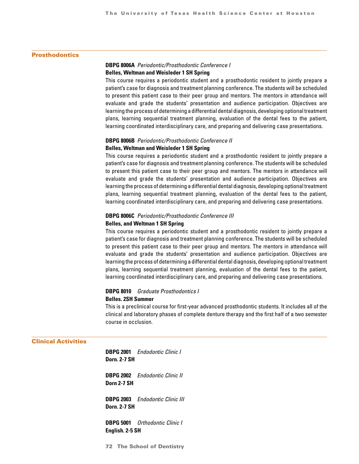# **Prosthodontics**

# **DBPG 8006A** *Periodontic/Prosthodontic Conference I* **Belles, Weltman and Weisleder 1 SH Spring**

This course requires a periodontic student and a prosthodontic resident to jointly prepare a patient's case for diagnosis and treatment planning conference. The students will be scheduled to present this patient case to their peer group and mentors. The mentors in attendance will evaluate and grade the students' presentation and audience participation. Objectives are learning the process of determining a differential dental diagnosis, developing optional treatment plans, learning sequential treatment planning, evaluation of the dental fees to the patient, learning coordinated interdisciplinary care, and preparing and delivering case presentations.

#### **DBPG 8006B** *Periodontic/Prosthodontic Conference II* **Belles, Weltman and Weisleder 1 SH Spring**

This course requires a periodontic student and a prosthodontic resident to jointly prepare a patient's case for diagnosis and treatment planning conference. The students will be scheduled to present this patient case to their peer group and mentors. The mentors in attendance will evaluate and grade the students' presentation and audience participation. Objectives are learning the process of determining a differential dental diagnosis, developing optional treatment plans, learning sequential treatment planning, evaluation of the dental fees to the patient, learning coordinated interdisciplinary care, and preparing and delivering case presentations.

#### **DBPG 8006C** *Periodontic/Prosthodontic Conference III*

#### **Belles, and Weltman 1 SH Spring**

This course requires a periodontic student and a prosthodontic resident to jointly prepare a patient's case for diagnosis and treatment planning conference. The students will be scheduled to present this patient case to their peer group and mentors. The mentors in attendance will evaluate and grade the students' presentation and audience participation. Objectives are learning the process of determining a differential dental diagnosis, developing optional treatment plans, learning sequential treatment planning, evaluation of the dental fees to the patient, learning coordinated interdisciplinary care, and preparing and delivering case presentations.

#### **DBPG 8010** *Graduate Prosthodontics I* **Belles. 2SH Summer**

This is a preclinical course for first-year advanced prosthodontic students. It includes all of the clinical and laboratory phases of complete denture therapy and the first half of a two semester course in occlusion.

### Clinical Activities

**DBPG 2001** *Endodontic Clinic I* **Dorn. 2-7 SH**

**DBPG 2002** *Endodontic Clinic II* **Dorn 2-7 SH**

**DBPG 2003** *Endodontic Clinic III* **Dorn. 2-7 SH**

**DBPG 5001** *Orthodontic Clinic I* **English. 2-5 SH**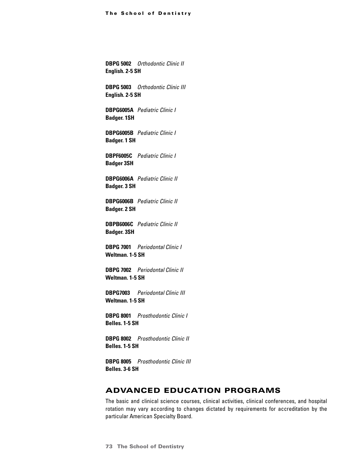**DBPG 5002** *Orthodontic Clinic II* **English. 2-5 SH**

**DBPG 5003** *Orthodontic Clinic III* **English. 2-5 SH**

**DBPG6005A** *Pediatric Clinic I* **Badger. 1SH**

**DBPG6005B** *Pediatric Clinic I* **Badger. 1 SH**

**DBPF6005C** *Pediatric Clinic I* **Badger 3SH**

**DBPG6006A** *Pediatric Clinic II* **Badger. 3 SH**

**DBPG6006B** *Pediatric Clinic II* **Badger. 2 SH**

**DBPB6006C** *Pediatric Clinic II* **Badger. 3SH**

**DBPG 7001** *Periodontal Clinic I* **Weltman. 1-5 SH**

**DBPG 7002** *Periodontal Clinic II* **Weltman. 1-5 SH**

**DBPG7003** *Periodontal Clinic III* **Weltman. 1-5 SH**

**DBPG 8001** *Prosthodontic Clinic I* **Belles. 1-5 SH**

**DBPG 8002** *Prosthodontic Clinic II* **Belles. 1-5 SH**

**DBPG 8005** *Prosthodontic Clinic III* **Belles. 3-6 SH**

# ADVANCED EDUCATION PROGRAMS

The basic and clinical science courses, clinical activities, clinical conferences, and hospital rotation may vary according to changes dictated by requirements for accreditation by the particular American Specialty Board.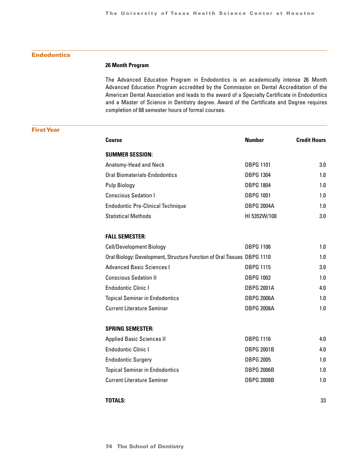# **Endodontics**

### **26 Month Program**

The Advanced Education Program in Endodontics is an academically intense 26 Month Advanced Education Program accredited by the Commission on Dental Accreditation of the American Dental Association and leads to the award of a Specialty Certificate in Endodontics and a Master of Science in Dentistry degree. Award of the Certificate and Degree requires completion of 68 semester hours of formal courses.

# First Year

| <b>Course</b>                                                           | <b>Number</b>     | <b>Credit Hours</b> |
|-------------------------------------------------------------------------|-------------------|---------------------|
| <b>SUMMER SESSION:</b>                                                  |                   |                     |
| Anatomy-Head and Neck                                                   | <b>DBPG 1101</b>  | 3.0                 |
| <b>Oral Biomaterials-Endodontics</b>                                    | <b>DBPG 1304</b>  | 1.0                 |
| <b>Pulp Biology</b>                                                     | <b>DBPG 1804</b>  | 1.0                 |
| <b>Conscious Sedation I</b>                                             | <b>DBPG 1001</b>  | 1.0                 |
| <b>Endodontic Pre-Clinical Technique</b>                                | <b>DBPG 2004A</b> | 1.0                 |
| <b>Statistical Methods</b>                                              | HI 5352W/100      | 3.0                 |
| <b>FALL SEMESTER:</b>                                                   |                   |                     |
| <b>Cell/Development Biology</b>                                         | <b>DBPG 1106</b>  | 1.0                 |
| Oral Biology: Development, Structure Function of Oral Tissues DBPG 1110 |                   | 1.0                 |
| <b>Advanced Basic Sciences I</b>                                        | <b>DBPG 1115</b>  | 3.0                 |
| <b>Conscious Sedation II</b>                                            | <b>DBPG 1002</b>  | 1.0                 |
| <b>Endodontic Clinic I</b>                                              | <b>DBPG 2001A</b> | 4.0                 |
| <b>Topical Seminar in Endodontics</b>                                   | <b>DBPG 2006A</b> | 1.0                 |
| <b>Current Literature Seminar</b>                                       | <b>DBPG 2008A</b> | 1.0                 |
| <b>SPRING SEMESTER:</b>                                                 |                   |                     |
| <b>Applied Basic Sciences II</b>                                        | <b>DBPG 1116</b>  | 4.0                 |
| <b>Endodontic Clinic I</b>                                              | <b>DBPG 2001B</b> | 4.0                 |
| <b>Endodontic Surgery</b>                                               | <b>DBPG 2005</b>  | 1.0                 |
| <b>Topical Seminar in Endodontics</b>                                   | <b>DBPG 2006B</b> | 1.0                 |
| <b>Current Literature Seminar</b>                                       | <b>DBPG 2008B</b> | 1.0                 |

#### **TOTALS:** 33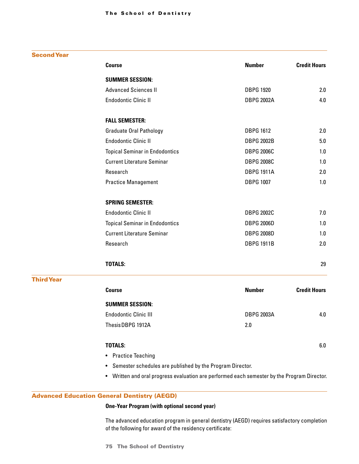# Second Year

| Course                                | <b>Number</b>     | <b>Credit Hours</b> |
|---------------------------------------|-------------------|---------------------|
| <b>SUMMER SESSION:</b>                |                   |                     |
| <b>Advanced Sciences II</b>           | <b>DBPG 1920</b>  | 2.0                 |
| <b>Endodontic Clinic II</b>           | <b>DBPG 2002A</b> | 4.0                 |
| <b>FALL SEMESTER:</b>                 |                   |                     |
| <b>Graduate Oral Pathology</b>        | <b>DBPG 1612</b>  | 2.0                 |
| <b>Endodontic Clinic II</b>           | <b>DBPG 2002B</b> | 5.0                 |
| <b>Topical Seminar in Endodontics</b> | <b>DBPG 2006C</b> | 1.0                 |
| <b>Current Literature Seminar</b>     | <b>DBPG 2008C</b> | 1.0                 |
| Research                              | <b>DBPG 1911A</b> | 2.0                 |
| <b>Practice Management</b>            | <b>DBPG 1007</b>  | 1.0                 |
| <b>SPRING SEMESTER:</b>               |                   |                     |
| <b>Endodontic Clinic II</b>           | <b>DBPG 2002C</b> | 7.0                 |
| <b>Topical Seminar in Endodontics</b> | <b>DBPG 2006D</b> | 1.0                 |
| <b>Current Literature Seminar</b>     | <b>DBPG 2008D</b> | 1.0                 |
| Research                              | <b>DBPG 1911B</b> | 2.0                 |
| <b>TOTALS:</b>                        |                   | 29                  |

Third Year

| Course                                                                 | <b>Number</b>     | <b>Credit Hours</b> |
|------------------------------------------------------------------------|-------------------|---------------------|
| <b>SUMMER SESSION:</b>                                                 |                   |                     |
| <b>Endodontic Clinic III</b>                                           | <b>DBPG 2003A</b> | 4.0                 |
| Thesis DBPG 1912A                                                      | 2.0               |                     |
|                                                                        |                   |                     |
| <b>TOTALS:</b>                                                         |                   | 6.0                 |
| <b>Practice Teaching</b><br>$\bullet$                                  |                   |                     |
| Semester schedules are published by the Program Director.<br>$\bullet$ |                   |                     |

• Written and oral progress evaluation are performed each semester by the Program Director.

# Advanced Education General Dentistry (AEGD)

# **One-Year Program (with optional second year)**

The advanced education program in general dentistry (AEGD) requires satisfactory completion of the following for award of the residency certificate: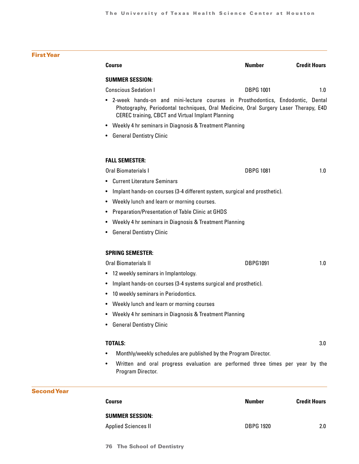# First Year

Second Year

| <b>Course</b>                                                                                                                                                                                                                          | <b>Number</b>    | <b>Credit Hours</b> |
|----------------------------------------------------------------------------------------------------------------------------------------------------------------------------------------------------------------------------------------|------------------|---------------------|
| <b>SUMMER SESSION:</b>                                                                                                                                                                                                                 |                  |                     |
| <b>Conscious Sedation I</b>                                                                                                                                                                                                            | <b>DBPG 1001</b> | 1.0                 |
| 2-week hands-on and mini-lecture courses in Prosthodontics, Endodontic, Dental<br>٠<br>Photography, Periodontal techniques, Oral Medicine, Oral Surgery Laser Therapy, E4D<br><b>CEREC training, CBCT and Virtual Implant Planning</b> |                  |                     |
| • Weekly 4 hr seminars in Diagnosis & Treatment Planning                                                                                                                                                                               |                  |                     |
| • General Dentistry Clinic                                                                                                                                                                                                             |                  |                     |
| <b>FALL SEMESTER:</b>                                                                                                                                                                                                                  |                  |                     |
| <b>Oral Biomaterials I</b>                                                                                                                                                                                                             | <b>DBPG 1081</b> | 1.0                 |
| • Current Literature Seminars                                                                                                                                                                                                          |                  |                     |
| Implant hands-on courses (3-4 different system, surgical and prosthetic).<br>$\bullet$                                                                                                                                                 |                  |                     |
| Weekly lunch and learn or morning courses.<br>$\bullet$                                                                                                                                                                                |                  |                     |
| Preparation/Presentation of Table Clinic at GHDS<br>٠                                                                                                                                                                                  |                  |                     |
| Weekly 4 hr seminars in Diagnosis & Treatment Planning<br>٠                                                                                                                                                                            |                  |                     |
| <b>General Dentistry Clinic</b><br>٠                                                                                                                                                                                                   |                  |                     |
| <b>SPRING SEMESTER:</b>                                                                                                                                                                                                                |                  |                     |
| <b>Oral Biomaterials II</b>                                                                                                                                                                                                            | <b>DBPG1091</b>  | 1.0                 |
| • 12 weekly seminars in Implantology.                                                                                                                                                                                                  |                  |                     |
| Implant hands-on courses (3-4 systems surgical and prosthetic).<br>$\bullet$                                                                                                                                                           |                  |                     |
| 10 weekly seminars in Periodontics.<br>$\bullet$                                                                                                                                                                                       |                  |                     |
| Weekly lunch and learn or morning courses<br>$\bullet$                                                                                                                                                                                 |                  |                     |
| Weekly 4 hr seminars in Diagnosis & Treatment Planning<br>٠                                                                                                                                                                            |                  |                     |
| <b>General Dentistry Clinic</b><br>$\bullet$                                                                                                                                                                                           |                  |                     |
| <b>TOTALS:</b>                                                                                                                                                                                                                         |                  | 3.0                 |
| Monthly/weekly schedules are published by the Program Director.                                                                                                                                                                        |                  |                     |
| Written and oral progress evaluation are performed three times per year by the<br>٠<br>Program Director.                                                                                                                               |                  |                     |
| <b>Course</b>                                                                                                                                                                                                                          | <b>Number</b>    | <b>Credit Hours</b> |
| <b>SUMMER SESSION:</b>                                                                                                                                                                                                                 |                  |                     |
| <b>Applied Sciences II</b>                                                                                                                                                                                                             | <b>DBPG 1920</b> | 2.0                 |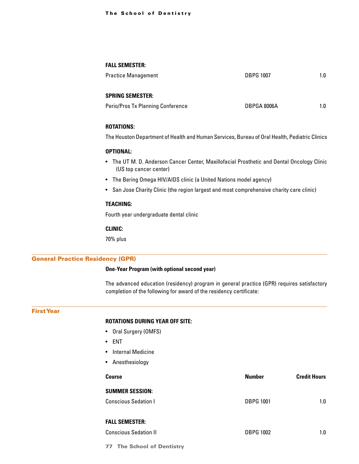#### **FALL SEMESTER:**

| <b>Practice Management</b>        | <b>DBPG 1007</b> | 1.0 |
|-----------------------------------|------------------|-----|
| <b>SPRING SEMESTER:</b>           |                  |     |
| Perio/Pros Tx Planning Conference | DBPGA 8006A      | 1.0 |

# **ROTATIONS:**

The Houston Department of Health and Human Services, Bureau of Oral Health, Pediatric Clinics

# **OPTIONAL:**

- The UT M. D. Anderson Cancer Center, Maxillofacial Prosthetic and Dental Oncology Clinic (US top cancer center)
- The Bering Omega HIV/AIDS clinic (a United Nations model agency)
- San Jose Charity Clinic (the region largest and most comprehensive charity care clinic)

# **TEACHING:**

Fourth year undergraduate dental clinic

#### **CLINIC:**

70% plus

# General Practice Residency (GPR)

#### **One-Year Program (with optional second year)**

The advanced education (residency) program in general practice (GPR) requires satisfactory completion of the following for award of the residency certificate:

### First Year

## **ROTATIONS DURING YEAR OFF SITE:**

- Oral Surgery (OMFS)
- ENT
- Internal Medicine
- Anesthesiology

| <b>Course</b>                | <b>Number</b>    | <b>Credit Hours</b> |
|------------------------------|------------------|---------------------|
| <b>SUMMER SESSION:</b>       |                  |                     |
| <b>Conscious Sedation I</b>  | <b>DBPG 1001</b> | 1.0                 |
| <b>FALL SEMESTER:</b>        |                  |                     |
| <b>Conscious Sedation II</b> | <b>DBPG 1002</b> | 1.0                 |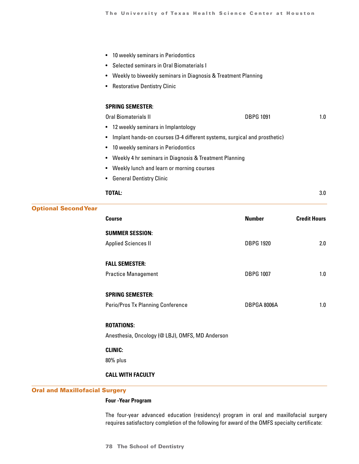- 10 weekly seminars in Periodontics
- Selected seminars in Oral Biomaterials I
- Weekly to biweekly seminars in Diagnosis & Treatment Planning
- Restorative Dentistry Clinic

# **SPRING SEMESTER:**

Oral Biomaterials II and the Control of the DBPG 1091 1.0

- 12 weekly seminars in Implantology
- Implant hands-on courses (3-4 different systems, surgical and prosthetic)
- 10 weekly seminars in Periodontics
- Weekly 4 hr seminars in Diagnosis & Treatment Planning
- Weekly lunch and learn or morning courses
- General Dentistry Clinic

# Optional Second Year

| <b>Course</b> |                                                 | <b>Number</b>    | <b>Credit Hours</b> |
|---------------|-------------------------------------------------|------------------|---------------------|
|               | <b>SUMMER SESSION:</b>                          |                  |                     |
|               | <b>Applied Sciences II</b>                      | <b>DBPG 1920</b> | 2.0                 |
|               |                                                 |                  |                     |
|               | <b>FALL SEMESTER:</b>                           |                  |                     |
|               | <b>Practice Management</b>                      | <b>DBPG 1007</b> | 1.0                 |
|               |                                                 |                  |                     |
|               | <b>SPRING SEMESTER:</b>                         |                  |                     |
|               | Perio/Pros Tx Planning Conference               | DBPGA 8006A      | 1.0                 |
|               |                                                 |                  |                     |
|               | <b>ROTATIONS:</b>                               |                  |                     |
|               | Anesthesia, Oncology (@ LBJ), OMFS, MD Anderson |                  |                     |

**TOTAL:** 3.0

#### **CLINIC:**

80% plus

#### **CALL WITH FACULTY**

# Oral and Maxillofacial Surgery

#### **Four -Year Program**

The four-year advanced education (residency) program in oral and maxillofacial surgery requires satisfactory completion of the following for award of the OMFS specialty certificate: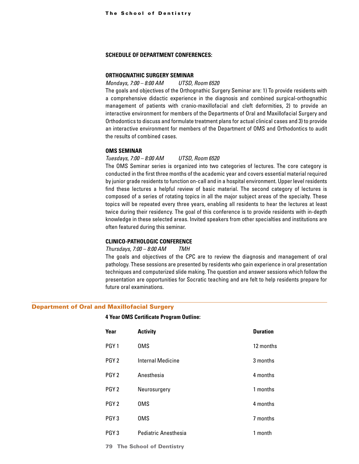#### **SCHEDULE OF DEPARTMENT CONFERENCES:**

## **ORTHOGNATHIC SURGERY SEMINAR**

#### *Mondays, 7:00 – 8:00 AM UTSD, Room 6520*

The goals and objectives of the Orthognathic Surgery Seminar are: 1) To provide residents with a comprehensive didactic experience in the diagnosis and combined surgical-orthognathic management of patients with cranio-maxillofacial and cleft deformities, 2) to provide an interactive environment for members of the Departments of Oral and Maxillofacial Surgery and Orthodontics to discuss and formulate treatment plans for actual clinical cases and 3) to provide an interactive environment for members of the Department of OMS and Orthodontics to audit the results of combined cases.

#### **OMS SEMINAR**

#### *Tuesdays, 7:00 – 8:00 AM UTSD, Room 6520*

The OMS Seminar series is organized into two categories of lectures. The core category is conducted in the first three months of the academic year and covers essential material required by junior grade residents to function on-call and in a hospital environment. Upper level residents find these lectures a helpful review of basic material. The second category of lectures is composed of a series of rotating topics in all the major subject areas of the specialty. These topics will be repeated every three years, enabling all residents to hear the lectures at least twice during their residency. The goal of this conference is to provide residents with in-depth knowledge in these selected areas. Invited speakers from other specialties and institutions are often featured during this seminar.

#### **CLINICO-PATHOLOGIC CONFERENCE**

*Thursdays, 7:00 – 8:00 AM TMH*

The goals and objectives of the CPC are to review the diagnosis and management of oral pathology. These sessions are presented by residents who gain experience in oral presentation techniques and computerized slide making. The question and answer sessions which follow the presentation are opportunities for Socratic teaching and are felt to help residents prepare for future oral examinations.

# Department of Oral and Maxillofacial Surgery

#### **4 Year OMS Certificate Program Outline:**

| Year             | <b>Activity</b>      | <b>Duration</b> |
|------------------|----------------------|-----------------|
| PGY <sub>1</sub> | 0MS                  | 12 months       |
| PGY <sub>2</sub> | Internal Medicine    | 3 months        |
| PGY <sub>2</sub> | Anesthesia           | 4 months        |
| PGY <sub>2</sub> | Neurosurgery         | 1 months        |
| PGY <sub>2</sub> | 0MS                  | 4 months        |
| PGY <sub>3</sub> | 0MS                  | 7 months        |
| PGY <sub>3</sub> | Pediatric Anesthesia | 1 month         |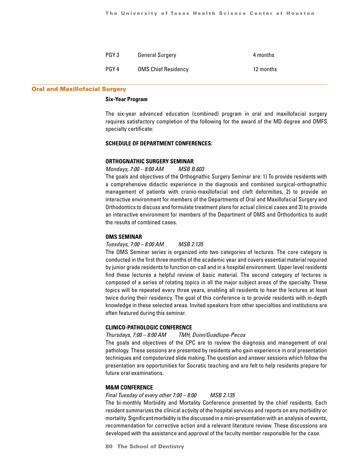| PGY 3 | <b>General Surgery</b>     | 4 months  |
|-------|----------------------------|-----------|
| PGY 4 | <b>OMS Chief Residency</b> | 12 months |

#### Oral and Maxillofacial Surgery

#### **Six-Year Program**

The six-year advanced education (combined) program in oral and maxillofacial surgery requires satisfactory completion of the following for the award of the MD degree and OMFS specialty certificate:

#### **SCHEDULE OF DEPARTMENT CONFERENCES:**

#### **ORTHOGNATHIC SURGERY SEMINAR**

#### *Mondays, 7:00 – 8:00 AM MSB B.603*

The goals and objectives of the Orthognathic Surgery Seminar are: 1) To provide residents with a comprehensive didactic experience in the diagnosis and combined surgical-orthognathic management of patients with cranio-maxillofacial and cleft deformities, 2) to provide an interactive environment for members of the Departments of Oral and Maxillofacial Surgery and Orthodontics to discuss and formulate treatment plans for actual clinical cases and 3) to provide an interactive environment for members of the Department of OMS and Orthodontics to audit the results of combined cases.

#### **OMS SEMINAR**

#### *Tuesdays, 7:00 – 8:00 AM MSB 2.135*

The OMS Seminar series is organized into two categories of lectures. The core category is conducted in the first three months of the academic year and covers essential material required by junior grade residents to function on-call and in a hospital environment. Upper level residents find these lectures a helpful review of basic material. The second category of lectures is composed of a series of rotating topics in all the major subject areas of the specialty. These topics will be repeated every three years, enabling all residents to hear the lectures at least twice during their residency. The goal of this conference is to provide residents with in-depth knowledge in these selected areas. Invited speakers from other specialties and institutions are often featured during this seminar.

#### **CLINICO-PATHOLOGIC CONFERENCE**

#### *Thursdays, 7:00 – 8:00 AM TMH, Dunn/Guadlupe-Pecos*

The goals and objectives of the CPC are to review the diagnosis and management of oral pathology. These sessions are presented by residents who gain experience in oral presentation techniques and computerized slide making. The question and answer sessions which follow the presentation are opportunities for Socratic teaching and are felt to help residents prepare for future oral examinations.

#### **M&M CONFERENCE**

#### *Final Tuesday of every other 7:00 – 8:00 MSB 2.135*

The bi-monthly Morbidity and Mortality Conference presented by the chief residents. Each resident summarizes the clinical activity of the hospital services and reports on any morbidity or mortality. Significant morbidity is the discussed in a mini-presentation with an analysis of events, recommendation for corrective action and a relevant literature review. These discussions are developed with the assistance and approval of the faculty member responsible for the case.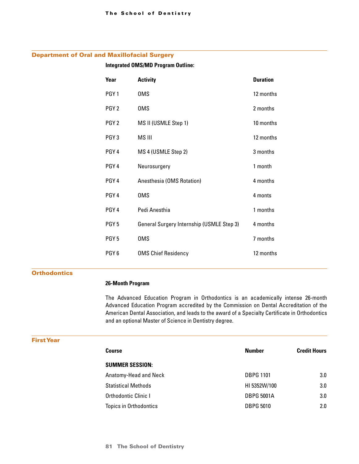# Department of Oral and Maxillofacial Surgery

**Integrated OMS/MD Program Outline:**

| Year             | <b>Activity</b>                           | <b>Duration</b> |
|------------------|-------------------------------------------|-----------------|
| PGY <sub>1</sub> | <b>OMS</b>                                | 12 months       |
| PGY <sub>2</sub> | <b>OMS</b>                                | 2 months        |
| PGY 2            | MS II (USMLE Step 1)                      | 10 months       |
| PGY <sub>3</sub> | MS III                                    | 12 months       |
| PGY 4            | MS 4 (USMLE Step 2)                       | 3 months        |
| PGY <sub>4</sub> | Neurosurgery                              | 1 month         |
| PGY <sub>4</sub> | Anesthesia (OMS Rotation)                 | 4 months        |
| PGY <sub>4</sub> | <b>OMS</b>                                | 4 monts         |
| PGY <sub>4</sub> | Pedi Anesthia                             | 1 months        |
| PGY <sub>5</sub> | General Surgery Internship (USMLE Step 3) | 4 months        |
| PGY <sub>5</sub> | <b>OMS</b>                                | 7 months        |
| PGY <sub>6</sub> | <b>OMS Chief Residency</b>                | 12 months       |

# **Orthodontics**

#### **26-Month Program**

The Advanced Education Program in Orthodontics is an academically intense 26-month Advanced Education Program accredited by the Commission on Dental Accreditation of the American Dental Association, and leads to the award of a Specialty Certificate in Orthodontics and an optional Master of Science in Dentistry degree.

# First Year

| <b>Course</b>                 | <b>Number</b>     | <b>Credit Hours</b> |
|-------------------------------|-------------------|---------------------|
| <b>SUMMER SESSION:</b>        |                   |                     |
| Anatomy-Head and Neck         | <b>DBPG 1101</b>  | 3.0                 |
| <b>Statistical Methods</b>    | HI 5352W/100      | 3.0                 |
| Orthodontic Clinic I          | <b>DBPG 5001A</b> | 3.0                 |
| <b>Topics in Orthodontics</b> | <b>DBPG 5010</b>  | 2.0                 |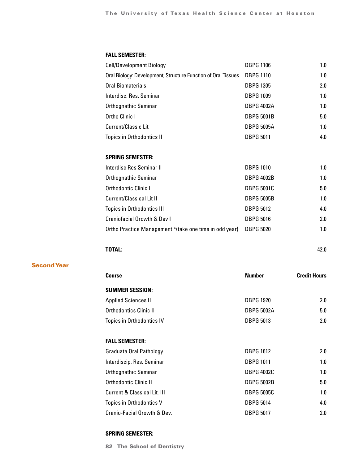# **FALL SEMESTER:**

| <b>Cell/Development Biology</b>                               | <b>DBPG 1106</b>  | 1.0 |
|---------------------------------------------------------------|-------------------|-----|
| Oral Biology: Development, Structure Function of Oral Tissues | <b>DBPG 1110</b>  | 1.0 |
| Oral Biomaterials                                             | <b>DBPG 1305</b>  | 2.0 |
| Interdisc. Res. Seminar                                       | <b>DBPG 1009</b>  | 1.0 |
| Orthognathic Seminar                                          | <b>DBPG 4002A</b> | 1.0 |
| Ortho Clinic I                                                | <b>DBPG 5001B</b> | 5.0 |
| Current/Classic Lit                                           | <b>DBPG 5005A</b> | 1.0 |
| Topics in Orthodontics II                                     | <b>DBPG 5011</b>  | 4.0 |
|                                                               |                   |     |
| <b>SPRING SEMESTER:</b>                                       |                   |     |
| Interdisc Res Seminar II                                      | <b>DBPG 1010</b>  | 1.0 |
| Orthognathic Seminar                                          | <b>DBPG 4002B</b> | 1.0 |
| Orthodontic Clinic I                                          | <b>DBPG 5001C</b> | 5.0 |
| <b>Current/Classical Lit II</b>                               | <b>DBPG 5005B</b> | 1.0 |
| <b>Topics in Orthodontics III</b>                             | <b>DBPG 5012</b>  | 4.0 |
| <b>Craniofacial Growth &amp; Dev I</b>                        | <b>DBPG 5016</b>  | 2.0 |
| Ortho Practice Management *(take one time in odd year)        | <b>DBPG 5020</b>  | 1.0 |
|                                                               |                   |     |

### **TOTAL:** 42.0

Second Year

| <b>Course</b>                           | <b>Number</b>     | <b>Credit Hours</b> |
|-----------------------------------------|-------------------|---------------------|
| <b>SUMMER SESSION:</b>                  |                   |                     |
| <b>Applied Sciences II</b>              | <b>DBPG 1920</b>  | 2.0                 |
| Orthodontics Clinic II                  | <b>DBPG 5002A</b> | 5.0                 |
| <b>Topics in Orthodontics IV</b>        | <b>DBPG 5013</b>  | 2.0                 |
|                                         |                   |                     |
| <b>FALL SEMESTER:</b>                   |                   |                     |
| <b>Graduate Oral Pathology</b>          | <b>DBPG 1612</b>  | 2.0                 |
| Interdiscip. Res. Seminar               | <b>DBPG 1011</b>  | 1.0                 |
| Orthognathic Seminar                    | <b>DBPG 4002C</b> | 1.0                 |
| Orthodontic Clinic II                   | <b>DBPG 5002B</b> | 5.0                 |
| <b>Current &amp; Classical Lit. III</b> | <b>DBPG 5005C</b> | 1.0                 |
| Topics in Orthodontics V                | <b>DBPG 5014</b>  | 4.0                 |
| Cranio-Facial Growth & Dev.             | <b>DBPG 5017</b>  | 2.0                 |

# **SPRING SEMESTER:**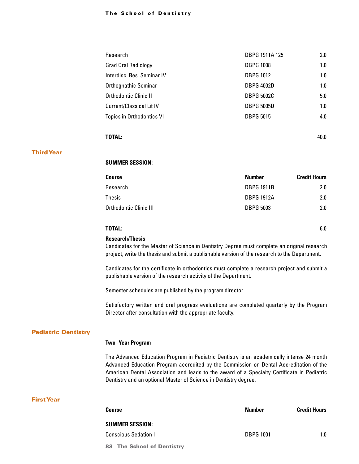#### The School of Dentistry

|                   | 40.0 |
|-------------------|------|
| <b>DBPG 5015</b>  | 4.0  |
| <b>DBPG 5005D</b> | 1.0  |
| <b>DBPG 5002C</b> | 5.0  |
| <b>DBPG 4002D</b> | 1.0  |
| <b>DBPG 1012</b>  | 1.0  |
| <b>DBPG 1008</b>  | 1.0  |
| DBPG 1911A 125    | 2.0  |
|                   |      |

# Third Year

### **SUMMER SESSION:**

| <b>Course</b>          | Number            | <b>Credit Hours</b> |
|------------------------|-------------------|---------------------|
| Research               | <b>DBPG 1911B</b> | 2.0                 |
| Thesis                 | <b>DBPG 1912A</b> | $2.0\degree$        |
| Orthodontic Clinic III | <b>DBPG 5003</b>  | $2.0\degree$        |

#### **TOTAL:** 6.0

# **Research/Thesis**

Candidates for the Master of Science in Dentistry Degree must complete an original research project, write the thesis and submit a publishable version of the research to the Department.

Candidates for the certificate in orthodontics must complete a research project and submit a publishable version of the research activity of the Department.

Semester schedules are published by the program director.

Satisfactory written and oral progress evaluations are completed quarterly by the Program Director after consultation with the appropriate faculty.

#### Pediatric Dentistry

#### **Two -Year Program**

The Advanced Education Program in Pediatric Dentistry is an academically intense 24 month Advanced Education Program accredited by the Commission on Dental Accreditation of the American Dental Association and leads to the award of a Specialty Certificate in Pediatric Dentistry and an optional Master of Science in Dentistry degree.

### First Year

| <b>Course</b>                     | <b>Number</b>    | <b>Credit Hours</b> |
|-----------------------------------|------------------|---------------------|
| <b>SUMMER SESSION:</b>            |                  |                     |
| <b>Conscious Sedation I</b>       | <b>DBPG 1001</b> | 1.0                 |
| <b>83 The School of Dentistry</b> |                  |                     |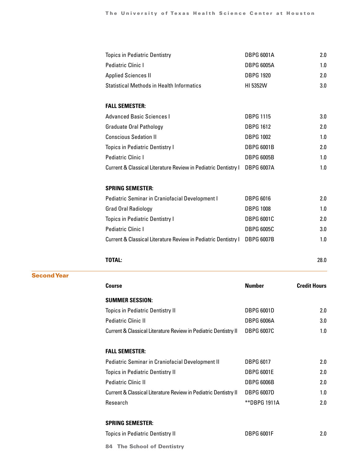| <b>Topics in Pediatric Dentistry</b>                            | <b>DBPG 6001A</b> | 2.0                 |
|-----------------------------------------------------------------|-------------------|---------------------|
| <b>Pediatric Clinic I</b>                                       | <b>DBPG 6005A</b> | 1.0                 |
| <b>Applied Sciences II</b>                                      | <b>DBPG 1920</b>  | 2.0                 |
| <b>Statistical Methods in Health Informatics</b>                | HI 5352W          | 3.0                 |
| <b>FALL SEMESTER:</b>                                           |                   |                     |
| <b>Advanced Basic Sciences I</b>                                | <b>DBPG 1115</b>  | 3.0                 |
| <b>Graduate Oral Pathology</b>                                  | <b>DBPG 1612</b>  | 2.0                 |
| <b>Conscious Sedation II</b>                                    | <b>DBPG 1002</b>  | 1.0                 |
| <b>Topics in Pediatric Dentistry I</b>                          | <b>DBPG 6001B</b> | 2.0                 |
| <b>Pediatric Clinic I</b>                                       | <b>DBPG 6005B</b> | 1.0                 |
| Current & Classical Literature Review in Pediatric Dentistry I  | <b>DBPG 6007A</b> | 1.0                 |
| <b>SPRING SEMESTER:</b>                                         |                   |                     |
| Pediatric Seminar in Craniofacial Development I                 | <b>DBPG 6016</b>  | 2.0                 |
| <b>Grad Oral Radiology</b>                                      | <b>DBPG 1008</b>  | 1.0                 |
| <b>Topics in Pediatric Dentistry I</b>                          | <b>DBPG 6001C</b> | 2.0                 |
| <b>Pediatric Clinic I</b>                                       | <b>DBPG 6005C</b> | 3.0                 |
| Current & Classical Literature Review in Pediatric Dentistry I  | <b>DBPG 6007B</b> | 1.0                 |
| TOTAL:                                                          |                   | 28.0                |
| <b>Course</b>                                                   | <b>Number</b>     | <b>Credit Hours</b> |
| <b>SUMMER SESSION:</b>                                          |                   |                     |
| <b>Topics in Pediatric Dentistry II</b>                         | <b>DBPG 6001D</b> | 2.0                 |
| <b>Pediatric Clinic II</b>                                      | <b>DBPG 6006A</b> | 3.0                 |
| Current & Classical Literature Review in Pediatric Dentistry II | <b>DBPG 6007C</b> | 1.0                 |

# Second Year

| <b>Course</b>                                                   | <b>Number</b>     | <b>Credit Hours</b> |
|-----------------------------------------------------------------|-------------------|---------------------|
| <b>SUMMER SESSION:</b>                                          |                   |                     |
| <b>Topics in Pediatric Dentistry II</b>                         | <b>DBPG 6001D</b> | 2.0                 |
| <b>Pediatric Clinic II</b>                                      | <b>DBPG 6006A</b> | 3.0                 |
| Current & Classical Literature Review in Pediatric Dentistry II | <b>DBPG 6007C</b> | 1.0                 |
| <b>FALL SEMESTER:</b>                                           |                   |                     |
| <b>Pediatric Seminar in Craniofacial Development II</b>         | <b>DBPG 6017</b>  | 2.0                 |
| <b>Topics in Pediatric Dentistry II</b>                         | <b>DBPG 6001E</b> | 2.0                 |
| <b>Pediatric Clinic II</b>                                      | <b>DBPG 6006B</b> | 2.0                 |
| Current & Classical Literature Review in Pediatric Dentistry II | <b>DBPG 6007D</b> | 1.0                 |
| Research                                                        | **DBPG 1911A      | 2.0                 |
| <b>SPRING SEMESTER:</b>                                         |                   |                     |
| <b>Topics in Pediatric Dentistry II</b>                         | <b>DBPG 6001F</b> | 2.0                 |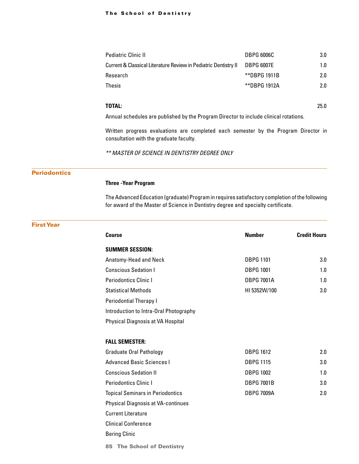| Pediatric Clinic II                                             | DBPG 6006C   | 3.0          |
|-----------------------------------------------------------------|--------------|--------------|
| Current & Classical Literature Review in Pediatric Dentistry II | DBPG 6007E   | 1.0          |
| Research                                                        | **DBPG 1911B | 2.0          |
| Thesis                                                          | **DBPG 1912A | $2.0\degree$ |

#### **TOTAL:** 25.0

Annual schedules are published by the Program Director to include clinical rotations.

Written progress evaluations are completed each semester by the Program Director in consultation with the graduate faculty.

*\*\* MASTER OF SCIENCE IN DENTISTRY DEGREE ONLY*

# **Periodontics**

#### **Three -Year Program**

The Advanced Education (graduate) Program in requires satisfactory completion of the following for award of the Master of Science in Dentistry degree and specialty certificate.

### First Year

| <b>Course</b>                           | <b>Number</b>     | <b>Credit Hours</b> |
|-----------------------------------------|-------------------|---------------------|
| <b>SUMMER SESSION:</b>                  |                   |                     |
| Anatomy-Head and Neck                   | <b>DBPG 1101</b>  | 3.0                 |
| <b>Conscious Sedation I</b>             | <b>DBPG 1001</b>  | 1.0                 |
| <b>Periodontics Clinic I</b>            | <b>DBPG 7001A</b> | 1.0                 |
| <b>Statistical Methods</b>              | HI 5352W/100      | 3.0                 |
| <b>Periodontial Therapy I</b>           |                   |                     |
| Introduction to Intra-Oral Photography  |                   |                     |
| Physical Diagnosis at VA Hospital       |                   |                     |
| <b>FALL SEMESTER:</b>                   |                   |                     |
| <b>Graduate Oral Pathology</b>          | <b>DBPG 1612</b>  | 2.0                 |
| <b>Advanced Basic Sciences I</b>        | <b>DBPG 1115</b>  | 3.0                 |
| <b>Conscious Sedation II</b>            | <b>DBPG 1002</b>  | 1.0                 |
| <b>Periodontics Clinic I</b>            | <b>DBPG 7001B</b> | 3.0                 |
| <b>Topical Seminars in Periodontics</b> | <b>DBPG 7009A</b> | 2.0                 |
| Physical Diagnosis at VA-continues      |                   |                     |
| <b>Current Literature</b>               |                   |                     |
| <b>Clinical Conference</b>              |                   |                     |
| <b>Bering Clinic</b>                    |                   |                     |
| <b>85 The School of Dentistry</b>       |                   |                     |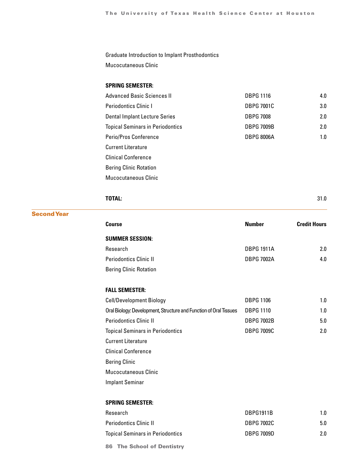Graduate Introduction to Implant Prosthodontics Mucocutaneous Clinic

### **SPRING SEMESTER:**

| <b>Advanced Basic Sciences II</b>       | <b>DBPG 1116</b>  | 4.0 |
|-----------------------------------------|-------------------|-----|
| <b>Periodontics Clinic I</b>            | <b>DBPG 7001C</b> | 3.0 |
| Dental Implant Lecture Series           | <b>DBPG 7008</b>  | 2.0 |
| <b>Topical Seminars in Periodontics</b> | <b>DBPG 7009B</b> | 2.0 |
| Perio/Pros Conference                   | <b>DBPG 8006A</b> | 1.0 |
| <b>Current Literature</b>               |                   |     |
| <b>Clinical Conference</b>              |                   |     |
| <b>Bering Clinic Rotation</b>           |                   |     |
| <b>Mucocutaneous Clinic</b>             |                   |     |

#### **TOTAL:** 31.0

Second Year

| <b>Course</b>                                                     | <b>Number</b>     | <b>Credit Hours</b> |
|-------------------------------------------------------------------|-------------------|---------------------|
| <b>SUMMER SESSION:</b>                                            |                   |                     |
| Research                                                          | <b>DBPG 1911A</b> | 2.0                 |
| <b>Periodontics Clinic II</b>                                     | <b>DBPG 7002A</b> | 4.0                 |
| <b>Bering Clinic Rotation</b>                                     |                   |                     |
| <b>FALL SEMESTER:</b>                                             |                   |                     |
| <b>Cell/Development Biology</b>                                   | <b>DBPG 1106</b>  | 1.0                 |
| Oral Biology: Development, Structure and Function of Oral Tissues | <b>DBPG 1110</b>  | 1.0                 |
| <b>Periodontics Clinic II</b>                                     | <b>DBPG 7002B</b> | 5.0                 |
| <b>Topical Seminars in Periodontics</b>                           | <b>DBPG 7009C</b> | 2.0                 |
| <b>Current Literature</b>                                         |                   |                     |
| <b>Clinical Conference</b>                                        |                   |                     |
| <b>Bering Clinic</b>                                              |                   |                     |
| <b>Mucocutaneous Clinic</b>                                       |                   |                     |
| <b>Implant Seminar</b>                                            |                   |                     |
| <b>SPRING SEMESTER:</b>                                           |                   |                     |
| Research                                                          | <b>DBPG1911B</b>  | 1.0                 |
| <b>Periodontics Clinic II</b>                                     | <b>DBPG 7002C</b> | 5.0                 |

Topical Seminars in Periodontics DBPG 7009D 2.0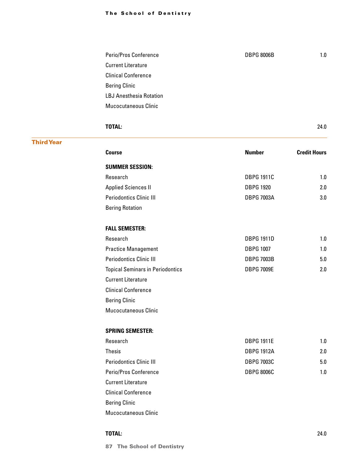| <b>Perio/Pros Conference</b>   | <b>DBPG 8006B</b> | 1.0 |
|--------------------------------|-------------------|-----|
| <b>Current Literature</b>      |                   |     |
| <b>Clinical Conference</b>     |                   |     |
| <b>Bering Clinic</b>           |                   |     |
| <b>LBJ Anesthesia Rotation</b> |                   |     |
| Mucocutaneous Clinic           |                   |     |
|                                |                   |     |

#### **TOTAL:** 24.0

Third Year

| <b>Course</b>                           | <b>Number</b>     | <b>Credit Hours</b> |
|-----------------------------------------|-------------------|---------------------|
| <b>SUMMER SESSION:</b>                  |                   |                     |
| Research                                | <b>DBPG 1911C</b> | 1.0                 |
| <b>Applied Sciences II</b>              | <b>DBPG 1920</b>  | 2.0                 |
| <b>Periodontics Clinic III</b>          | <b>DBPG 7003A</b> | 3.0                 |
| <b>Bering Rotation</b>                  |                   |                     |
| <b>FALL SEMESTER:</b>                   |                   |                     |
| Research                                | <b>DBPG 1911D</b> | 1.0                 |
| <b>Practice Management</b>              | <b>DBPG 1007</b>  | 1.0                 |
| <b>Periodontics Clinic III</b>          | <b>DBPG 7003B</b> | 5.0                 |
| <b>Topical Seminars in Periodontics</b> | <b>DBPG 7009E</b> | 2.0                 |
| <b>Current Literature</b>               |                   |                     |
| <b>Clinical Conference</b>              |                   |                     |
| <b>Bering Clinic</b>                    |                   |                     |
| <b>Mucocutaneous Clinic</b>             |                   |                     |
| <b>SPRING SEMESTER:</b>                 |                   |                     |
| Research                                | <b>DBPG 1911E</b> | 1.0                 |
| <b>Thesis</b>                           | <b>DBPG 1912A</b> | 2.0                 |
| <b>Periodontics Clinic III</b>          | <b>DBPG 7003C</b> | 5.0                 |
| Perio/Pros Conference                   | <b>DBPG 8006C</b> | 1.0                 |
| <b>Current Literature</b>               |                   |                     |
| <b>Clinical Conference</b>              |                   |                     |
| <b>Bering Clinic</b>                    |                   |                     |
| <b>Mucocutaneous Clinic</b>             |                   |                     |
|                                         |                   |                     |

#### **TOTAL:** 24.0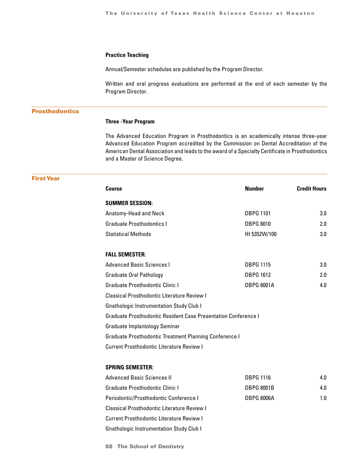# **Practice Teaching**

Annual/Semester schedules are published by the Program Director.

Written and oral progress evaluations are performed at the end of each semester by the Program Director.

# **Prosthodontics**

#### **Three -Year Program**

The Advanced Education Program in Prosthodontics is an academically intense three-year Advanced Education Program accredited by the Commission on Dental Accreditation of the American Dental Association and leads to the award of a Specialty Certificate in Prosthodontics and a Master of Science Degree.

### First Year

| Course                                                         | <b>Number</b>     | <b>Credit Hours</b> |
|----------------------------------------------------------------|-------------------|---------------------|
| <b>SUMMER SESSION:</b>                                         |                   |                     |
| Anatomy-Head and Neck                                          | <b>DBPG 1101</b>  | 3.0                 |
| Graduate Prosthodontics I                                      | <b>DBPG 8010</b>  | 2.0                 |
| <b>Statistical Methods</b>                                     | HI 5352W/100      | 3.0                 |
| <b>FALL SEMESTER:</b>                                          |                   |                     |
| Advanced Basic Sciences I                                      | <b>DBPG 1115</b>  | 3.0                 |
| <b>Graduate Oral Pathology</b>                                 | <b>DBPG 1612</b>  | 2.0                 |
| Graduate Prosthodontic Clinic I                                | <b>DBPG 8001A</b> | 4.0                 |
| Classical Prosthodontic Literature Review I                    |                   |                     |
| <b>Gnathologic Instrumentation Study Club I</b>                |                   |                     |
| Graduate Prosthodontic Resident Case Presentation Conference L |                   |                     |
| Graduate Implantology Seminar                                  |                   |                     |
| <b>Graduate Prosthodontic Treatment Planning Conference I</b>  |                   |                     |
| Current Prosthodontic Literature Review I                      |                   |                     |

# **SPRING SEMESTER:**

| <b>Advanced Basic Sciences II</b>               | <b>DBPG 1116</b>  | 4.0 |
|-------------------------------------------------|-------------------|-----|
| Graduate Prosthodontic Clinic I                 | <b>DBPG 8001B</b> | 4.0 |
| Periodontic/Prosthodontic Conference I          | <b>DBPG 8006A</b> | 1.0 |
| Classical Prosthodontic Literature Review I     |                   |     |
| Current Prosthodontic Literature Review I       |                   |     |
| <b>Gnathologic Instrumentation Study Club I</b> |                   |     |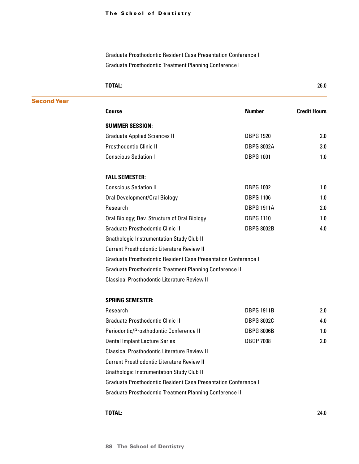Graduate Prosthodontic Resident Case Presentation Conference I Graduate Prosthodontic Treatment Planning Conference I

# Second Year

| Course                                                          | <b>Number</b>     | <b>Credit Hours</b> |
|-----------------------------------------------------------------|-------------------|---------------------|
| <b>SUMMER SESSION:</b>                                          |                   |                     |
| <b>Graduate Applied Sciences II</b>                             | <b>DBPG 1920</b>  | 2.0                 |
| Prosthodontic Clinic II                                         | DBPG 8002A        | 3.0                 |
| <b>Conscious Sedation I</b>                                     | <b>DBPG 1001</b>  | 1.0                 |
| <b>FALL SEMESTER:</b>                                           |                   |                     |
| <b>Conscious Sedation II</b>                                    | <b>DBPG 1002</b>  | 1.0                 |
| Oral Development/Oral Biology                                   | <b>DBPG 1106</b>  | 1.0                 |
| Research                                                        | <b>DBPG 1911A</b> | 2.0                 |
| Oral Biology; Dev. Structure of Oral Biology                    | <b>DBPG 1110</b>  | 1.0                 |
| Graduate Prosthodontic Clinic II                                | <b>DBPG 8002B</b> | 4.0                 |
| <b>Gnathologic Instrumentation Study Club II</b>                |                   |                     |
| <b>Current Prosthodontic Literature Review II</b>               |                   |                     |
| Graduate Prosthodontic Resident Case Presentation Conference II |                   |                     |
| <b>Graduate Prosthodontic Treatment Planning Conference II</b>  |                   |                     |
| Classical Prosthodontic Literature Review II                    |                   |                     |
|                                                                 |                   |                     |

# **SPRING SEMESTER:**

| Research                                                               | <b>DBPG 1911B</b> | 2.0 |
|------------------------------------------------------------------------|-------------------|-----|
| <b>Graduate Prosthodontic Clinic II</b>                                | <b>DBPG 8002C</b> | 4.0 |
| Periodontic/Prosthodontic Conference II                                | <b>DBPG 8006B</b> | 1.0 |
| Dental Implant Lecture Series                                          | <b>DBGP 7008</b>  | 2.0 |
| Classical Prosthodontic Literature Review II                           |                   |     |
| Current Prosthodontic Literature Review II                             |                   |     |
| <b>Gnathologic Instrumentation Study Club II</b>                       |                   |     |
| <b>Graduate Prosthodontic Resident Case Presentation Conference II</b> |                   |     |
| <b>Graduate Prosthodontic Treatment Planning Conference II</b>         |                   |     |

#### **TOTAL:** 24.0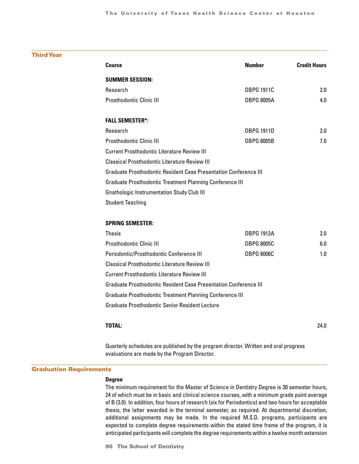# Third Year

| <b>Course</b>                                                    | <b>Number</b>     | <b>Credit Hours</b> |
|------------------------------------------------------------------|-------------------|---------------------|
| <b>SUMMER SESSION:</b>                                           |                   |                     |
| Research                                                         | <b>DBPG 1911C</b> | 2.0                 |
| <b>Prosthodontic Clinic III</b>                                  | <b>DBPG 8005A</b> | 4.0                 |
| <b>FALL SEMESTER*:</b>                                           |                   |                     |
| Research                                                         | <b>DBPG 1911D</b> | 2.0                 |
| <b>Prosthodontic Clinic III</b>                                  | <b>DBPG 8005B</b> | 7.0                 |
| Current Prosthodontic Literature Review III                      |                   |                     |
| Classical Prosthodontic Literature Review III                    |                   |                     |
| Graduate Prosthodontic Resident Case Presentation Conference III |                   |                     |
| <b>Graduate Prosthodontic Treatment Planning Conference III</b>  |                   |                     |
| <b>Gnathologic Instrumentation Study Club III</b>                |                   |                     |
| <b>Student Teaching</b>                                          |                   |                     |

#### **SPRING SEMESTER:**

| <b>Thesis</b>                                                           | <b>DBPG 1912A</b> | 2.0 |
|-------------------------------------------------------------------------|-------------------|-----|
| <b>Prosthodontic Clinic III</b>                                         | <b>DBPG 8005C</b> | 6.0 |
| Periodontic/Prosthodontic Conference III                                | <b>DBPG 8006C</b> | 1.0 |
| Classical Prosthodontic Literature Review III                           |                   |     |
| <b>Current Prosthodontic Literature Review III</b>                      |                   |     |
| <b>Graduate Prosthodontic Resident Case Presentation Conference III</b> |                   |     |
| <b>Graduate Prosthodontic Treatment Planning Conference III</b>         |                   |     |
| Graduate Prosthodontic Senior Resident Lecture                          |                   |     |
|                                                                         |                   |     |

#### **TOTAL:** 24.0

Quarterly schedules are published by the program director. Written and oral progress evaluations are made by the Program Director.

### Graduation Requirements

# **Degree**

The minimum requirement for the Master of Science in Dentistry Degree is 30 semester hours, 24 of which must be in basic and clinical science courses, with a minimum grade point average of B (3.0). In addition, four hours of research (six for Periodontics) and two hours for acceptable thesis, the latter awarded in the terminal semester, as required. At departmental discretion, additional assignments may be made. In the required M.S.D. programs, participants are expected to complete degree requirements within the stated time frame of the program, it is anticipated participants will complete the degree requirements within a twelve month extension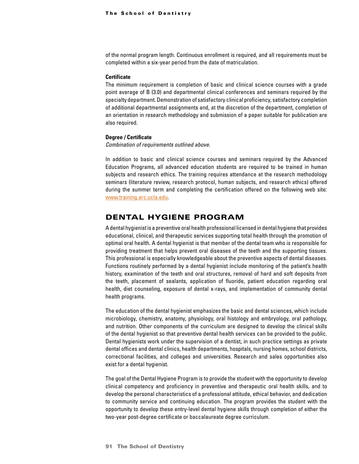of the normal program length. Continuous enrollment is required, and all requirements must be completed within a six-year period from the date of matriculation.

#### **Certificate**

The minimum requirement is completion of basic and clinical science courses with a grade point average of B (3.0) and departmental clinical conferences and seminars required by the specialty department. Demonstration of satisfactory clinical proficiency, satisfactory completion of additional departmental assignments and, at the discretion of the department, completion of an orientation in research methodology and submission of a paper suitable for publication are also required.

#### **Degree / Certificate**

*Combination of requirements outlined above.*

In addition to basic and clinical science courses and seminars required by the Advanced Education Programs, all advanced education students are required to be trained in human subjects and research ethics. The training requires attendance at the research methodology seminars (literature review, research protocol, human subjects, and research ethics) offered during the summer term and completing the certification offered on the following web site: [www.training.arc.ucla.edu](http://www.training.arc.ucla.edu/).

# DENTAL HYGIENE PROGRAM

A dental hygienist is a preventive oral health professional licensed in dental hygiene that provides educational, clinical, and therapeutic services supporting total health through the promotion of optimal oral health. A dental hygienist is that member of the dental team who is responsible for providing treatment that helps prevent oral diseases of the teeth and the supporting tissues. This professional is especially knowledgeable about the preventive aspects of dental diseases. Functions routinely performed by a dental hygienist include monitoring of the patient's health history, examination of the teeth and oral structures, removal of hard and soft deposits from the teeth, placement of sealants, application of fluoride, patient education regarding oral health, diet counseling, exposure of dental x-rays, and implementation of community dental health programs.

The education of the dental hygienist emphasizes the basic and dental sciences, which include microbiology, chemistry, anatomy, physiology, oral histology and embryology, oral pathology, and nutrition. Other components of the curriculum are designed to develop the clinical skills of the dental hygienist so that preventive dental health services can be provided to the public. Dental hygienists work under the supervision of a dentist, in such practice settings as private dental offices and dental clinics, health departments, hospitals, nursing homes, school districts, correctional facilities, and colleges and universities. Research and sales opportunities also exist for a dental hygienist.

The goal of the Dental Hygiene Program is to provide the student with the opportunity to develop clinical competency and proficiency in preventive and therapeutic oral health skills, and to develop the personal characteristics of a professional attitude, ethical behavior, and dedication to community service and continuing education. The program provides the student with the opportunity to develop these entry-level dental hygiene skills through completion of either the two-year post-degree certificate or baccalaureate degree curriculum.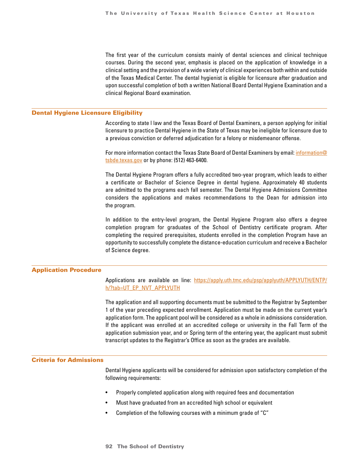The first year of the curriculum consists mainly of dental sciences and clinical technique courses. During the second year, emphasis is placed on the application of knowledge in a clinical setting and the provision of a wide variety of clinical experiences both within and outside of the Texas Medical Center. The dental hygienist is eligible for licensure after graduation and upon successful completion of both a written National Board Dental Hygiene Examination and a clinical Regional Board examination.

#### Dental Hygiene Licensure Eligibility

According to state l law and the Texas Board of Dental Examiners, a person applying for initial licensure to practice Dental Hygiene in the State of Texas may be ineligible for licensure due to a previous conviction or deferred adjudication for a felony or misdemeanor offense.

For more information contact the Texas State Board of Dental Examiners by email: [information@](information@tsbde.texas.gov) [tsbde.texas.gov](information@tsbde.texas.gov) or by phone: (512) 463-6400.

The Dental Hygiene Program offers a fully accredited two-year program, which leads to either a certificate or Bachelor of Science Degree in dental hygiene. Approximately 40 students are admitted to the programs each fall semester. The Dental Hygiene Admissions Committee considers the applications and makes recommendations to the Dean for admission into the program.

In addition to the entry-level program, the Dental Hygiene Program also offers a degree completion program for graduates of the School of Dentistry certificate program. After completing the required prerequisites, students enrolled in the completion Program have an opportunity to successfully complete the distance-education curriculum and receive a Bachelor of Science degree.

#### Application Procedure

Applications are available on line: [https://apply.uth.tmc.edu/psp/applyuth/APPLYUTH/ENTP/](https://apply.uth.tmc.edu/psp/applyuth/APPLYUTH/ENTP/h/?tab=UT_EP_NVT_APPLYUTH&) [h/?tab=UT\\_EP\\_NVT\\_APPLYUTH](https://apply.uth.tmc.edu/psp/applyuth/APPLYUTH/ENTP/h/?tab=UT_EP_NVT_APPLYUTH&)

The application and all supporting documents must be submitted to the Registrar by September 1 of the year preceding expected enrollment. Application must be made on the current year's application form. The applicant pool will be considered as a whole in admissions consideration. If the applicant was enrolled at an accredited college or university in the Fall Term of the application submission year, and or Spring term of the entering year, the applicant must submit transcript updates to the Registrar's Office as soon as the grades are available.

# Criteria for Admissions

Dental Hygiene applicants will be considered for admission upon satisfactory completion of the following requirements:

- Properly completed application along with required fees and documentation
- Must have graduated from an accredited high school or equivalent
- Completion of the following courses with a minimum grade of "C"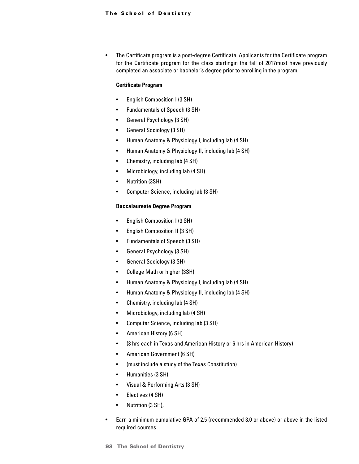• The Certificate program is a post-degree Certificate. Applicants for the Certificate program for the Certificate program for the class startingin the fall of 2017must have previously completed an associate or bachelor's degree prior to enrolling in the program.

## **Certificate Program**

- English Composition I (3 SH)
- Fundamentals of Speech (3 SH)
- General Psychology (3 SH)
- General Sociology (3 SH)
- Human Anatomy & Physiology I, including lab (4 SH)
- Human Anatomy & Physiology II, including lab (4 SH)
- Chemistry, including lab (4 SH)
- Microbiology, including lab (4 SH)
- Nutrition (3SH)
- Computer Science, including lab (3 SH)

# **Baccalaureate Degree Program**

- English Composition I (3 SH)
- English Composition II (3 SH)
- Fundamentals of Speech (3 SH)
- General Psychology (3 SH)
- General Sociology (3 SH)
- College Math or higher (3SH)
- Human Anatomy & Physiology I, including lab (4 SH)
- Human Anatomy & Physiology II, including lab (4 SH)
- Chemistry, including lab (4 SH)
- Microbiology, including lab (4 SH)
- Computer Science, including lab (3 SH)
- American History (6 SH)
- (3 hrs each in Texas and American History or 6 hrs in American History)
- American Government (6 SH)
- (must include a study of the Texas Constitution)
- Humanities (3 SH)
- Visual & Performing Arts (3 SH)
- Electives (4 SH)
- Nutrition (3 SH),
- Earn a minimum cumulative GPA of 2.5 (recommended 3.0 or above) or above in the listed required courses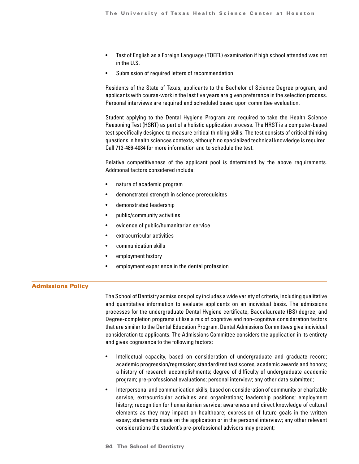- Test of English as a Foreign Language (TOEFL) examination if high school attended was not in the U.S.
- Submission of required letters of recommendation

Residents of the State of Texas, applicants to the Bachelor of Science Degree program, and applicants with course-work in the last five years are given preference in the selection process. Personal interviews are required and scheduled based upon committee evaluation.

Student applying to the Dental Hygiene Program are required to take the Health Science Reasoning Test (HSRT) as part of a holistic application process. The HRST is a computer-based test specifically designed to measure critical thinking skills. The test consists of critical thinking questions in health sciences contexts, although no specialized technical knowledge is required. Call 713-486-4084 for more information and to schedule the test.

Relative competitiveness of the applicant pool is determined by the above requirements. Additional factors considered include:

- nature of academic program
- demonstrated strength in science prerequisites
- demonstrated leadership
- public/community activities
- evidence of public/humanitarian service
- extracurricular activities
- communication skills
- employment history
- employment experience in the dental profession

# Admissions Policy

The School of Dentistry admissions policy includes a wide variety of criteria, including qualitative and quantitative information to evaluate applicants on an individual basis. The admissions processes for the undergraduate Dental Hygiene certificate, Baccalaureate (BS) degree, and Degree-completion programs utilize a mix of cognitive and non-cognitive consideration factors that are similar to the Dental Education Program. Dental Admissions Committees give individual consideration to applicants. The Admissions Committee considers the application in its entirety and gives cognizance to the following factors:

- Intellectual capacity, based on consideration of undergraduate and graduate record; academic progression/regression; standardized test scores; academic awards and honors; a history of research accomplishments; degree of difficulty of undergraduate academic program; pre-professional evaluations; personal interview; any other data submitted;
- Interpersonal and communication skills, based on consideration of community or charitable service, extracurricular activities and organizations; leadership positions; employment history; recognition for humanitarian service; awareness and direct knowledge of cultural elements as they may impact on healthcare; expression of future goals in the written essay; statements made on the application or in the personal interview; any other relevant considerations the student's pre-professional advisors may present;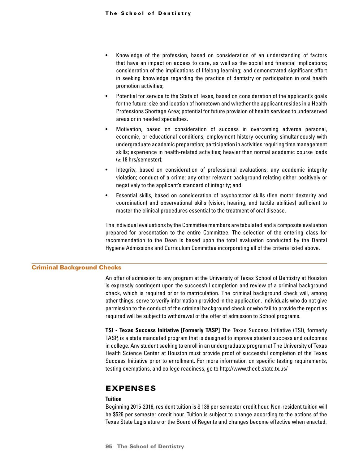- Knowledge of the profession, based on consideration of an understanding of factors that have an impact on access to care, as well as the social and financial implications; consideration of the implications of lifelong learning; and demonstrated significant effort in seeking knowledge regarding the practice of dentistry or participation in oral health promotion activities;
- Potential for service to the State of Texas, based on consideration of the applicant's goals for the future; size and location of hometown and whether the applicant resides in a Health Professions Shortage Area; potential for future provision of health services to underserved areas or in needed specialties.
- Motivation, based on consideration of success in overcoming adverse personal, economic, or educational conditions; employment history occurring simultaneously with undergraduate academic preparation; participation in activities requiring time management skills; experience in health-related activities; heavier than normal academic course loads (≥ 18 hrs/semester);
- Integrity, based on consideration of professional evaluations; any academic integrity violation; conduct of a crime; any other relevant background relating either positively or negatively to the applicant's standard of integrity; and
- Essential skills, based on consideration of psychomotor skills (fine motor dexterity and coordination) and observational skills (vision, hearing, and tactile abilities) sufficient to master the clinical procedures essential to the treatment of oral disease.

The individual evaluations by the Committee members are tabulated and a composite evaluation prepared for presentation to the entire Committee. The selection of the entering class for recommendation to the Dean is based upon the total evaluation conducted by the Dental Hygiene Admissions and Curriculum Committee incorporating all of the criteria listed above.

### Criminal Background Checks

An offer of admission to any program at the University of Texas School of Dentistry at Houston is expressly contingent upon the successful completion and review of a criminal background check, which is required prior to matriculation. The criminal background check will, among other things, serve to verify information provided in the application. Individuals who do not give permission to the conduct of the criminal background check or who fail to provide the report as required will be subject to withdrawal of the offer of admission to School programs.

**TSI - Texas Success Initiative [Formerly TASP]** The Texas Success Initiative (TSI), formerly TASP, is a state mandated program that is designed to improve student success and outcomes in college. Any student seeking to enroll in an undergraduate program at The University of Texas Health Science Center at Houston must provide proof of successful completion of the Texas Success Initiative prior to enrollment. For more information on specific testing requirements, testing exemptions, and college readiness, go to http://www.thecb.state.tx.us/

# EXPENSES

#### **Tuition**

Beginning 2015-2016, resident tuition is \$ 136 per semester credit hour. Non-resident tuition will be \$526 per semester credit hour. Tuition is subject to change according to the actions of the Texas State Legislature or the Board of Regents and changes become effective when enacted.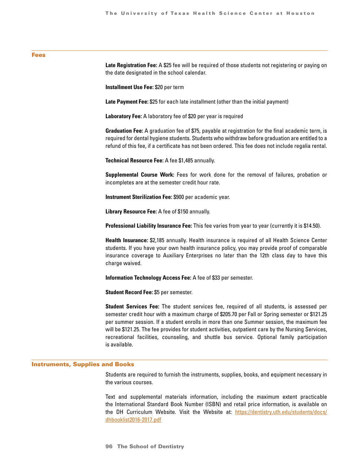#### Fees

Late Registration Fee: A \$25 fee will be required of those students not registering or paying on the date designated in the school calendar.

**Installment Use Fee:** \$20 per term

**Late Payment Fee:** \$25 for each late installment (other than the initial payment)

**Laboratory Fee:** A laboratory fee of \$20 per year is required

**Graduation Fee:** A graduation fee of \$75, payable at registration for the final academic term, is required for dental hygiene students. Students who withdraw before graduation are entitled to a refund of this fee, if a certificate has not been ordered. This fee does not include regalia rental.

**Technical Resource Fee:** A fee \$1,485 annually.

**Supplemental Course Work:** Fees for work done for the removal of failures, probation or incompletes are at the semester credit hour rate.

**Instrument Sterilization Fee:** \$900 per academic year.

**Library Resource Fee:** A fee of \$150 annually.

**Professional Liability Insurance Fee:** This fee varies from year to year (currently it is \$14.50).

**Health Insurance:** \$2,185 annually. Health insurance is required of all Health Science Center students. If you have your own health insurance policy, you may provide proof of comparable insurance coverage to Auxiliary Enterprises no later than the 12th class day to have this charge waived.

**Information Technology Access Fee:** A fee of \$33 per semester.

**Student Record Fee:** \$5 per semester.

**Student Services Fee:** The student services fee, required of all students, is assessed per semester credit hour with a maximum charge of \$205.70 per Fall or Spring semester or \$121.25 per summer session. If a student enrolls in more than one Summer session, the maximum fee will be \$121.25. The fee provides for student activities, outpatient care by the Nursing Services, recreational facilities, counseling, and shuttle bus service. Optional family participation is available.

#### Instruments, Supplies and Books

Students are required to furnish the instruments, supplies, books, and equipment necessary in the various courses.

Text and supplemental materials information, including the maximum extent practicable the International Standard Book Number (ISBN) and retail price information, is available on the DH Curriculum Website. Visit the Website at: [https://dentistry.uth.edu/students/docs/](https://dentistry.uth.edu/students/docs/dhbooklist2016-2017.pdf) [dhbooklist2016-2017.pdf](https://dentistry.uth.edu/students/docs/dhbooklist2016-2017.pdf)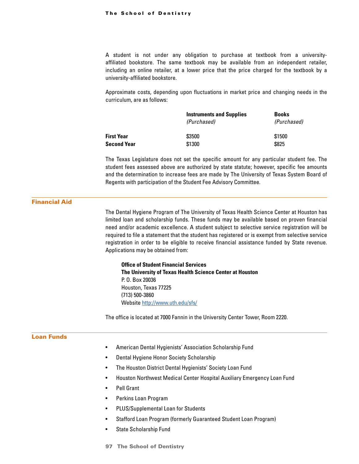#### The School of Dentistry

A student is not under any obligation to purchase at textbook from a universityaffiliated bookstore. The same textbook may be available from an independent retailer, including an online retailer, at a lower price that the price charged for the textbook by a university-affiliated bookstore.

Approximate costs, depending upon fluctuations in market price and changing needs in the curriculum, are as follows:

|             | <b>Instruments and Supplies</b> | <b>Books</b> |
|-------------|---------------------------------|--------------|
|             | (Purchased)                     | (Purchased)  |
| First Year  | \$3500                          | \$1500       |
| Second Year | \$1300                          | \$825        |

The Texas Legislature does not set the specific amount for any particular student fee. The student fees assessed above are authorized by state statute; however, specific fee amounts and the determination to increase fees are made by The University of Texas System Board of Regents with participation of the Student Fee Advisory Committee.

# Financial Aid

The Dental Hygiene Program of The University of Texas Health Science Center at Houston has limited loan and scholarship funds. These funds may be available based on proven financial need and/or academic excellence. A student subject to selective service registration will be required to file a statement that the student has registered or is exempt from selective service registration in order to be eligible to receive financial assistance funded by State revenue. Applications may be obtained from:

**Office of Student Financial Services The University of Texas Health Science Center at Houston** P. O. Box 20036 Houston, Texas 77225 (713) 500-3860 Website [http://www.uth.edu/sfs/](https://www.uth.edu/sfs/)

The office is located at 7000 Fannin in the University Center Tower, Room 2220.

#### Loan Funds

- American Dental Hygienists' Association Scholarship Fund
- Dental Hygiene Honor Society Scholarship
- The Houston District Dental Hygienists' Society Loan Fund
- Houston Northwest Medical Center Hospital Auxiliary Emergency Loan Fund
- Pell Grant
- Perkins Loan Program
- PLUS/Supplemental Loan for Students
- Stafford Loan Program (formerly Guaranteed Student Loan Program)
- State Scholarship Fund
- **97 The School of Dentistry**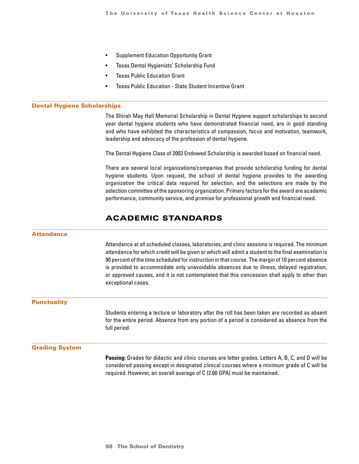- Supplement Education Opportunity Grant
- Texas Dental Hygienists' Scholarship Fund
- **Texas Public Education Grant**
- Texas Public Education State Student Incentive Grant

#### Dental Hygiene Scholarships

The Shirah May Hall Memorial Scholarship in Dental Hygiene support scholarships to second year dental hygiene students who have demonstrated financial need, are in good standing and who have exhibited the characteristics of compassion, focus and motivation, teamwork, leadership and advocacy of the profession of dental hygiene.

The Dental Hygiene Class of 2003 Endowed Scholarship is awarded based on financial need.

There are several local organizations/companies that provide scholarship funding for dental hygiene students. Upon request, the school of dental hygiene provides to the awarding organization the critical data required for selection, and the selections are made by the selection committee of the sponsoring organization. Primary factors for the award are academic performance, community service, and promise for professional growth and financial need.

# ACADEMIC STANDARDS

#### **Attendance**

Attendance at all scheduled classes, laboratories, and clinic sessions is required. The minimum attendance for which credit will be given or which will admit a student to the final examination is 90 percent of the time scheduled for instruction in that course. The margin of 10 percent absence is provided to accommodate only unavoidable absences due to illness, delayed registration, or approved causes, and it is not contemplated that this concession shall apply to other than exceptional cases.

#### **Punctuality**

Students entering a lecture or laboratory after the roll has been taken are recorded as absent for the entire period. Absence from any portion of a period is considered as absence from the full period.

#### Grading System

**Passing:** Grades for didactic and clinic courses are letter grades. Letters A, B, C, and D will be considered passing except in designated clinical courses where a minimum grade of C will be required. However, an overall average of C (2.00 GPA) must be maintained.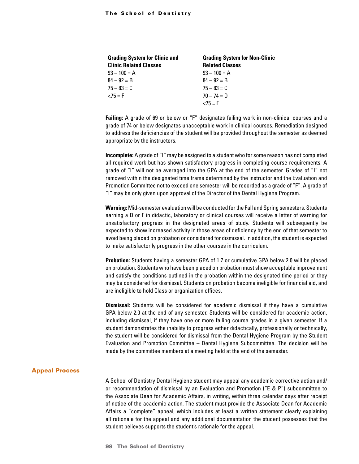| <b>Grading System for Clinic and</b> | <b>Grading System for Non-Clinic</b> |
|--------------------------------------|--------------------------------------|
| <b>Clinic Related Classes</b>        | <b>Related Classes</b>               |
| $93 - 100 = A$                       | $93 - 100 = A$                       |
| $84 - 92 = B$                        | $84 - 92 = B$                        |
| $75 - 83 = C$                        | $75 - 83 = C$                        |
| $\angle 75 = F$                      | $70 - 74 = D$                        |
|                                      | $\angle 75 = F$                      |

**Failing:** A grade of 69 or below or "F" designates failing work in non-clinical courses and a grade of 74 or below designates unacceptable work in clinical courses. Remediation designed to address the deficiencies of the student will be provided throughout the semester as deemed appropriate by the instructors.

**Incomplete:** A grade of "I" may be assigned to a student who for some reason has not completed all required work but has shown satisfactory progress in completing course requirements. A grade of "I" will not be averaged into the GPA at the end of the semester. Grades of "I" not removed within the designated time frame determined by the instructor and the Evaluation and Promotion Committee not to exceed one semester will be recorded as a grade of "F". A grade of "I" may be only given upon approval of the Director of the Dental Hygiene Program.

**Warning:** Mid-semester evaluation will be conducted for the Fall and Spring semesters. Students earning a D or F in didactic, laboratory or clinical courses will receive a letter of warning for unsatisfactory progress in the designated areas of study. Students will subsequently be expected to show increased activity in those areas of deficiency by the end of that semester to avoid being placed on probation or considered for dismissal. In addition, the student is expected to make satisfactorily progress in the other courses in the curriculum.

**Probation:** Students having a semester GPA of 1.7 or cumulative GPA below 2.0 will be placed on probation. Students who have been placed on probation must show acceptable improvement and satisfy the conditions outlined in the probation within the designated time period or they may be considered for dismissal. Students on probation become ineligible for financial aid, and are ineligible to hold Class or organization offices.

**Dismissal:** Students will be considered for academic dismissal if they have a cumulative GPA below 2.0 at the end of any semester. Students will be considered for academic action, including dismissal, if they have one or more failing course grades in a given semester. If a student demonstrates the inability to progress either didactically, professionally or technically, the student will be considered for dismissal from the Dental Hygiene Program by the Student Evaluation and Promotion Committee – Dental Hygiene Subcommittee. The decision will be made by the committee members at a meeting held at the end of the semester.

### Appeal Process

A School of Dentistry Dental Hygiene student may appeal any academic corrective action and/ or recommendation of dismissal by an Evaluation and Promotion ("E & P") subcommittee to the Associate Dean for Academic Affairs, in writing, within three calendar days after receipt of notice of the academic action. The student must provide the Associate Dean for Academic Affairs a "complete" appeal, which includes at least a written statement clearly explaining all rationale for the appeal and any additional documentation the student possesses that the student believes supports the student's rationale for the appeal.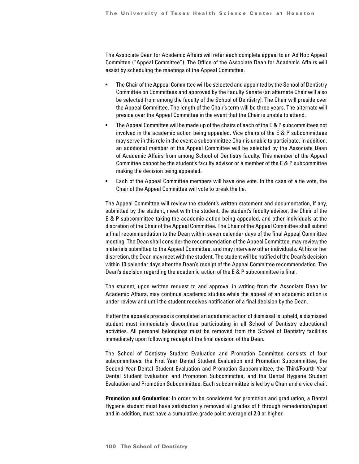The Associate Dean for Academic Affairs will refer each complete appeal to an Ad Hoc Appeal Committee ("Appeal Committee"). The Office of the Associate Dean for Academic Affairs will assist by scheduling the meetings of the Appeal Committee.

- The Chair of the Appeal Committee will be selected and appointed by the School of Dentistry Committee on Committees and approved by the Faculty Senate (an alternate Chair will also be selected from among the faculty of the School of Dentistry). The Chair will preside over the Appeal Committee. The length of the Chair's term will be three years. The alternate will preside over the Appeal Committee in the event that the Chair is unable to attend.
- The Appeal Committee will be made up of the chairs of each of the E & P subcommittees not involved in the academic action being appealed. Vice chairs of the E & P subcommittees may serve in this role in the event a subcommittee Chair is unable to participate. In addition, an additional member of the Appeal Committee will be selected by the Associate Dean of Academic Affairs from among School of Dentistry faculty. This member of the Appeal Committee cannot be the student's faculty advisor or a member of the E & P subcommittee making the decision being appealed.
- Each of the Appeal Committee members will have one vote. In the case of a tie vote, the Chair of the Appeal Committee will vote to break the tie.

The Appeal Committee will review the student's written statement and documentation, if any, submitted by the student, meet with the student, the student's faculty advisor, the Chair of the E & P subcommittee taking the academic action being appealed, and other individuals at the discretion of the Chair of the Appeal Committee. The Chair of the Appeal Committee shall submit a final recommendation to the Dean within seven calendar days of the final Appeal Committee meeting. The Dean shall consider the recommendation of the Appeal Committee, may review the materials submitted to the Appeal Committee, and may interview other individuals. At his or her discretion, the Dean may meet with the student. The student will be notified of the Dean's decision within 10 calendar days after the Dean's receipt of the Appeal Committee recommendation. The Dean's decision regarding the academic action of the E & P subcommittee is final.

The student, upon written request to and approval in writing from the Associate Dean for Academic Affairs, may continue academic studies while the appeal of an academic action is under review and until the student receives notification of a final decision by the Dean.

If after the appeals process is completed an academic action of dismissal is upheld, a dismissed student must immediately discontinue participating in all School of Dentistry educational activities. All personal belongings must be removed from the School of Dentistry facilities immediately upon following receipt of the final decision of the Dean.

The School of Dentistry Student Evaluation and Promotion Committee consists of four subcommittees: the First Year Dental Student Evaluation and Promotion Subcommittee, the Second Year Dental Student Evaluation and Promotion Subcommittee, the Third/Fourth Year Dental Student Evaluation and Promotion Subcommittee, and the Dental Hygiene Student Evaluation and Promotion Subcommittee. Each subcommittee is led by a Chair and a vice chair.

**Promotion and Graduation:** In order to be considered for promotion and graduation, a Dental Hygiene student must have satisfactorily removed all grades of F through remediation/repeat and in addition, must have a cumulative grade point average of 2.0 or higher.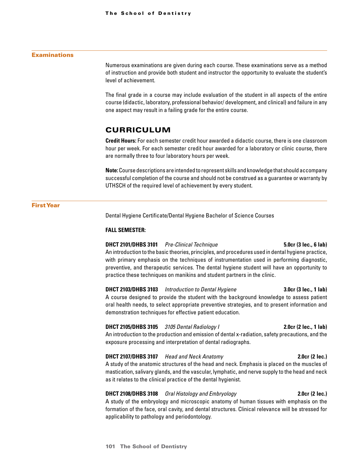# **Examinations**

Numerous examinations are given during each course. These examinations serve as a method of instruction and provide both student and instructor the opportunity to evaluate the student's level of achievement.

The final grade in a course may include evaluation of the student in all aspects of the entire course (didactic, laboratory, professional behavior/ development, and clinical) and failure in any one aspect may result in a failing grade for the entire course.

# CURRICULUM

**Credit Hours:** For each semester credit hour awarded a didactic course, there is one classroom hour per week. For each semester credit hour awarded for a laboratory or clinic course, there are normally three to four laboratory hours per week.

**Note:** Course descriptions are intended to represent skills and knowledge that should accompany successful completion of the course and should not be construed as a guarantee or warranty by UTHSCH of the required level of achievement by every student.

#### First Year

Dental Hygiene Certificate/Dental Hygiene Bachelor of Science Courses

# **FALL SEMESTER:**

#### **DHCT 2101/DHBS 3101** *Pre-Clinical Technique* **5.0cr (3 lec., 6 lab)**

An introduction to the basic theories, principles, and procedures used in dental hygiene practice, with primary emphasis on the techniques of instrumentation used in performing diagnostic, preventive, and therapeutic services. The dental hygiene student will have an opportunity to practice these techniques on manikins and student partners in the clinic.

**DHCT 2103/DHBS 3103** *Introduction to Dental Hygiene* **3.0cr (3 lec., 1 lab)** A course designed to provide the student with the background knowledge to assess patient oral health needs, to select appropriate preventive strategies, and to present information and demonstration techniques for effective patient education.

#### **DHCT 2105/DHBS 3105** *3105 Dental Radiology I* **2.0cr (2 lec., 1 lab)**

An introduction to the production and emission of dental x-radiation, safety precautions, and the exposure processing and interpretation of dental radiographs.

**DHCT 2107/DHBS 3107** *Head and Neck Anatomy* **2.0cr (2 lec.)** A study of the anatomic structures of the head and neck. Emphasis is placed on the muscles of mastication, salivary glands, and the vascular, lymphatic, and nerve supply to the head and neck as it relates to the clinical practice of the dental hygienist.

# **DHCT 2108/DHBS 3108** *Oral Histology and Embryology* **2.0cr (2 lec.)**

A study of the embryology and microscopic anatomy of human tissues with emphasis on the formation of the face, oral cavity, and dental structures. Clinical relevance will be stressed for applicability to pathology and periodontology.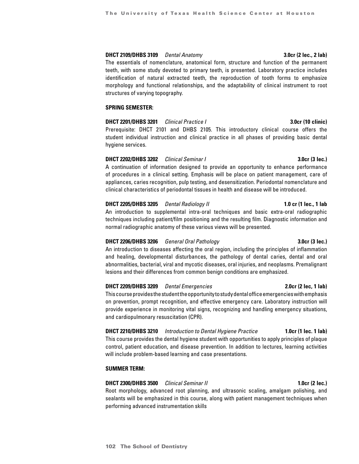#### **DHCT 2109/DHBS 3109** *Dental Anatomy* **3.0cr (2 lec., 2 lab)**

The essentials of nomenclature, anatomical form, structure and function of the permanent teeth, with some study devoted to primary teeth, is presented. Laboratory practice includes identification of natural extracted teeth, the reproduction of tooth forms to emphasize morphology and functional relationships, and the adaptability of clinical instrument to root structures of varying topography.

#### **SPRING SEMESTER:**

**DHCT 2201/DHBS 3201** *Clinical Practice I* **3.0cr (10 clinic)** Prerequisite: DHCT 2101 and DHBS 2105. This introductory clinical course offers the student individual instruction and clinical practice in all phases of providing basic dental hygiene services.

# **DHCT 2202/DHBS 3202** *Clinical Seminar I* **3.0cr (3 lec.)**

A continuation of information designed to provide an opportunity to enhance performance of procedures in a clinical setting. Emphasis will be place on patient management, care of appliances, caries recognition, pulp testing, and desensitization. Periodontal nomenclature and clinical characteristics of periodontal tissues in health and disease will be introduced.

# **DHCT 2205/DHBS 3205** *Dental Radiology II* **1.0 cr (1 lec., 1 lab**

An introduction to supplemental intra-oral techniques and basic extra-oral radiographic techniques including patient/film positioning and the resulting film. Diagnostic information and normal radiographic anatomy of these various views will be presented.

# **DHCT 2206/DHBS 3206** *General Oral Pathology* **3.0cr (3 lec.)**

An introduction to diseases affecting the oral region, including the principles of inflammation and healing, developmental disturbances, the pathology of dental caries, dental and oral abnormalities, bacterial, viral and mycotic diseases, oral injuries, and neoplasms. Premalignant lesions and their differences from common benign conditions are emphasized.

# **DHCT 2209/DHBS 3209** *Dental Emergencies* **2.0cr (2 lec, 1 lab)**

This course provides the student the opportunity to study dental office emergencies with emphasis on prevention, prompt recognition, and effective emergency care. Laboratory instruction will provide experience in monitoring vital signs, recognizing and handling emergency situations, and cardiopulmonary resuscitation (CPR).

# **DHCT 2210/DHBS 3210** *Introduction to Dental Hygiene Practice* **1.0cr (1 lec. 1 lab)** This course provides the dental hygiene student with opportunities to apply principles of plaque control, patient education, and disease prevention. In addition to lectures, learning activities will include problem-based learning and case presentations.

#### **SUMMER TERM:**

# **DHCT 2300/DHBS 3500** *Clinical Seminar II* **1.0cr (2 lec.)** Root morphology, advanced root planning, and ultrasonic scaling, amalgam polishing, and sealants will be emphasized in this course, along with patient management techniques when performing advanced instrumentation skills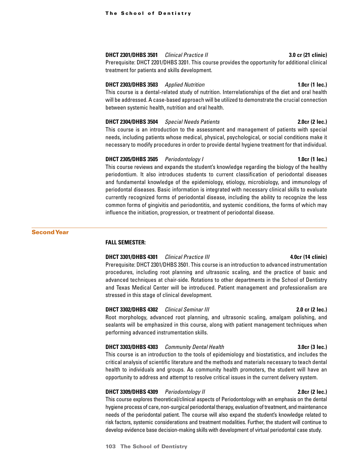#### The School of Dentistry

# **DHCT 2301/DHBS 3501** *Clinical Practice II* **3.0 cr (21 clinic)** Prerequisite: DHCT 2201/DHBS 3201. This course provides the opportunity for additional clinical treatment for patients and skills development.

#### **DHCT 2303/DHBS 3503** *Applied Nutrition* **1.0cr (1 lec.)**

This course is a dental-related study of nutrition. Interrelationships of the diet and oral health will be addressed. A case-based approach will be utilized to demonstrate the crucial connection between systemic health, nutrition and oral health.

# **DHCT 2304/DHBS 3504** *Special Needs Patients* **2.0cr (2 lec.)**

This course is an introduction to the assessment and management of patients with special needs, including patients whose medical, physical, psychological, or social conditions make it necessary to modify procedures in order to provide dental hygiene treatment for that individual.

#### **DHCT 2305/DHBS 3505** *Periodontology I* **1.0cr (1 lec.)**

This course reviews and expands the student's knowledge regarding the biology of the healthy periodontium. It also introduces students to current classification of periodontal diseases and fundamental knowledge of the epidemiology, etiology, microbiology, and immunology of periodontal diseases. Basic information is integrated with necessary clinical skills to evaluate currently recognized forms of periodontal disease, including the ability to recognize the less common forms of gingivitis and periodontitis, and systemic conditions, the forms of which may influence the initiation, progression, or treatment of periodontal disease.

#### Second Year

#### **FALL SEMESTER:**

# **DHCT 3301/DHBS 4301** *Clinical Practice III* **4.0cr (14 clinic)**

Prerequisite: DHCT 2301/DHBS 3501. This course is an introduction to advanced instrumentation procedures, including root planning and ultrasonic scaling, and the practice of basic and advanced techniques at chair-side. Rotations to other departments in the School of Dentistry and Texas Medical Center will be introduced. Patient management and professionalism are stressed in this stage of clinical development.

# **DHCT 3302/DHBS 4302** *Clinical Seminar III* **2.0 cr (2 lec.)**

Root morphology, advanced root planning, and ultrasonic scaling, amalgam polishing, and sealants will be emphasized in this course, along with patient management techniques when performing advanced instrumentation skills.

#### **DHCT 3303/DHBS 4303** *Community Dental Health* **3.0cr (3 lec.)**

This course is an introduction to the tools of epidemiology and biostatistics, and includes the critical analysis of scientific literature and the methods and materials necessary to teach dental health to individuals and groups. As community health promoters, the student will have an opportunity to address and attempt to resolve critical issues in the current delivery system.

# **DHCT 3309/DHBS 4309** *Periodontology II* **2.0cr (2 lec.)**

This course explores theoretical/clinical aspects of Periodontology with an emphasis on the dental hygiene process of care, non-surgical periodontal therapy, evaluation of treatment, and maintenance needs of the periodontal patient. The course will also expand the student's knowledge related to risk factors, systemic considerations and treatment modalities. Further, the student will continue to develop evidence base decision-making skills with development of virtual periodontal case study.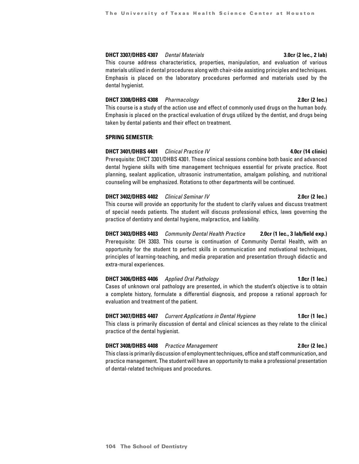## **DHCT 3307/DHBS 4307** *Dental Materials* **3.0cr (2 lec., 2 lab)**

This course address characteristics, properties, manipulation, and evaluation of various materials utilized in dental procedures along with chair-side assisting principles and techniques. Emphasis is placed on the laboratory procedures performed and materials used by the dental hygienist.

## **DHCT 3308/DHBS 4308** *Pharmacology* **2.0cr (2 lec.)**

This course is a study of the action use and effect of commonly used drugs on the human body. Emphasis is placed on the practical evaluation of drugs utilized by the dentist, and drugs being taken by dental patients and their effect on treatment.

## **SPRING SEMESTER:**

# **DHCT 3401/DHBS 4401** *Clinical Practice IV* **4.0cr (14 clinic)**

Prerequisite: DHCT 3301/DHBS 4301. These clinical sessions combine both basic and advanced dental hygiene skills with time management techniques essential for private practice. Root planning, sealant application, ultrasonic instrumentation, amalgam polishing, and nutritional counseling will be emphasized. Rotations to other departments will be continued.

## **DHCT 3402/DHBS 4402** *Clinical Seminar IV* **2.0cr (2 lec.)**

This course will provide an opportunity for the student to clarify values and discuss treatment of special needs patients. The student will discuss professional ethics, laws governing the practice of dentistry and dental hygiene, malpractice, and liability.

**DHCT 3403/DHBS 4403** *Community Dental Health Practice* **2.0cr (1 lec., 3 lab/field exp.)**  Prerequisite: DH 3303. This course is continuation of Community Dental Health, with an opportunity for the student to perfect skills in communication and motivational techniques, principles of learning-teaching, and media preparation and presentation through didactic and extra-mural experiences.

**DHCT 3406/DHBS 4406** *Applied Oral Pathology* **1.0cr (1 lec.)** Cases of unknown oral pathology are presented, in which the student's objective is to obtain a complete history, formulate a differential diagnosis, and propose a rational approach for evaluation and treatment of the patient.

## **DHCT 3407/DHBS 4407** *Current Applications in Dental Hygiene* **1.0cr (1 lec.)** This class is primarily discussion of dental and clinical sciences as they relate to the clinical

practice of the dental hygienist.

# **DHCT 3408/DHBS 4408** *Practice Management* **2.0cr (2 lec.)** This class is primarily discussion of employment techniques, office and staff communication, and

practice management. The student will have an opportunity to make a professional presentation of dental-related techniques and procedures.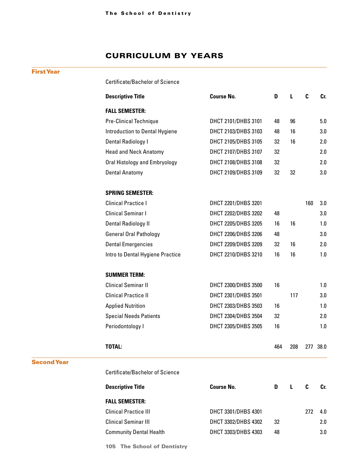# CURRICULUM BY YEARS

## First Year

## Certificate/Bachelor of Science

| <b>Descriptive Title</b>               | <b>Course No.</b>   | D   | L   | C   | Cr.      |
|----------------------------------------|---------------------|-----|-----|-----|----------|
| <b>FALL SEMESTER:</b>                  |                     |     |     |     |          |
| <b>Pre-Clinical Technique</b>          | DHCT 2101/DHBS 3101 | 48  | 96  |     | 5.0      |
| Introduction to Dental Hygiene         | DHCT 2103/DHBS 3103 | 48  | 16  |     | 3.0      |
| Dental Radiology I                     | DHCT 2105/DHBS 3105 | 32  | 16  |     | 2.0      |
| <b>Head and Neck Anatomy</b>           | DHCT 2107/DHBS 3107 | 32  |     |     | 2.0      |
| Oral Histology and Embryology          | DHCT 2108/DHBS 3108 | 32  |     |     | 2.0      |
| <b>Dental Anatomy</b>                  | DHCT 2109/DHBS 3109 | 32  | 32  |     | 3.0      |
| <b>SPRING SEMESTER:</b>                |                     |     |     |     |          |
| <b>Clinical Practice I</b>             | DHCT 2201/DHBS 3201 |     |     | 160 | 3.0      |
| Clinical Seminar I                     | DHCT 2202/DHBS 3202 | 48  |     |     | 3.0      |
| Dental Radiology II                    | DHCT 2205/DHBS 3205 | 16  | 16  |     | 1.0      |
| <b>General Oral Pathology</b>          | DHCT 2206/DHBS 3206 | 48  |     |     | 3.0      |
| <b>Dental Emergencies</b>              | DHCT 2209/DHBS 3209 | 32  | 16  |     | 2.0      |
| Intro to Dental Hygiene Practice       | DHCT 2210/DHBS 3210 | 16  | 16  |     | 1.0      |
| <b>SUMMER TERM:</b>                    |                     |     |     |     |          |
| <b>Clinical Seminar II</b>             | DHCT 2300/DHBS 3500 | 16  |     |     | 1.0      |
| <b>Clinical Practice II</b>            | DHCT 2301/DHBS 3501 |     | 117 |     | 3.0      |
| <b>Applied Nutrition</b>               | DHCT 2303/DHBS 3503 | 16  |     |     | 1.0      |
| <b>Special Needs Patients</b>          | DHCT 2304/DHBS 3504 | 32  |     |     | 2.0      |
| Periodontology I                       | DHCT 2305/DHBS 3505 | 16  |     |     | 1.0      |
| TOTAL:                                 |                     | 464 | 208 |     | 277 38.0 |
| <b>Certificate/Bachelor of Science</b> |                     |     |     |     |          |
| <b>Descriptive Title</b>               | <b>Course No.</b>   | D   | L.  | C   | Cr.      |
| <b>FALL SEMESTER:</b>                  |                     |     |     |     |          |
| <b>Clinical Practice III</b>           | DHCT 3301/DHBS 4301 |     |     | 272 | 4.0      |
| <b>Clinical Seminar III</b>            | DHCT 3302/DHBS 4302 | 32  |     |     | 2.0      |
|                                        |                     |     |     |     |          |

# Second Year

| <b>Descriptive Title</b> | <b>Course No.</b>   | D  |     | Cr. |
|--------------------------|---------------------|----|-----|-----|
| FALL SEMESTER:           |                     |    |     |     |
| Clinical Practice III    | DHCT 3301/DHBS 4301 |    | 272 | 4.0 |
| Clinical Seminar III     | DHCT 3302/DHBS 4302 | 32 |     | 2.0 |
| Community Dental Health  | DHCT 3303/DHBS 4303 | 48 |     | 3.0 |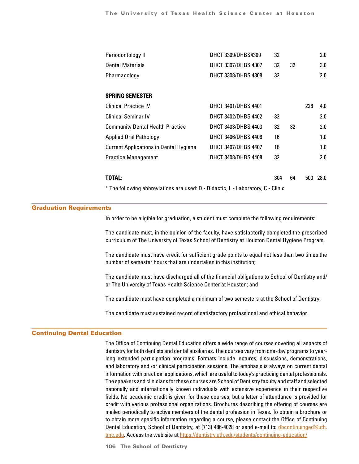| Periodontology II                                                                | DHCT 3309/DHBS4309  | 32  |    |     | 2.0      |  |  |  |
|----------------------------------------------------------------------------------|---------------------|-----|----|-----|----------|--|--|--|
| <b>Dental Materials</b>                                                          | DHCT 3307/DHBS 4307 | 32  | 32 |     | 3.0      |  |  |  |
| Pharmacology                                                                     | DHCT 3308/DHBS 4308 | 32  |    |     | 2.0      |  |  |  |
|                                                                                  |                     |     |    |     |          |  |  |  |
| <b>SPRING SEMESTER</b>                                                           |                     |     |    |     |          |  |  |  |
| <b>Clinical Practice IV</b>                                                      | DHCT 3401/DHBS 4401 |     |    | 228 | 4.0      |  |  |  |
| <b>Clinical Seminar IV</b>                                                       | DHCT 3402/DHBS 4402 | 32  |    |     | 2.0      |  |  |  |
| <b>Community Dental Health Practice</b>                                          | DHCT 3403/DHBS 4403 | 32  | 32 |     | 2.0      |  |  |  |
| <b>Applied Oral Pathology</b>                                                    | DHCT 3406/DHBS 4406 | 16  |    |     | 1.0      |  |  |  |
| <b>Current Applications in Dental Hygiene</b>                                    | DHCT 3407/DHBS 4407 | 16  |    |     | 1.0      |  |  |  |
| <b>Practice Management</b>                                                       | DHCT 3408/DHBS 4408 | 32  |    |     | 2.0      |  |  |  |
|                                                                                  |                     |     |    |     |          |  |  |  |
| <b>TOTAL:</b>                                                                    |                     | 304 | 64 |     | 500 28.0 |  |  |  |
| * The following abbreviations are used: D - Didactic, L - Laboratory, C - Clinic |                     |     |    |     |          |  |  |  |

### Graduation Requirements

In order to be eligible for graduation, a student must complete the following requirements:

The candidate must, in the opinion of the faculty, have satisfactorily completed the prescribed curriculum of The University of Texas School of Dentistry at Houston Dental Hygiene Program;

The candidate must have credit for sufficient grade points to equal not less than two times the number of semester hours that are undertaken in this institution;

The candidate must have discharged all of the financial obligations to School of Dentistry and/ or The University of Texas Health Science Center at Houston; and

The candidate must have completed a minimum of two semesters at the School of Dentistry;

The candidate must sustained record of satisfactory professional and ethical behavior.

## Continuing Dental Education

The Office of Continuing Dental Education offers a wide range of courses covering all aspects of dentistry for both dentists and dental auxiliaries. The courses vary from one-day programs to yearlong extended participation programs. Formats include lectures, discussions, demonstrations, and laboratory and /or clinical participation sessions. The emphasis is always on current dental information with practical applications, which are useful to today's practicing dental professionals. The speakers and clinicians for these courses are School of Dentistry faculty and staff and selected nationally and internationally known individuals with extensive experience in their respective fields. No academic credit is given for these courses, but a letter of attendance is provided for credit with various professional organizations. Brochures describing the offering of courses are mailed periodically to active members of the dental profession in Texas. To obtain a brochure or to obtain more specific information regarding a course, please contact the Office of Continuing Dental Education, School of Dentistry, at (713) 486-4028 or send e-mail to: [dbcontinuinged@uth.](http://dbcontinuinged@uth.tmc.edu) [tmc.edu.](http://dbcontinuinged@uth.tmc.edu) Access the web site at <https://dentistry.uth.edu/students/continuing-education/>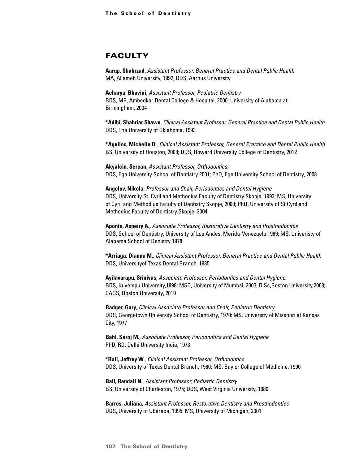# FACULTY

**Aarup, Shahrzad***, Assistant Professor, General Practice and Dental Public Health* MA, Allameh University, 1992; DDS, Aarhus University

**Acharya, Bhavini***, Assistant Professor, Pediatric Dentistry* BDS, MR, Ambedkar Dental College & Hospital, 2000; University of Alabama at Birmingham, 2004

**\*Adibi, Shahriar Shawn***, Clinical Assistant Professor, General Practice and Dental Public Health* DDS, The University of Oklahoma, 1993

**\*Aguilos, Michelle D.***, Clinical Assistant Professor, General Practice and Dental Public Health* BS, University of Houston, 2008; DDS, Howard University College of Dentistry, 2012

**Akyalcin, Sercan***, Assistant Professor, Orthodontics.* DDS, Ege University School of Dentistry 2001; PhD, Ege University School of Dentistry, 2008

**Angelov, Nikola***, Professor and Chair, Periodontics and Dental Hygiene* DDS, University St. Cyril and Methodius Faculty of Dentistry Skopje, 1993; MS, University of Cyril and Methodius Faculty of Dentistry Skopje, 2000; PhD, University of St Cyril and Methodius Faculty of Dentistry Skopje, 2004

**Aponte, Asneiry A.***, Associate Professor, Restorative Dentistry and Prosthodonitcs* DDS, School of Dentistry, University of Los Andes, Merida-Venezuela 1969; MS, Univeristy of Alabama School of Denistry 1978

**\*Arriaga, Dianna M.***, Clinical Assistant Professor, General Practice and Dental Public Health* DDS, Universityof Texas Dental Branch, 1985

**Ayilavarapu, Srinivas***, Associate Professor, Periodontics and Dental Hygiene* BDS, Kuvempu University,1998; MSD, University of Mumbai, 2003; D.Sc,Boston University,2008; CAGS, Boston University, 2010

**Badger, Gary***, Clinical Associate Professor and Chair, Pediatric Dentistry* DDS, Georgetown University School of Dentistry, 1970: MS, Univeristy of Missouri at Kansas City, 1977

**Bahl, Saroj M.***, Associate Professor, Periodontics and Dental Hygiene* PhD, RD, Delhi University India, 1973

**\*Ball, Jeffrey W.***, Clinical Assistant Professor, Orthodontics* DDS, University of Texas Dental Branch, 1980; MS, Baylor College of Medicine, 1990

**Ball, Randall N.***, Assistant Professor, Pediatric Dentistry* BS, University of Charleston, 1975; DDS, West Virginia University, 1980

**Barros, Juliana***, Assistant Professor, Restorative Dentistry and Prosthodontics* DDS, University of Uberaba, 1995: MS, University of Michigan, 2001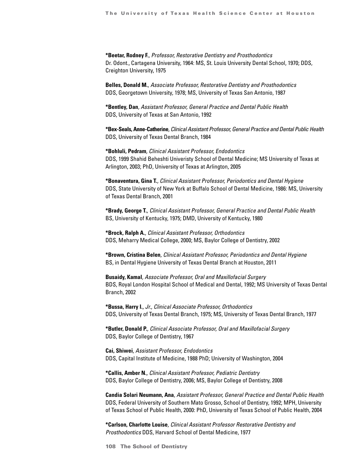**\*Beetar, Rodney F.***, Professor, Restorative Dentistry and Prosthodontics* Dr. Odont., Cartagena University, 1964: MS, St. Louis University Dental School, 1970; DDS, Creighton University, 1975

**Belles, Donald M.***, Associate Professor, Restorative Dentistry and Prosthodontics* DDS, Georgetown University, 1978; MS, University of Texas San Antonio, 1987

**\*Bentley, Dan***, Assistant Professor, General Practice and Dental Public Health* DDS, University of Texas at San Antonio, 1992

**\*Bex-Seals, Anne-Catherine***, Clinical Assistant Professor, General Practice and Dental Public Health* DDS, University of Texas Dental Branch, 1984

**\*Bohluli, Pedram***, Clinical Assistant Professor, Endodontics* DDS, 1999 Shahid Beheshti Univeristy School of Dental Medicine; MS University of Texas at Arlington, 2003; PhD, University of Texas at Arlington, 2005

**\*Bonaventura, Gina T.***, Clinical Assistant Professor, Periodontics and Dental Hygiene* DDS, State University of New York at Buffalo School of Dental Medicine, 1986: MS, University of Texas Dental Branch, 2001

**\*Brady, George T.***, Clinical Assistant Professor, General Practice and Dental Public Health* BS, University of Kentucky, 1975; DMD, University of Kentucky, 1980

**\*Brock, Ralph A.***, Clinical Assistant Professor, Orthodontics* DDS, Meharry Medical College, 2000; MS, Baylor College of Dentistry, 2002

**\*Brown, Cristina Belen***, Clinical Assistant Professor, Periodontics and Dental Hygiene* BS, in Dental Hygiene University of Texas Dental Branch at Houston, 2011

**Busaidy, Kamal***, Associate Professor, Oral and Maxillofacial Surgery* BDS, Royal London Hospital School of Medical and Dental, 1992; MS University of Texas Dental Branch, 2002

**\*Bussa, Harry I.***, Jr., Clinical Associate Professor, Orthodontics* DDS, University of Texas Dental Branch, 1975; MS, University of Texas Dental Branch, 1977

**\*Butler, Donald P.***, Clinical Associate Professor, Oral and Maxillofacial Surgery* DDS, Baylor College of Dentistry, 1967

**Cai, Shiwei***, Assistant Professor, Endodontics* DDS, Capital Institute of Medicine, 1988 PhD; University of Washington, 2004

**\*Callis, Amber N.***, Clinical Assistant Professor, Pediatric Dentistry* DDS, Baylor College of Dentistry, 2006; MS, Baylor College of Dentistry, 2008

**Candia Solari Neumann, Ana***, Assistant Professor, General Practice and Dental Public Health* DDS, Federal University of Southern Mato Grosso, School of Dentistry, 1992; MPH, University of Texas School of Public Health, 2000: PhD, University of Texas School of Public Health, 2004

**\*Carlson, Charlotte Louise***, Clinical Assistant Professor Restorative Dentistry and Prosthodontics* DDS, Harvard School of Dental Medicine, 1977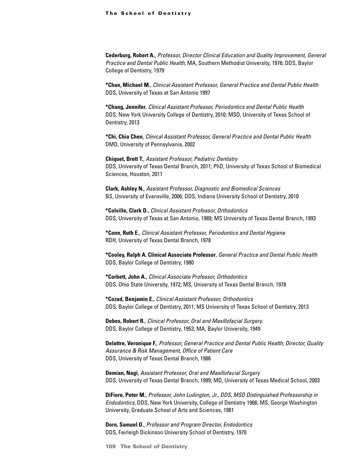### The School of Dentistry

**Cederburg, Robert A.***, Professor, Director Clinical Education and Quality Improvement, General Practice and Dental Public Health,* MA, Southern Methodist University, 1976; DDS, Baylor College of Dentistry, 1979

**\*Chan, Michael M.***, Clinical Assistant Professor, General Practice and Dental Public Health* DDS, University of Texas at San Antonio 1997

**\*Chang, Jennifer***, Clinical Assistant Professor, Periodontics and Dental Public Health* DDS, New York University College of Dentistry, 2010; MSD, University of Texas School of Dentistry, 2013

**\*Chi, Chia Chen***, Clinical Assistant Professor, General Practice and Dental Public Health* DMD, University of Pennsylvania, 2002

**Chiquet, Brett T.***, Assistant Professor, Pediatric Dentistry* DDS, University of Texas Dental Branch, 2011; PhD, University of Texas School of Biomedical Sciences, Houston, 2011

**Clark, Ashley N.***, Assistant Professor, Diagnostic and Biomedical Sciences* BS, University of Evansville, 2006; DDS, Indiana University School of Dentistry, 2010

**\*Colville, Clark D.***, Clinical Assistant Professor, Orthodontics* DDS, University of Texas at San Antonio, 1989; MS University of Texas Dental Branch, 1993

**\*Conn, Ruth E.***, Clinical Assistant Professor, Periodontics and Dental Hygiene* RDH, University of Texas Dental Branch, 1978

**\*Cooley, Ralph A. Clinical Associate Professor***, General Practice and Dental Public Health* DDS, Baylor College of Dentistry, 1980

**\*Corbett, John A.***, Clinical Associate Professor, Orthodontics* DDS, Ohio State University, 1972; MS, University of Texas Dental Branch, 1978

**\*Cozad, Benjamin E.***, Clinical Assistant Professor, Orthodontics* DDS, Baylor College of Dentistry, 2011; MS University of Texas School of Dentistry, 2013

**Debes, Robert R.***, Clinical Professor, Oral and Maxillofacial Surgery.* DDS, Baylor College of Dentistry, 1953; MA, Baylor University, 1949

**Delattre, Veronique F.***, Professor, General Practice and Dental Public Health; Director, Quality Assurance & Risk Management, Office of Patient Care* DDS, University of Texas Dental Branch, 1986

**Demian, Nagi***, Assistant Professor, Oral and Maxillofacial Surgery* DDS, University of Texas Dental Branch, 1999; MD, University of Texas Medical School, 2003

**DiFiore, Peter M.***, Professor, John Ludington, Jr., DDS, MSD Distinguished Professorship in Endodontics,* DDS, New York University, College of Dentistry 1966; MS, George Washington University, Graduate School of Arts and Sciences, 1981

**Dorn, Samuel O.***, Professor and Program Director, Endodontics* DDS, Fairleigh Dickinson University School of Dentistry, 1970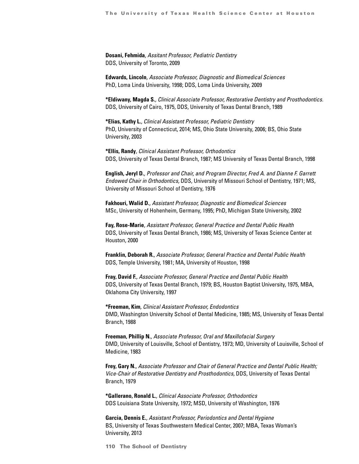**Dosani, Fehmida***, Assitant Professor, Pediatric Dentistry* DDS, University of Toronto, 2009

**Edwards, Lincoln***, Associate Professor, Diagnostic and Biomedical Sciences* PhD, Loma Linda University, 1998; DDS, Loma Linda University, 2009

**\*Eldiwany, Magda S.***, Clinical Associate Professor, Restorative Dentistry and Prosthodontics.* DDS, University of Cairo, 1975, DDS, University of Texas Dental Branch, 1989

**\*Elias, Kathy L.***, Clinical Assistant Professor, Pediatric Dentistry* PhD, University of Connecticut, 2014; MS, Ohio State University, 2006; BS, Ohio State University, 2003

**\*Ellis, Randy***, Clinical Assistant Professor, Orthodontics* DDS, University of Texas Dental Branch, 1987; MS University of Texas Dental Branch, 1998

**English, Jeryl D.***, Professor and Chair, and Program Director, Fred A. and Dianne F. Garrett Endowed Chair in Orthodontics,* DDS, University of Missouri School of Dentistry, 1971; MS, University of Missouri School of Dentistry, 1976

**Fakhouri, Walid D.***, Assistant Professor, Diagnostic and Biomedical Sciences* MSc, University of Hohenheim, Germany, 1995; PhD, Michigan State University, 2002

**Fay, Rose-Marie***, Assistant Professor, General Practice and Dental Public Health* DDS, University of Texas Dental Branch, 1986; MS, University of Texas Science Center at Houston, 2000

**Franklin, Deborah R.***, Associate Professor, General Practice and Dental Public Health* DDS, Temple University, 1981; MA, University of Houston, 1998

**Fray, David F.***, Associate Professor, General Practice and Dental Public Health* DDS, University of Texas Dental Branch, 1979; BS, Houston Baptist University, 1975, MBA, Oklahoma City University, 1997

**\*Freeman, Kim***, Clinical Assistant Professor, Endodontics* DMD, Washington University School of Dental Medicine, 1985; MS, University of Texas Dental Branch, 1988

**Freeman, Phillip N.***, Associate Professor, Oral and Maxillofacial Surgery* DMD, University of Louisville, School of Dentistry, 1973; MD, University of Louisville, School of Medicine, 1983

**Frey, Gary N.***, Associate Professor and Chair of General Practice and Dental Public Health; Vice-Chair of Restorative Dentistry and Prosthodontics,* DDS, University of Texas Dental Branch, 1979

**\*Gallerano, Ronald L.***, Clinical Associate Professor, Orthodontics* DDS Louisiana State University, 1972; MSD, University of Washington, 1976

**Garcia, Dennis E.***, Assistant Professor, Periodontics and Dental Hygiene* BS, University of Texas Southwestern Medical Center, 2007; MBA, Texas Woman's University, 2013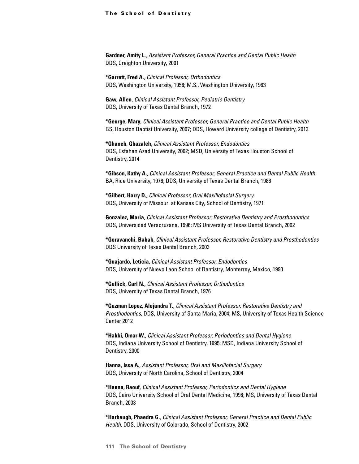**Gardner, Amity L.***, Assistant Professor, General Practice and Dental Public Health* DDS, Creighton University, 2001

**\*Garrett, Fred A.***, Clinical Professor, Orthodontics* DDS, Washington University, 1958; M.S., Washington University, 1963

**Gaw, Allen***, Clinical Assistant Professor, Pediatric Dentistry* DDS, University of Texas Dental Branch, 1972

**\*George, Mary***, Clinical Assistant Professor, General Practice and Dental Public Health* BS, Houston Baptist University, 2007; DDS, Howard University college of Dentistry, 2013

**\*Ghaneh, Ghazaleh***, Clinical Assistant Professor, Endodontics* DDS, Esfahan Azad University, 2002; MSD, University of Texas Houston School of Dentistry, 2014

**\*Gibson, Kathy A.***, Clinical Assistant Professor, General Practice and Dental Public Health* BA, Rice University, 1976; DDS, University of Texas Dental Branch, 1986

**\*Gilbert, Harry D.***, Clinical Professor, Oral Maxillofacial Surgery* DDS, University of Missouri at Kansas City, School of Dentistry, 1971

**Gonzalez, Maria***, Clinical Assistant Professor, Restorative Dentistry and Prosthodontics* DDS, Universidad Veracruzana, 1996; MS University of Texas Dental Branch, 2002

**\*Goravanchi, Babak***, Clinical Assistant Professor, Restorative Dentistry and Prosthodontics* DDS University of Texas Dental Branch, 2003

**\*Guajardo, Leticia***, Clinical Assistant Professor, Endodontics* DDS, University of Nuevo Leon School of Dentistry, Monterrey, Mexico, 1990

**\*Gullick, Carl N.***, Clinical Assistant Professor, Orthodontics* DDS, University of Texas Dental Branch, 1976

**\*Guzman Lopez, Alejandra T.***, Clinical Assistant Professor, Restorative Dentistry and Prosthodontics,* DDS, University of Santa Maria, 2004; MS, University of Texas Health Science Center 2012

**\*Hakki, Omar W.***, Clinical Assistant Professor, Periodontics and Dental Hygiene* DDS, Indiana University School of Dentistry, 1995; MSD, Indiana University School of Dentistry, 2000

**Hanna, Issa A.***, Assistant Professor, Oral and Maxillofacial Surgery* DDS, University of North Carolina, School of Dentistry, 2004

**\*Hanna, Raouf***, Clinical Assistant Professor, Periodontics and Dental Hygiene* DDS, Cairo University School of Oral Dental Medicine, 1998; MS, University of Texas Dental Branch, 2003

**\*Harbaugh, Phaedra G.***, Clinical Assistant Professor, General Practice and Dental Public Health,* DDS, University of Colorado, School of Dentistry, 2002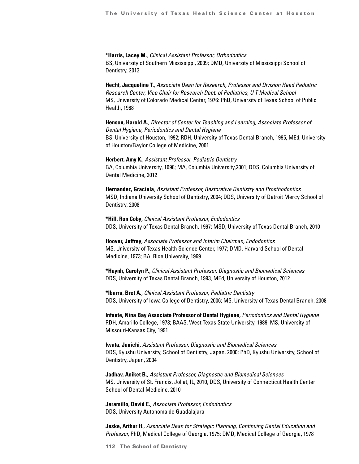## **\*Harris, Lacey M.***, Clinical Assistant Professor, Orthodontics* BS, University of Southern Mississippi, 2009; DMD, University of Mississippi School of Dentistry, 2013

**Hecht, Jacqueline T.***, Associate Dean for Research, Professor and Division Head Pediatric Research Center, Vice Chair for Research Dept. of Pediatrics, U T Medical School* MS, University of Colorado Medical Center, 1976: PhD, University of Texas School of Public Health, 1988

**Henson, Harold A.***, Director of Center for Teaching and Learning, Associate Professor of Dental Hygiene, Periodontics and Dental Hygiene* BS, University of Houston, 1992; RDH, University of Texas Dental Branch, 1995, MEd, University of Houston/Baylor College of Medicine, 2001

### **Herbert, Amy K.***, Assistant Professor, Pediatric Dentistry*

BA, Columbia University, 1998; MA, Columbia University,2001; DDS, Columbia University of Dental Medicine, 2012

**Hernandez, Graciela***, Assistant Professor, Restorative Dentistry and Prosthodontics* MSD, Indiana University School of Dentistry, 2004; DDS, University of Detroit Mercy School of Dentistry, 2008

**\*Hill, Ron Coby***, Clinical Assistant Professor, Endodontics* DDS, University of Texas Dental Branch, 1997; MSD, University of Texas Dental Branch, 2010

**Hoover, Jeffrey***, Associate Professor and Interim Chairman, Endodontics* MS, University of Texas Health Science Center, 1977; DMD, Harvard School of Dental Medicine, 1973; BA, Rice University, 1969

**\*Huynh, Carolyn P.***, Clinical Assistant Professor, Diagnostic and Biomedical Sciences* DDS, University of Texas Dental Branch, 1993, MEd, University of Houston, 2012

**\*Ibarra, Bret A.***, Clinical Assistant Professor, Pediatric Dentistry* DDS, University of Iowa College of Dentistry, 2006; MS, University of Texas Dental Branch, 2008

**Infante, Nina Bay Associate Professor of Dental Hygiene***, Periodontics and Dental Hygiene* RDH, Amarillo College, 1973; BAAS, West Texas State University, 1989; MS, University of Missouri-Kansas City, 1991

**Iwata, Junichi***, Assistant Professor, Diagnostic and Biomedical Sciences* DDS, Kyushu University, School of Dentistry, Japan, 2000; PhD, Kyushu University, School of Dentistry, Japan, 2004

**Jadhav, Aniket B.***, Assistant Professor, Diagnostic and Biomedical Sciences* MS, University of St. Francis, Joliet, IL, 2010, DDS, University of Connecticut Health Center School of Dental Medicine, 2010

**Jaramillo, David E.***, Associate Professor, Endodontics* DDS, University Autonoma de Guadalajara

**Jeske, Arthur H.***, Associate Dean for Strategic Planning, Continuing Dental Education and Professor,* PhD, Medical College of Georgia, 1975; DMD, Medical College of Georgia, 1978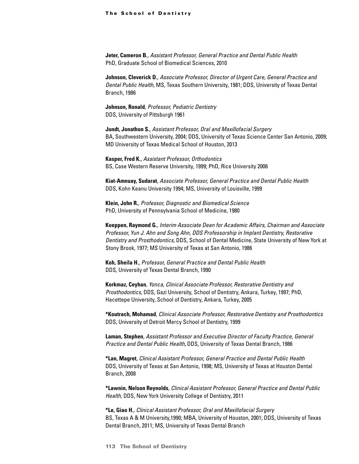**Jeter, Cameron B.***, Assistant Professor, General Practice and Dental Public Health* PhD, Graduate School of Biomedical Sciences, 2010

**Johnson, Cleverick D.***, Associate Professor, Director of Urgent Care, General Practice and Dental Public Health,* MS, Texas Southern University, 1981; DDS, University of Texas Dental Branch, 1986

**Johnson, Ronald***, Professor, Pediatric Dentistry* DDS, University of Pittsburgh 1961

**Jundt, Jonathon S.***, Assistant Professor, Oral and Maxillofacial Surgery* BA, Southwestern University, 2004; DDS, University of Texas Science Center San Antonio, 2009; MD University of Texas Medical School of Houston, 2013

**Kasper, Fred K.***, Assistant Professor, Orthodontics* BS, Case Western Reserve University, 1999; PhD, Rice University 2006

**Kiat-Amnuay, Sudarat***, Associate Professor, General Practice and Dental Public Health* DDS, Kohn Keanu University 1994; MS, University of Louisville, 1999

**Klein, John R.***, Professor, Diagnostic and Biomedical Science* PhD, University of Pennsylvania School of Medicine, 1980

**Koeppen, Raymond G.***, Interim Associate Dean for Academic Affairs, Chairman and Associate Professor, Yun J. Ahn and Song Ahn, DDS Professorship in Implant Dentistry, Restorative Dentistry and Prosthodontics,* DDS, School of Dental Medicine, State University of New York at Stony Brook, 1977; MS University of Texas at San Antonio, 1986

**Koh, Sheila H.***, Professor, General Practice and Dental Public Health* DDS, University of Texas Dental Branch, 1990

**Korkmaz, Ceyhan***, Yonca, Clinical Associate Professor, Restorative Dentistry and Prosthodontics,* DDS, Gazi University, School of Dentistry, Ankara, Turkey, 1997; PhD, Hacettepe University, School of Dentistry, Ankara, Turkey, 2005

**\*Koutrach, Mohamad***, Clinical Associate Professor, Restorative Dentistry and Prosthodontics* DDS, University of Detroit Mercy School of Dentistry, 1999

**Laman, Stephen***, Assistant Professor and Executive Director of Faculty Practice, General Practice and Dental Public Health,* DDS, University of Texas Dental Branch, 1986

**\*Lan, Magret***, Clinical Assistant Professor, General Practice and Dental Public Health* DDS, University of Texas at San Antonio, 1998; MS, University of Texas at Houston Dental Branch, 2008

**\*Lawnin, Nelson Reynolds***, Clinical Assistant Professor, General Practice and Dental Public Health,* DDS, New York University College of Dentistry, 2011

**\*Le, Giao H.***, Clinical Assistant Professor, Oral and Maxillofacial Surgery* BS, Texas A & M University,1990; MBA, University of Houston, 2001; DDS, University of Texas Dental Branch, 2011; MS, University of Texas Dental Branch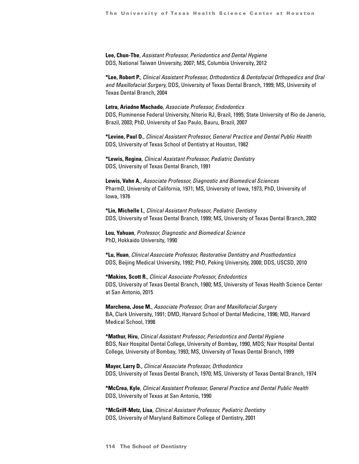**Lee, Chun-The***, Assistant Professor, Periodontics and Dental Hygiene* DDS, National Taiwan University, 2007; MS, Columbia University, 2012

**\*Lee, Robert P.***, Clinical Assistant Professor, Orthodontics & Dentofacial Orthopedics and Oral and Maxillofacial Surgery,* DDS, University of Texas Dental Branch, 1999; MS, University of Texas Dental Branch, 2004

**Letra, Ariadne Machado***, Associate Professor, Endodontics* DDS, Fluminense Federal University, Niterio RJ, Brazil, 1995; State University of Rio de Janerio, Brazil, 2003; PhD, University of Sao Paulo, Bauru, Brazil, 2007

**\*Levine, Paul D.***, Clinical Assistant Professor, General Practice and Dental Public Health* DDS, University of Texas School of Dentistry at Houston, 1982

**\*Lewis, Regina***, Clinical Assistant Professor, Pediatric Dentistry* DDS, University of Texas Dental Branch, 1991

**Lewis, Vahn A.***, Associate Professor, Diagnostic and Biomedical Sciences* PharmD, University of California, 1971; MS, University of Iowa, 1973, PhD, University of Iowa, 1976

**\*Lin, Michelle I.***, Clinical Assistant Professor, Pediatric Dentistry* DDS, University of Texas Dental Branch, 1999; MS, University of Texas Dental Branch, 2002

**Lou, Yahuan***, Professor, Diagnostic and Biomedical Science* PhD, Hokkaido University, 1990

**\*Lu, Huan***, Clinical Associate Professor, Restorative Dentistry and Prosthodontics* DDS, Beijing Medical University, 1992; PhD, Peking University, 2000; DDS, USCSD, 2010

**\*Makins, Scott R.***, Clinical Associate Professor, Endodontics* DDS, University of Texas Dental Branch, 1980; MS, University of Texas Health Science Center at San Antonio, 2015

**Marchena, Jose M.***, Associate Professor, Oran and Maxillofacial Surgery* BA, Clark University, 1991; DMD, Harvard School of Dental Medicine, 1996; MD, Harvard Medical School, 1998

**\*Mathur, Hiru***, Clinical Assistant Professor, Periodontics and Dental Hygiene* BDS, Nair Hospital Dental College, University of Bombay, 1990, MDS; Nair Hospital Dental College, University of Bombay, 1993; MS, University of Texas Dental Branch, 1999

**Mayer, Larry D.***, Clinical Associate Professor, Orthodontics* DDS, University of Texas Dental Branch, 1970; MS, University of Texas Dental Branch, 1974

**\*McCrea, Kyle***, Clinical Assistant Professor, General Practice and Dental Public Health* DDS, University of Texas at San Antonio, 1990

**\*McGriff-Metz, Lisa***, Clinical Assistant Professor, Pediatric Dentistry* DDS, University of Maryland Baltimore College of Dentistry, 2001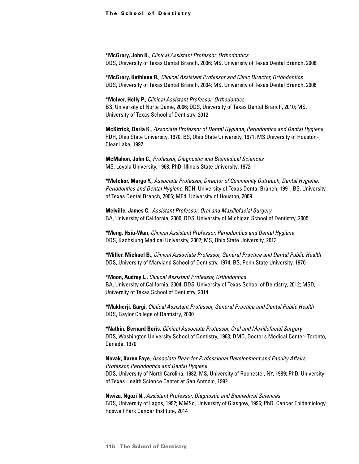**\*McGrory, John K.***, Clinical Assistant Professor, Orthodontics* DDS, University of Texas Dental Branch, 2006; MS, University of Texas Dental Branch, 2008

**\*McGrory, Kathleen R.***, Clinical Assistant Professor and Clinic Director, Orthodontics* DDS, University of Texas Dental Branch, 2004; MS, University of Texas Dental Branch, 2006

## **\*McIver, Holly P.***, Clinical Assistant Professor, Orthodontics*

BS, University of Norte Dame, 2006; DDS, University of Texas Dental Branch, 2010; MS, University of Texas School of Dentistry, 2012

**McKitrick, Darla K.***, Associate Professor of Dental Hygiene, Periodontics and Dental Hygiene* RDH, Ohio State University, 1970; BS, Ohio State University, 1971; MS University of Houston-Clear Lake, 1992

**McMahon, John C.***, Professor, Diagnostic and Biomedical Sciences* MS, Loyola University, 1968; PhD, Illinois State University, 1972

**\*Melchor, Margo Y.***, Associate Professor, Director of Community Outreach, Dental Hygiene, Periodontics and Dental Hygiene,* RDH, University of Texas Dental Branch, 1991; BS, University of Texas Dental Branch, 2006; MEd, University of Houston, 2009

**Melville, James C.***, Assistant Professor, Oral and Maxillofacial Surgery* BA, University of California, 2000; DDS, University of Michigan School of Dentistry, 2005

**\*Meng, Hsiu-Wan***, Clinical Assistant Professor, Periodontics and Dental Hygiene* DDS, Kaohsiung Medical University, 2007; MS, Ohio State University, 2013

**\*Miller, Michael B.***, Clinical Associate Professor, General Practice and Dental Public Health* DDS, University of Maryland School of Dentistry, 1974; BS, Penn State University, 1970

**\*Moon, Audrey L.***, Clinical Assistant Professor, Orthodontics* BA, University of California, 2004; DDS, University of Texas School of Dentistry, 2012; MSD, University of Texas School of Dentistry, 2014

**\*Mukherji, Gargi***, Clinical Assistant Professor, General Practice and Dental Public Health* DDS, Baylor College of Dentistry, 2000

**\*Natkin, Bernard Boris***, Clinical Associate Professor, Oral and Maxillofacial Surgery* DDS, Washington University School of Dentistry, 1963; DMD, Doctor's Medical Center- Toronto, Canada, 1970

**Novak, Karen Faye***, Associate Dean for Professional Development and Faculty Affairs, Professor, Periodontics and Dental Hygiene* DDS, University of North Carolina, 1982; MS, University of Rochester, NY, 1989; PhD, University of Texas Health Science Center at San Antonio, 1992

**Nwizu, Ngozi N.***, Assistant Professor, Diagnostic and Biomedical Sciences* BDS, University of Lagos, 1992; MMSc, University of Glasgow, 1996; PhD, Cancer Epidemiology Roswell Park Cancer Institute, 2014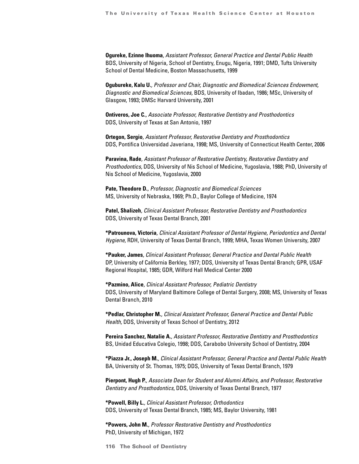**Ogureke, Ezinne Ihuoma***, Assistant Professor, General Practice and Dental Public Health* BDS, University of Nigeria, School of Dentistry, Enugu, Nigeria, 1991; DMD, Tufts University School of Dental Medicine, Boston Massachusetts, 1999

**Ogubureke, Kalu U.***, Professor and Chair, Diagnostic and Biomedical Sciences Endowment, Diagnostic and Biomedical Sciences,* BDS, University of Ibadan, 1986; MSc, University of Glasgow, 1993; DMSc Harvard University, 2001

**Ontiveros, Joe C.***, Associate Professor, Restorative Dentistry and Prosthodontics* DDS, University of Texas at San Antonio, 1997

**Ortegon, Sergio***, Assistant Professor, Restorative Dentistry and Prosthodontics* DDS, Pontifica Universidad Javeriana, 1998; MS, University of Connecticut Health Center, 2006

**Paravina, Rade***, Assistant Professor of Restorative Dentistry, Restorative Dentistry and Prosthodontics,* DDS, University of Nis School of Medicine, Yugoslavia, 1988; PhD, University of Nis School of Medicine, Yugoslavia, 2000

**Pate, Theodore D.***, Professor, Diagnostic and Biomedical Sciences* MS, University of Nebraska, 1969; Ph.D., Baylor College of Medicine, 1974

**Patel, Shalizeh***, Clinical Assistant Professor, Restorative Dentistry and Prosthodontics*  DDS, University of Texas Dental Branch, 2001

**\*Patrounova, Victoria***, Clinical Assistant Professor of Dental Hygiene, Periodontics and Dental Hygiene,* RDH, University of Texas Dental Branch, 1999; MHA, Texas Women University, 2007

**\*Pauker, James***, Clinical Assistant Professor, General Practice and Dental Public Health* DP, University of California Berkley, 1977; DDS, University of Texas Dental Branch; GPR, USAF Regional Hospital, 1985; GDR, Wilford Hall Medical Center 2000

**\*Pazmino, Alice***, Clinical Assistant Professor, Pediatric Dentistry* DDS, University of Maryland Baltimore College of Dental Surgery, 2008; MS, University of Texas Dental Branch, 2010

**\*Pedlar, Christopher M.***, Clinical Assistant Professor, General Practice and Dental Public Health,* DDS, University of Texas School of Dentistry, 2012

**Pereira Sanchez, Natalie A.***, Assistant Professor, Restorative Dentistry and Prosthodontics* BS, Unidad Educativa Colegio, 1998; DDS, Carabobo University School of Dentistry, 2004

**\*Piazza Jr., Joseph M.***, Clinical Assistant Professor, General Practice and Dental Public Health* BA, University of St. Thomas, 1975; DDS, University of Texas Dental Branch, 1979

**Pierpont, Hugh P.***, Associate Dean for Student and Alumni Affairs, and Professor, Restorative Dentistry and Prosthodontics,* DDS, University of Texas Dental Branch, 1977

**\*Powell, Billy L.***, Clinical Assistant Professor, Orthodontics* DDS, University of Texas Dental Branch, 1985; MS, Baylor University, 1981

**\*Powers, John M.***, Professor Restorative Dentistry and Prosthodontics* PhD, University of Michigan, 1972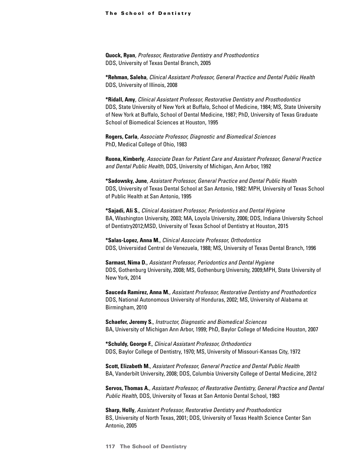**Quock, Ryan***, Professor, Restorative Dentistry and Prosthodontics* DDS, University of Texas Dental Branch, 2005

**\*Rehman, Saleha***, Clinical Assistant Professor, General Practice and Dental Public Health*  DDS, University of Illinois, 2008

**\*Ridall, Amy***, Clinical Assistant Professor, Restorative Dentistry and Prosthodontics* DDS, State University of New York at Buffalo, School of Medicine, 1984; MS, State University of New York at Buffalo, School of Dental Medicine, 1987; PhD, University of Texas Graduate School of Biomedical Sciences at Houston, 1995

**Rogers, Carla***, Associate Professor, Diagnostic and Biomedical Sciences* PhD, Medical College of Ohio, 1983

**Ruona, Kimberly***, Associate Dean for Patient Care and Assistant Professor, General Practice and Dental Public Health,* DDS, University of Michigan, Ann Arbor, 1992

**\*Sadowsky, June***, Assistant Professor, General Practice and Dental Public Health* DDS, University of Texas Dental School at San Antonio, 1982: MPH, University of Texas School of Public Health at San Antonio, 1995

**\*Sajadi, Ali S.***, Clinical Assistant Professor, Periodontics and Dental Hygiene* BA, Washington University, 2003; MA, Loyola University, 2006; DDS, Indiana University School of Dentistry2012;MSD, University of Texas School of Dentistry at Houston, 2015

**\*Salas-Lopez, Anna M.***, Clinical Associate Professor, Orthodontics* DDS, Universidad Central de Venezuela, 1988; MS, University of Texas Dental Branch, 1996

**Sarmast, Nima D.***, Assistant Professor, Periodontics and Dental Hygiene* DDS, Gothenburg University, 2008; MS, Gothenburg University, 2009;MPH, State University of New York, 2014

**Sauceda Ramirez, Anna M.***, Assistant Professor, Restorative Dentistry and Prosthodontics* DDS, National Autonomous University of Honduras, 2002; MS, University of Alabama at Birmingham, 2010

**Schaefer, Jeremy S.***, Instructor, Diagnostic and Biomedical Sciences* BA, University of Michigan Ann Arbor, 1999; PhD, Baylor College of Medicine Houston, 2007

**\*Schuldy, George F.***, Clinical Assistant Professor, Orthodontics* DDS, Baylor College of Dentistry, 1970; MS, University of Missouri-Kansas City, 1972

**Scott, Elizabeth M.***, Assistant Professor, General Practice and Dental Public Health* BA, Vanderbilt University, 2008; DDS, Columbia University College of Dental Medicine, 2012

**Servos, Thomas A.***, Assistant Professor, of Restorative Dentistry, General Practice and Dental Public Health,* DDS, University of Texas at San Antonio Dental School, 1983

**Sharp, Holly***, Assistant Professor, Restorative Dentistry and Prosthodontics* BS, University of North Texas, 2001; DDS, University of Texas Health Science Center San Antonio, 2005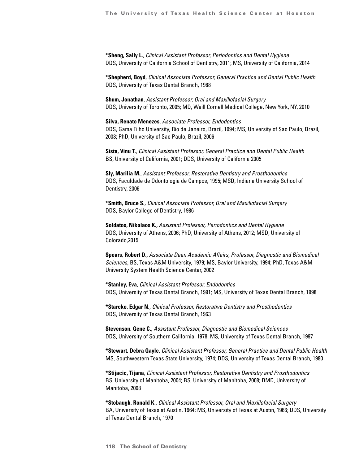**\*Sheng, Sally L.***, Clinical Assistant Professor, Periodontics and Dental Hygiene* DDS, University of California School of Dentistry, 2011; MS, University of California, 2014

**\*Shepherd, Boyd***, Clinical Associate Professor, General Practice and Dental Public Health* DDS, University of Texas Dental Branch, 1988

**Shum, Jonathan***, Assistant Professor, Oral and Maxillofacial Surgery* DDS, University of Toronto, 2005; MD, Weill Cornell Medical College, New York, NY, 2010

**Silva, Renato Menezes***, Associate Professor, Endodontics* DDS, Gama Filho University, Rio de Janeiro, Brazil, 1994; MS, University of Sao Paulo, Brazil, 2003; PhD, University of Sao Paulo, Brazil, 2006

**Sista, Vinu T.***, Clinical Assistant Professor, General Practice and Dental Public Health* BS, University of California, 2001; DDS, University of California 2005

**Sly, Marilia M.***, Assistant Professor, Restorative Dentistry and Prosthodontics* DDS, Faculdade de Odontologia de Campos, 1995; MSD, Indiana University School of Dentistry, 2006

**\*Smith, Bruce S.***, Clinical Associate Professor, Oral and Maxillofacial Surgery* DDS, Baylor College of Dentistry, 1986

**Soldatos, Nikolaos K.***, Assistant Professor, Periodontics and Dental Hygiene* DDS, University of Athens, 2006; PhD, University of Athens, 2012; MSD, University of Colorado,2015

**Spears, Robert D.***, Associate Dean Academic Affairs, Professor, Diagnostic and Biomedical Sciences,* BS, Texas A&M University, 1979; MS, Baylor University, 1994; PhD, Texas A&M University System Health Science Center, 2002

**\*Stanley, Eva***, Clinical Assistant Professor, Endodontics* DDS, University of Texas Dental Branch, 1991; MS, University of Texas Dental Branch, 1998

**\*Starcke, Edgar N.***, Clinical Professor, Restorative Dentistry and Prosthodontics* DDS, University of Texas Dental Branch, 1963

**Stevenson, Gene C.***, Assistant Professor, Diagnostic and Biomedical Sciences* DDS, University of Southern California, 1978; MS, University of Texas Dental Branch, 1997

**\*Stewart, Debra Gayle***, Clinical Assistant Professor, General Practice and Dental Public Health* MS, Southwestern Texas State University, 1974; DDS, University of Texas Dental Branch, 1980

**\*Stijacic, Tijana***, Clinical Assistant Professor, Restorative Dentistry and Prosthodontics* BS, University of Manitoba, 2004; BS, University of Manitoba, 2008; DMD, University of Manitoba, 2008

**\*Stobaugh, Ronald K.***, Clinical Assistant Professor, Oral and Maxillofacial Surgery* BA, University of Texas at Austin, 1964; MS, University of Texas at Austin, 1966; DDS, University of Texas Dental Branch, 1970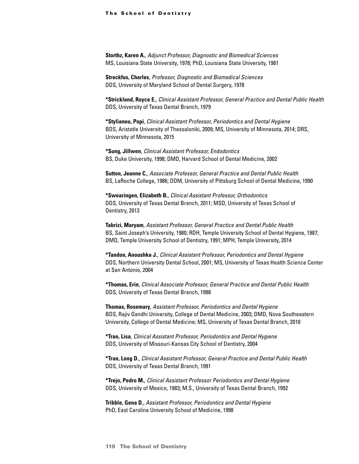**Storthz, Karen A.***, Adjunct Professor, Diagnostic and Biomedical Sciences* MS, Louisiana State University, 1978; PhD, Louisiana State University, 1981

**Streckfus, Charles***, Professor, Diagnostic and Biomedical Sciences* DDS, University of Maryland School of Dental Surgery, 1978

**\*Strickland, Royce E.***, Clinical Assistant Professor, General Practice and Dental Public Health* DDS, University of Texas Dental Branch, 1979

**\*Stylianou, Popi***, Clinical Assistant Professor, Periodontics and Dental Hygiene* BDS, Aristotle University of Thessaloniki, 2009; MS, University of Minnesota, 2014; DRS, University of Minnesota, 2015

**\*Sung, Jillwen***, Clinical Assistant Professor, Endodontics* BS, Duke University, 1998; DMD, Harvard School of Dental Medicine, 2002

**Sutton, Jeanne C***,, Associate Professor, General Practice and Dental Public Health* BS, LaRoche College, 1986; DDM, University of Pittsburg School of Dental Medicine, 1990

**\*Swearingen, Elizabeth B.***, Clinical Assistant Professor, Orthodontics* DDS, University of Texas Dental Branch, 2011; MSD, University of Texas School of Dentistry, 2013

**Tabrizi, Maryam***, Assistant Professor, General Practice and Dental Public Health* BS, Saint Joseph's University, 1980; RDH, Temple University School of Dental Hygiene, 1987; DMD, Temple University School of Dentistry, 1991; MPH, Temple University, 2014

**\*Tandon, Anoushka J.***, Clinical Assistant Professor, Periodontics and Dental Hygiene* DDS, Northern University Dental School, 2001; MS, University of Texas Health Science Center at San Antonio, 2004

**\*Thomas, Erin***, Clinical Associate Professor, General Practice and Dental Public Health* DDS, University of Texas Dental Branch, 1998

**Thomas, Rosemary***, Assistant Professor, Periodontics and Dental Hygiene* BDS, Rajiv Gandhi University, College of Dental Medicine, 2003; DMD, Nova Southeastern University, College of Dental Medicine; MS, University of Texas Dental Branch, 2010

**\*Tran, Lisa***, Clinical Assistant Professor, Periodontics and Dental Hygiene* DDS, University of Missouri-Kansas City School of Dentistry, 2004

**\*Tran, Long D.***, Clinical Assistant Professor, General Practice and Dental Public Health* DDS, University of Texas Dental Branch, 1991

**\*Trejo, Pedro M.***, Clinical Assistant Professor Periodontics and Dental Hygiene* DDS, University of Mexico, 1983; M.S., University of Texas Dental Branch, 1992

**Tribble, Gena D.***, Assistant Professor, Periodontics and Dental Hygiene* PhD, East Carolina University School of Medicine, 1998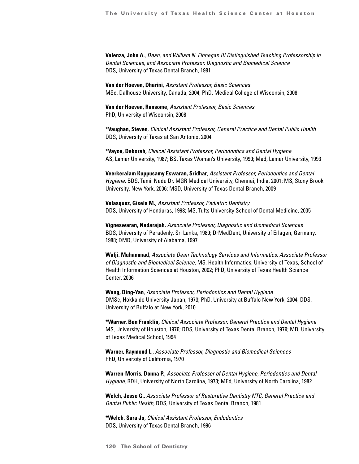**Valenza, John A.***, Dean, and William N. Finnegan III Distinguished Teaching Professorship in Dental Sciences, and Associate Professor, Diagnostic and Biomedical Science*  DDS, University of Texas Dental Branch, 1981

**Van der Hoeven, Dharini***, Assistant Professor, Basic Sciences* MSc, Dalhouse University, Canada, 2004; PhD, Medical College of Wisconsin, 2008

**Van der Hoeven, Ransome***, Assistant Professor, Basic Sciences* PhD, University of Wisconsin, 2008

**\*Vaughan, Steven***, Clinical Assistant Professor, General Practice and Dental Public Health* DDS, University of Texas at San Antonio, 2004

**\*Vayon, Deborah***, Clinical Assistant Professor, Periodontics and Dental Hygiene* AS, Lamar University, 1987; BS, Texas Woman's University, 1990; Med, Lamar University, 1993

**Veerkeralam Kuppusamy Eswaran, Sridhar***, Assistant Professor, Periodontics and Dental Hygiene,* BDS, Tamil Nadu Dr. MGR Medical University, Chennai, India, 2001; MS, Stony Brook University, New York, 2006; MSD, University of Texas Dental Branch, 2009

**Velasquez, Gisela M.***, Assistant Professor, Pediatric Dentistry* DDS, University of Honduras, 1998; MS, Tufts University School of Dental Medicine, 2005

**Vigneswaran, Nadarajah***, Associate Professor, Diagnostic and Biomedical Sciences* BDS, University of Peradenly, Sri Lanka, 1980; DrMedDent, University of Erlagen, Germany, 1988; DMD, University of Alabama, 1997

**Walji, Muhammad***, Associate Dean Technology Services and Informatics, Associate Professor of Diagnostic and Biomedical Science,* MS, Health Informatics, University of Texas, School of Health Information Sciences at Houston, 2002; PhD, University of Texas Health Science Center, 2006

**Wang, Bing-Yan***, Associate Professor, Periodontics and Dental Hygiene* DMSc, Hokkaido University Japan, 1973; PhD, University at Buffalo New York, 2004; DDS, University of Buffalo at New York, 2010

**\*Warner, Ben Franklin***, Clinical Associate Professor, General Practice and Dental Hygiene* MS, University of Houston, 1976; DDS, University of Texas Dental Branch, 1979; MD, University of Texas Medical School, 1994

**Warner, Raymond L.***, Associate Professor, Diagnostic and Biomedical Sciences* PhD, University of California, 1970

**Warren-Morris, Donna P.***, Associate Professor of Dental Hygiene, Periodontics and Dental Hygiene,* RDH, University of North Carolina, 1973; MEd, University of North Carolina, 1982

**Welch, Jesse G.***, Associate Professor of Restorative Dentistry NTC, General Practice and Dental Public Health,* DDS, University of Texas Dental Branch, 1981

**\*Welch, Sara Jo***, Clinical Assistant Professor, Endodontics* DDS, University of Texas Dental Branch, 1996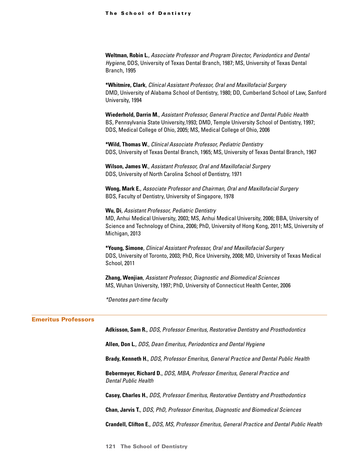**Weltman, Robin L.***, Associate Professor and Program Director, Periodontics and Dental Hygiene,* DDS, University of Texas Dental Branch, 1987; MS, University of Texas Dental Branch, 1995

**\*Whitmire, Clark***, Clinical Assistant Professor, Oral and Maxillofacial Surgery* DMD, University of Alabama School of Dentistry, 1980; DD, Cumberland School of Law, Sanford University, 1994

**Wiederhold, Darrin M.***, Assistant Professor, General Practice and Dental Public Health* BS, Pennsylvania State University,1993; DMD, Temple University School of Dentistry, 1997; DDS, Medical College of Ohio, 2005; MS, Medical College of Ohio, 2006

**\*Wild, Thomas W.***, Clinical Associate Professor, Pediatric Dentistry* DDS, University of Texas Dental Branch, 1965; MS, University of Texas Dental Branch, 1967

**Wilson, James W.***, Assistant Professor, Oral and Maxillofacial Surgery* DDS, University of North Carolina School of Dentistry, 1971

**Wong, Mark E.***, Associate Professor and Chairman, Oral and Maxillofacial Surgery* BDS, Faculty of Dentistry, University of Singapore, 1978

**Wu, Di***, Assistant Professor, Pediatric Dentistry* MD, Anhui Medical University, 2003; MS, Anhui Medical University, 2006; BBA, University of Science and Technology of China, 2006; PhD, University of Hong Kong, 2011; MS, University of Michigan, 2013

**\*Young, Simone***, Clinical Assistant Professor, Oral and Maxillofacial Surgery*  DDS, University of Toronto, 2003; PhD, Rice University, 2008; MD, University of Texas Medical School, 2011

**Zhang, Wenjian***, Assistant Professor, Diagnostic and Biomedical Sciences* MS, Wuhan University, 1997; PhD, University of Connecticut Health Center, 2006

*\*Denotes part-time faculty*

## Emeritus Professors

**Adkisson, Sam R.***, DDS, Professor Emeritus, Restorative Dentistry and Prosthodontics*

**Allen, Don L.***, DDS, Dean Emeritus, Periodontics and Dental Hygiene*

**Brady, Kenneth H.***, DDS, Professor Emeritus, General Practice and Dental Public Health*

**Bebermeyer, Richard D.***, DDS, MBA, Professor Emeritus, General Practice and Dental Public Health*

**Casey, Charles H.***, DDS, Professor Emeritus, Restorative Dentistry and Prosthodontics*

**Chan, Jarvis T.***, DDS, PhD, Professor Emeritus, Diagnostic and Biomedical Sciences*

**Crandell, Clifton E.***, DDS, MS, Professor Emeritus, General Practice and Dental Public Health*